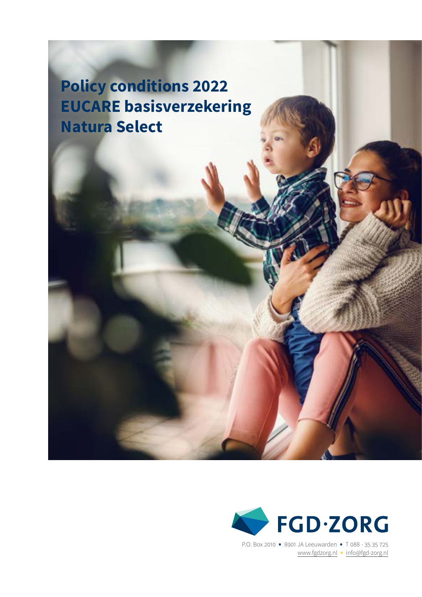**Policy conditions 2022 EUCARE basisverzekering Natura Select**



P.O. Box 2010 • 8901 JA Leeuwarden • T 088 - <sup>35</sup> <sup>35</sup> <sup>725</sup> [www.fgdzorg.nl](http://fgdzorg.nl) • [info@fgd-zorg.](mailto:info%40fgd-zorg.nl?subject=)nl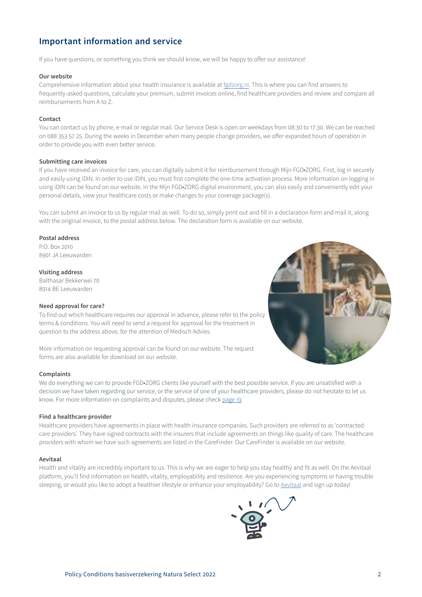# **Important information and service**

If you have questions, or something you think we should know, we will be happy to offer our assistance!

### **Our website**

Comprehensive information about your health insurance is available at [fgdzorg.nl](http://fgdzorg.nl). This is where you can find answers to frequently-asked questions, calculate your premium, submit invoices online, find healthcare providers and review and compare all reimbursements from A to Z.

### **Contact**

You can contact us by phone, e-mail or regular mail. Our Service Desk is open on weekdays from 08:30 to 17:30. We can be reached on 088 353 57 25. During the weeks in December when many people change providers, we offer expanded hours of operation in order to provide you with even better service.

### **Submitting care invoices**

If you have received an invoice for care, you can digitally submit it for reimbursement through Mijn FGD•ZORG. First, log in securely and easily using iDIN. In order to use iDIN, you must first complete the one-time activation process. More information on logging in using iDIN can be found on our website. In the Mijn FGD•ZORG digital environment, you can also easily and conveniently edit your personal details, view your healthcare costs or make changes to your coverage package(s).

You can submit an invoice to us by regular mail as well. To do so, simply print out and fill in a declaration form and mail it, along with the original invoice, to the postal address below. The declaration form is available on our website.

# **Postal address**

P.O. Box 2010 8901 JA Leeuwarden

# **Visiting address**

Balthasar Bekkerwei 70 8914 BE Leeuwarden

# **Need approval for care?**

To find out which healthcare requires our approval in advance, please refer to the policy terms & conditions. You will need to send a request for approval for the treatment in

question to the address above, for the attention of Medisch Advies.

More information on requesting approval can be found on our website. The request forms are also available for download on our website.

# **Complaints**

We do everything we can to provide FGD•ZORG clients like yourself with the best possible service. If you are unsatisfied with a decision we have taken regarding our service, or the service of one of your healthcare providers, please do not hesitate to let us know. For more information on complaints and disputes, please check [page 1](#page-18-0)9.

# **Find a healthcare provider**

Healthcare providers have agreements in place with health insurance companies. Such providers are referred to as 'contracted care providers'. They have signed contracts with the insurers that include agreements on things like quality of care. The healthcare providers with whom we have such agreements are listed in the CareFinder. Our CareFinder is available on our website.

#### **Aevitaal**

Health and vitality are incredibly important to us. This is why we are eager to help you stay healthy and fit as well. On the Aevitaal platform, you'll find information on health, vitality, employability and resilience. Are you experiencing symptoms or having trouble sleeping, or would you like to adopt a healthier lifestyle or enhance your employability? Go to Aevitaal and sign up today!

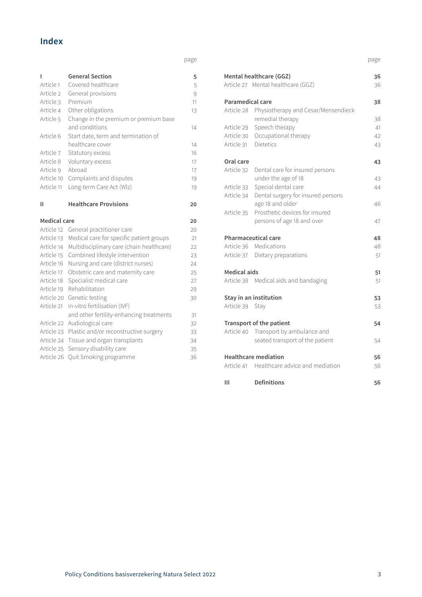# **Index**

page

| ı            | <b>General Section</b>                                                       | 5  |
|--------------|------------------------------------------------------------------------------|----|
| Article 1    | Covered healthcare                                                           | 5  |
| Article 2    | General provisions                                                           | 9  |
| Article 3    | Premium                                                                      | 11 |
| Article 4    | Other obligations                                                            | 13 |
| Article 5    | Change in the premium or premium base                                        |    |
|              | and conditions                                                               | 14 |
| Article 6    | Start date, term and termination of                                          |    |
|              | healthcare cover                                                             | 14 |
| Article 7    | Statutory excess                                                             | 16 |
| Article 8    | Voluntary excess                                                             | 17 |
| Article 9    | Abroad                                                                       | 17 |
| Article 10   | Complaints and disputes                                                      | 19 |
| Article 11   | Long-term Care Act (Wlz)                                                     | 19 |
|              |                                                                              |    |
| н            | <b>Healthcare Provisions</b>                                                 | 20 |
|              |                                                                              |    |
| Medical care |                                                                              | 20 |
| Article 12   |                                                                              | 20 |
| Article 13   | General practitioner care                                                    | 21 |
| Article 14   | Medical care for specific patient groups                                     | 22 |
| Article 15   | Multidisciplinary care (chain healthcare)<br>Combined lifestyle intervention | 23 |
| Article 16   | Nursing and care (district nurses)                                           | 24 |
| Article 17   | Obstetric care and maternity care                                            | 25 |
| Article 18   | Specialist medical care                                                      | 27 |
| Article 19   | Rehabilitation                                                               | 29 |
| Article 20   | Genetic testing                                                              | 30 |
| Article 21   | In-vitro fertilisation (IVF)                                                 |    |
|              | and other fertility-enhancing treatments                                     | 31 |
| Article 22   | Audiological care                                                            | 32 |
| Article 23   | Plastic and/or reconstructive surgery                                        | 33 |
| Article 24   | Tissue and organ transplants                                                 | 34 |
| Article 25   | Sensory disability care                                                      | 35 |

page

|                         | Mental healthcare (GGZ)<br>Article 27 Mental healthcare (GGZ) | 36<br>36 |
|-------------------------|---------------------------------------------------------------|----------|
|                         |                                                               |          |
| <b>Paramedical care</b> |                                                               | 38       |
|                         | Article 28 Physiotherapy and Cesar/Mensendieck                |          |
|                         | remedial therapy                                              | 38       |
|                         | Article 29 Speech therapy                                     | 41       |
|                         | Article 30 Occupational therapy                               | 42       |
| Article 31 Dietetics    |                                                               | 43       |
| Oral care               |                                                               | 43       |
| Article 32              | Dental care for insured persons                               |          |
|                         | under the age of 18                                           | 43       |
| Article 33              | Special dental care                                           | 44       |
| Article 34              | Dental surgery for insured persons                            |          |
|                         | age 18 and older                                              | 46       |
| Article 35              | Prosthetic devices for insured                                |          |
|                         | persons of age 18 and over                                    | 47       |
|                         | <b>Pharmaceutical care</b>                                    | 48       |
|                         | Article 36 Medications                                        | 48       |
|                         | Article 37 Dietary preparations                               | 51       |
| <b>Medical aids</b>     |                                                               | 51       |
|                         | Article 38 Medical aids and bandaging                         | 51       |
|                         | Stay in an institution                                        | 53       |
| Article 39 Stay         |                                                               | 53       |
|                         | <b>Transport of the patient</b>                               | 54       |
|                         | Article 40 Transport by ambulance and                         |          |
|                         | seated transport of the patient                               | 54       |
|                         | <b>Healthcare mediation</b>                                   | 56       |
|                         | Article 41 Healthcare advice and mediation                    | 56       |
| Ш                       | <b>Definitions</b>                                            | 56       |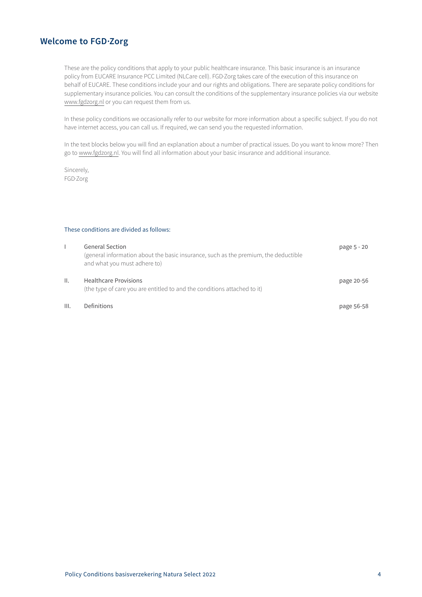# **Welcome to FGD·Zorg**

These are the policy conditions that apply to your public healthcare insurance. This basic insurance is an insurance policy from EUCARE Insurance PCC Limited (NLCare cell). FGD·Zorg takes care of the execution of this insurance on behalf of EUCARE. These conditions include your and our rights and obligations. There are separate policy conditions for supplementary insurance policies. You can consult the conditions of the supplementary insurance policies via our website [www.fgdzorg.nl](http://www.fgdzorg.nl) or you can request them from us.

In these policy conditions we occasionally refer to our website for more information about a specific subject. If you do not have internet access, you can call us. If required, we can send you the requested information.

In the text blocks below you will find an explanation about a number of practical issues. Do you want to know more? Then go to [www.fgdzorg.nl](http://www.fgdzorg.nl). You will find all information about your basic insurance and additional insurance.

Sincerely, FGD·Zorg

# These conditions are divided as follows:

|      | <b>General Section</b><br>(general information about the basic insurance, such as the premium, the deductible<br>and what you must adhere to) | page 5 - 20 |
|------|-----------------------------------------------------------------------------------------------------------------------------------------------|-------------|
| ΙΙ.  | <b>Healthcare Provisions</b><br>(the type of care you are entitled to and the conditions attached to it)                                      | page 20-56  |
| III. | Definitions                                                                                                                                   | page 56-58  |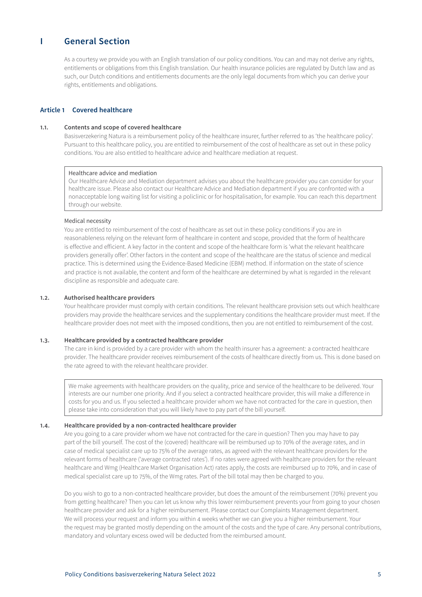# <span id="page-4-0"></span>**I General Section**

As a courtesy we provide you with an English translation of our policy conditions. You can and may not derive any rights, entitlements or obligations from this English translation. Our health insurance policies are regulated by Dutch law and as such, our Dutch conditions and entitlements documents are the only legal documents from which you can derive your rights, entitlements and obligations.

# **Article 1 Covered healthcare**

# **1.1. Contents and scope of covered healthcare**

Basisverzekering Natura is a reimbursement policy of the healthcare insurer, further referred to as 'the healthcare policy'. Pursuant to this healthcare policy, you are entitled to reimbursement of the cost of healthcare as set out in these policy conditions. You are also entitled to healthcare advice and healthcare mediation at request.

### Healthcare advice and mediation

Our Healthcare Advice and Mediation department advises you about the healthcare provider you can consider for your healthcare issue. Please also contact our Healthcare Advice and Mediation department if you are confronted with a nonacceptable long waiting list for visiting a policlinic or for hospitalisation, for example. You can reach this department through our website.

# Medical necessity

You are entitled to reimbursement of the cost of healthcare as set out in these policy conditions if you are in reasonableness relying on the relevant form of healthcare in content and scope, provided that the form of healthcare is effective and efficient. A key factor in the content and scope of the healthcare form is 'what the relevant healthcare providers generally offer'. Other factors in the content and scope of the healthcare are the status of science and medical practice. This is determined using the Evidence-Based Medicine (EBM) method. If information on the state of science and practice is not available, the content and form of the healthcare are determined by what is regarded in the relevant discipline as responsible and adequate care.

### **1.2. Authorised healthcare providers**

Your healthcare provider must comply with certain conditions. The relevant healthcare provision sets out which healthcare providers may provide the healthcare services and the supplementary conditions the healthcare provider must meet. If the healthcare provider does not meet with the imposed conditions, then you are not entitled to reimbursement of the cost.

# **1.3. Healthcare provided by a contracted healthcare provider**

The care in kind is provided by a care provider with whom the health insurer has a agreement: a contracted healthcare provider. The healthcare provider receives reimbursement of the costs of healthcare directly from us. This is done based on the rate agreed to with the relevant healthcare provider.

We make agreements with healthcare providers on the quality, price and service of the healthcare to be delivered. Your interests are our number one priority. And if you select a contracted healthcare provider, this will make a difference in costs for you and us. If you selected a healthcare provider whom we have not contracted for the care in question, then please take into consideration that you will likely have to pay part of the bill yourself.

# **1.4. Healthcare provided by a non-contracted healthcare provider**

Are you going to a care provider whom we have not contracted for the care in question? Then you may have to pay part of the bill yourself. The cost of the (covered) healthcare will be reimbursed up to 70% of the average rates, and in case of medical specialist care up to 75% of the average rates, as agreed with the relevant healthcare providers for the relevant forms of healthcare ('average contracted rates'). If no rates were agreed with healthcare providers for the relevant healthcare and Wmg (Healthcare Market Organisation Act) rates apply, the costs are reimbursed up to 70%, and in case of medical specialist care up to 75%, of the Wmg rates. Part of the bill total may then be charged to you.

Do you wish to go to a non-contracted healthcare provider, but does the amount of the reimbursement (70%) prevent you from getting healthcare? Then you can let us know why this lower reimbursement prevents your from going to your chosen healthcare provider and ask for a higher reimbursement. Please contact our Complaints Management department. We will process your request and inform you within 4 weeks whether we can give you a higher reimbursement. Your the request may be granted mostly depending on the amount of the costs and the type of care. Any personal contributions, mandatory and voluntary excess owed will be deducted from the reimbursed amount.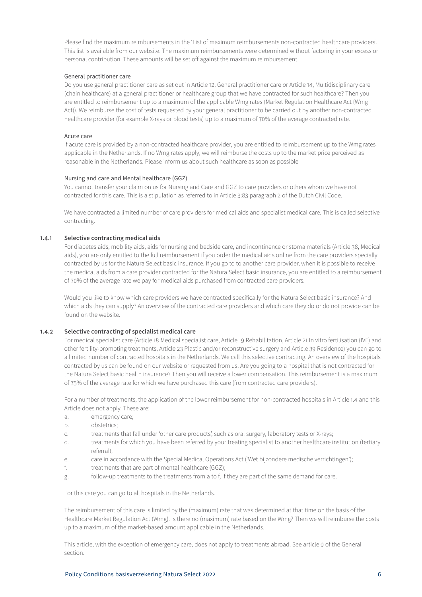Please find the maximum reimbursements in the 'List of maximum reimbursements non-contracted healthcare providers'. This list is available from our website. The maximum reimbursements were determined without factoring in your excess or personal contribution. These amounts will be set off against the maximum reimbursement.

# General practitioner care

Do you use general practitioner care as set out in Article 12, General practitioner care or Article 14, Multidisciplinary care (chain healthcare) at a general practitioner or healthcare group that we have contracted for such healthcare? Then you are entitled to reimbursement up to a maximum of the applicable Wmg rates (Market Regulation Healthcare Act (Wmg Act)). We reimburse the cost of tests requested by your general practitioner to be carried out by another non-contracted healthcare provider (for example X-rays or blood tests) up to a maximum of 70% of the average contracted rate.

# Acute care

If acute care is provided by a non-contracted healthcare provider, you are entitled to reimbursement up to the Wmg rates applicable in the Netherlands. If no Wmg rates apply, we will reimburse the costs up to the market price perceived as reasonable in the Netherlands. Please inform us about such healthcare as soon as possible

### Nursing and care and Mental healthcare (GGZ)

You cannot transfer your claim on us for Nursing and Care and GGZ to care providers or others whom we have not contracted for this care. This is a stipulation as referred to in Article 3:83 paragraph 2 of the Dutch Civil Code.

We have contracted a limited number of care providers for medical aids and specialist medical care. This is called selective contracting.

## **1.4.1 Selective contracting medical aids**

For diabetes aids, mobility aids, aids for nursing and bedside care, and incontinence or stoma materials (Article 38, Medical aids), you are only entitled to the full reimbursement if you order the medical aids online from the care providers specially contracted by us for the Natura Select basic insurance. If you go to to another care provider, when it is possible to receive the medical aids from a care provider contracted for the Natura Select basic insurance, you are entitled to a reimbursement of 70% of the average rate we pay for medical aids purchased from contracted care providers.

Would you like to know which care providers we have contracted specifically for the Natura Select basic insurance? And which aids they can supply? An overview of the contracted care providers and which care they do or do not provide can be found on the website.

# **1.4.2 Selective contracting of specialist medical care**

For medical specialist care (Article 18 Medical specialist care, Article 19 Rehabilitation, Article 21 In vitro fertilisation (IVF) and other fertility-promoting treatments, Article 23 Plastic and/or reconstructive surgery and Article 39 Residence) you can go to a limited number of contracted hospitals in the Netherlands. We call this selective contracting. An overview of the hospitals contracted by us can be found on our website or requested from us. Are you going to a hospital that is not contracted for the Natura Select basic health insurance? Then you will receive a lower compensation. This reimbursement is a maximum of 75% of the average rate for which we have purchased this care (from contracted care providers).

For a number of treatments, the application of the lower reimbursement for non-contracted hospitals in Article 1.4 and this Article does not apply. These are:

- a. emergency care;
- b. obstetrics;
- c. treatments that fall under 'other care products', such as oral surgery, laboratory tests or X-rays;
- d. treatments for which you have been referred by your treating specialist to another healthcare institution (tertiary referral);
- e. care in accordance with the Special Medical Operations Act ('Wet bijzondere medische verrichtingen');
- f. treatments that are part of mental healthcare (GGZ);
- g. follow-up treatments to the treatments from a to f, if they are part of the same demand for care.

For this care you can go to all hospitals in the Netherlands.

The reimbursement of this care is limited by the (maximum) rate that was determined at that time on the basis of the Healthcare Market Regulation Act (Wmg). Is there no (maximum) rate based on the Wmg? Then we will reimburse the costs up to a maximum of the market-based amount applicable in the Netherlands..

This article, with the exception of emergency care, does not apply to treatments abroad. See article 9 of the General section.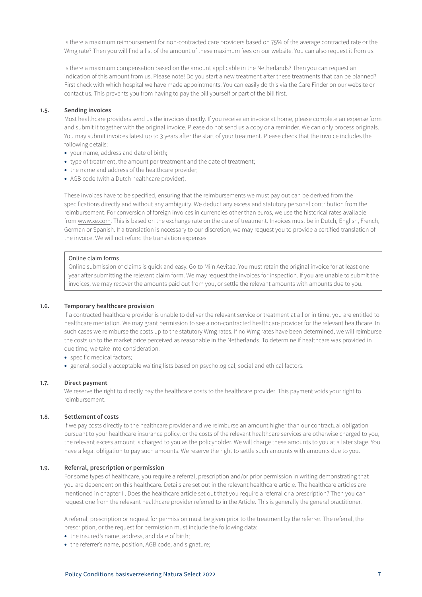Is there a maximum reimbursement for non-contracted care providers based on 75% of the average contracted rate or the Wmg rate? Then you will find a list of the amount of these maximum fees on our website. You can also request it from us.

Is there a maximum compensation based on the amount applicable in the Netherlands? Then you can request an indication of this amount from us. Please note! Do you start a new treatment after these treatments that can be planned? First check with which hospital we have made appointments. You can easily do this via the Care Finder on our website or contact us. This prevents you from having to pay the bill yourself or part of the bill first.

# **1.5. Sending invoices**

Most healthcare providers send us the invoices directly. If you receive an invoice at home, please complete an expense form and submit it together with the original invoice. Please do not send us a copy or a reminder. We can only process originals. You may submit invoices latest up to 3 years after the start of your treatment. Please check that the invoice includes the following details:

- your name, address and date of birth;
- type of treatment, the amount per treatment and the date of treatment;
- the name and address of the healthcare provider;
- AGB code (with a Dutch healthcare provider).

These invoices have to be specified, ensuring that the reimbursements we must pay out can be derived from the specifications directly and without any ambiguity. We deduct any excess and statutory personal contribution from the reimbursement. For conversion of foreign invoices in currencies other than euros, we use the historical rates available from www.xe.com. This is based on the exchange rate on the date of treatment. Invoices must be in Dutch, English, French, German or Spanish. If a translation is necessary to our discretion, we may request you to provide a certified translation of the invoice. We will not refund the translation expenses.

#### Online claim forms

Online submission of claims is quick and easy. Go to Mijn Aevitae. You must retain the original invoice for at least one year after submitting the relevant claim form. We may request the invoices for inspection. If you are unable to submit the invoices, we may recover the amounts paid out from you, or settle the relevant amounts with amounts due to you.

# **1.6. Temporary healthcare provision**

If a contracted healthcare provider is unable to deliver the relevant service or treatment at all or in time, you are entitled to healthcare mediation. We may grant permission to see a non-contracted healthcare provider for the relevant healthcare. In such cases we reimburse the costs up to the statutory Wmg rates. If no Wmg rates have been determined, we will reimburse the costs up to the market price perceived as reasonable in the Netherlands. To determine if healthcare was provided in due time, we take into consideration:

- specific medical factors;
- general, socially acceptable waiting lists based on psychological, social and ethical factors.

# **1.7. Direct payment**

We reserve the right to directly pay the healthcare costs to the healthcare provider. This payment voids your right to reimbursement.

# **1.8. Settlement of costs**

If we pay costs directly to the healthcare provider and we reimburse an amount higher than our contractual obligation pursuant to your healthcare insurance policy, or the costs of the relevant healthcare services are otherwise charged to you, the relevant excess amount is charged to you as the policyholder. We will charge these amounts to you at a later stage. You have a legal obligation to pay such amounts. We reserve the right to settle such amounts with amounts due to you.

### **1.9. Referral, prescription or permission**

For some types of healthcare, you require a referral, prescription and/or prior permission in writing demonstrating that you are dependent on this healthcare. Details are set out in the relevant healthcare article. The healthcare articles are mentioned in chapter II. Does the healthcare article set out that you require a referral or a prescription? Then you can request one from the relevant healthcare provider referred to in the Article. This is generally the general practitioner.

A referral, prescription or request for permission must be given prior to the treatment by the referrer. The referral, the prescription, or the request for permission must include the following data:

- the insured's name, address, and date of birth;
- the referrer's name, position, AGB code, and signature;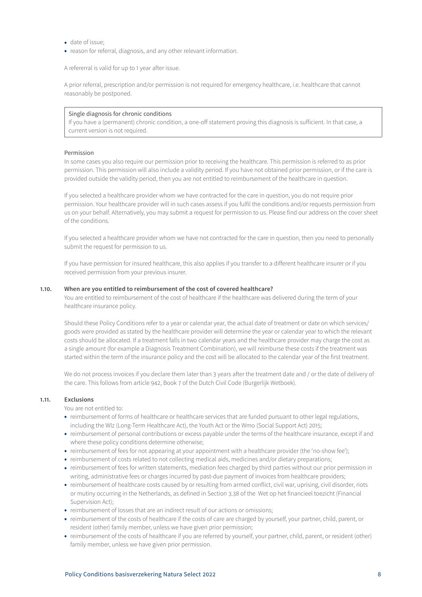- date of issue;
- reason for referral, diagnosis, and any other relevant information.

A refererral is valid for up to 1 year after issue.

A prior referral, prescription and/or permission is not required for emergency healthcare, i.e. healthcare that cannot reasonably be postponed.

## Single diagnosis for chronic conditions

If you have a (permanent) chronic condition, a one-off statement proving this diagnosis is sufficient. In that case, a current version is not required.

# Permission

In some cases you also require our permission prior to receiving the healthcare. This permission is referred to as prior permission. This permission will also include a validity period. If you have not obtained prior permission, or if the care is provided outside the validity period, then you are not entitled to reimbursement of the healthcare in question.

If you selected a healthcare provider whom we have contracted for the care in question, you do not require prior permission. Your healthcare provider will in such cases assess if you fulfil the conditions and/or requests permission from us on your behalf. Alternatively, you may submit a request for permission to us. Please find our address on the cover sheet of the conditions.

If you selected a healthcare provider whom we have not contracted for the care in question, then you need to personally submit the request for permission to us.

If you have permission for insured healthcare, this also applies if you transfer to a different healthcare insurer or if you received permission from your previous insurer.

### **1.10. When are you entitled to reimbursement of the cost of covered healthcare?**

You are entitled to reimbursement of the cost of healthcare if the healthcare was delivered during the term of your healthcare insurance policy.

Should these Policy Conditions refer to a year or calendar year, the actual date of treatment or date on which services/ goods were provided as stated by the healthcare provider will determine the year or calendar year to which the relevant costs should be allocated. If a treatment falls in two calendar years and the healthcare provider may charge the cost as a single amount (for example a Diagnosis Treatment Combination), we will reimburse these costs if the treatment was started within the term of the insurance policy and the cost will be allocated to the calendar year of the first treatment.

We do not process invoices if you declare them later than 3 years after the treatment date and / or the date of delivery of the care. This follows from article 942, Book 7 of the Dutch Civil Code (Burgerlijk Wetboek).

# **1.11. Exclusions**

You are not entitled to:

- reimbursement of forms of healthcare or healthcare services that are funded pursuant to other legal regulations, including the Wlz (Long-Term Healthcare Act), the Youth Act or the Wmo (Social Support Act) 2015;
- reimbursement of personal contributions or excess payable under the terms of the healthcare insurance, except if and where these policy conditions determine otherwise;
- reimbursement of fees for not appearing at your appointment with a healthcare provider (the 'no-show fee');
- reimbursement of costs related to not collecting medical aids, medicines and/or dietary preparations;
- reimbursement of fees for written statements, mediation fees charged by third parties without our prior permission in writing, administrative fees or charges incurred by past-due payment of invoices from healthcare providers;
- reimbursement of healthcare costs caused by or resulting from armed conflict, civil war, uprising, civil disorder, riots or mutiny occurring in the Netherlands, as defined in Section 3.38 of the Wet op het financieel toezicht (Financial Supervision Act);
- reimbursement of losses that are an indirect result of our actions or omissions;
- reimbursement of the costs of healthcare if the costs of care are charged by yourself, your partner, child, parent, or resident (other) family member, unless we have given prior permission;
- reimbursement of the costs of healthcare if you are referred by yourself, your partner, child, parent, or resident (other) family member, unless we have given prior permission.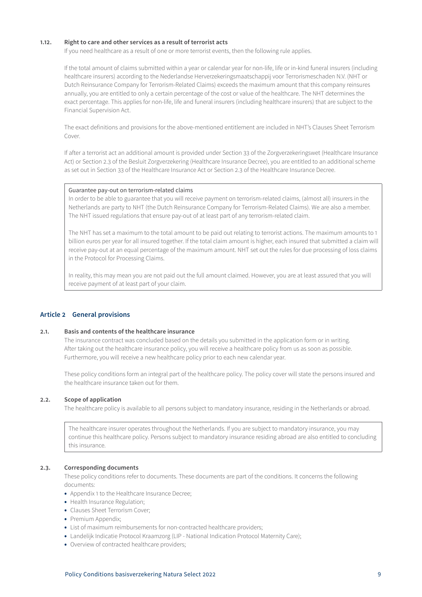# <span id="page-8-0"></span>**1.12. Right to care and other services as a result of terrorist acts**

If you need healthcare as a result of one or more terrorist events, then the following rule applies.

If the total amount of claims submitted within a year or calendar year for non-life, life or in-kind funeral insurers (including healthcare insurers) according to the Nederlandse Herverzekeringsmaatschappij voor Terrorismeschaden N.V. (NHT or Dutch Reinsurance Company for Terrorism-Related Claims) exceeds the maximum amount that this company reinsures annually, you are entitled to only a certain percentage of the cost or value of the healthcare. The NHT determines the exact percentage. This applies for non-life, life and funeral insurers (including healthcare insurers) that are subject to the Financial Supervision Act.

The exact definitions and provisions for the above-mentioned entitlement are included in NHT's Clauses Sheet Terrorism Cover.

If after a terrorist act an additional amount is provided under Section 33 of the Zorgverzekeringswet (Healthcare Insurance Act) or Section 2.3 of the Besluit Zorgverzekering (Healthcare Insurance Decree), you are entitled to an additional scheme as set out in Section 33 of the Healthcare Insurance Act or Section 2.3 of the Healthcare Insurance Decree.

# Guarantee pay-out on terrorism-related claims

In order to be able to guarantee that you will receive payment on terrorism-related claims, (almost all) insurers in the Netherlands are party to NHT (the Dutch Reinsurance Company for Terrorism-Related Claims). We are also a member. The NHT issued regulations that ensure pay-out of at least part of any terrorism-related claim.

The NHT has set a maximum to the total amount to be paid out relating to terrorist actions. The maximum amounts to 1 billion euros per year for all insured together. If the total claim amount is higher, each insured that submitted a claim will receive pay-out at an equal percentage of the maximum amount. NHT set out the rules for due processing of loss claims in the Protocol for Processing Claims.

In reality, this may mean you are not paid out the full amount claimed. However, you are at least assured that you will receive payment of at least part of your claim.

# **Article 2 General provisions**

# **2.1. Basis and contents of the healthcare insurance**

The insurance contract was concluded based on the details you submitted in the application form or in writing. After taking out the healthcare insurance policy, you will receive a healthcare policy from us as soon as possible. Furthermore, you will receive a new healthcare policy prior to each new calendar year.

These policy conditions form an integral part of the healthcare policy. The policy cover will state the persons insured and the healthcare insurance taken out for them.

# **2.2. Scope of application**

The healthcare policy is available to all persons subject to mandatory insurance, residing in the Netherlands or abroad.

The healthcare insurer operates throughout the Netherlands. If you are subject to mandatory insurance, you may continue this healthcare policy. Persons subject to mandatory insurance residing abroad are also entitled to concluding this insurance.

# **2.3. Corresponding documents**

These policy conditions refer to documents. These documents are part of the conditions. It concerns the following documents:

- Appendix 1 to the Healthcare Insurance Decree;
- Health Insurance Regulation;
- Clauses Sheet Terrorism Cover;
- Premium Appendix;
- List of maximum reimbursements for non-contracted healthcare providers;
- Landelijk Indicatie Protocol Kraamzorg (LIP National Indication Protocol Maternity Care);
- Overview of contracted healthcare providers;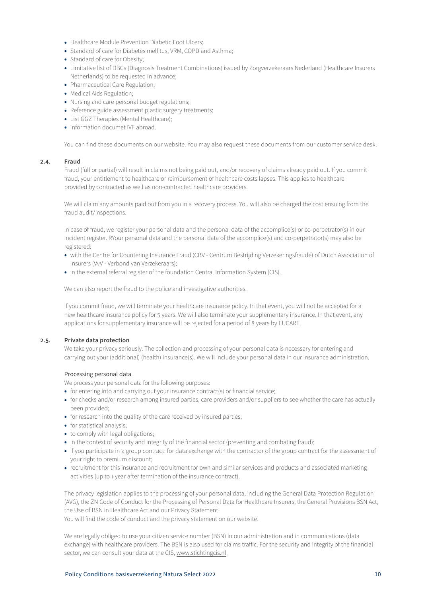- Healthcare Module Prevention Diabetic Foot Ulcers;
- Standard of care for Diabetes mellitus, VRM, COPD and Asthma;
- Standard of care for Obesity;
- Limitative list of DBCs (Diagnosis Treatment Combinations) issued by Zorgverzekeraars Nederland (Healthcare Insurers Netherlands) to be requested in advance;
- Pharmaceutical Care Regulation;
- Medical Aids Regulation;
- Nursing and care personal budget regulations;
- Reference guide assessment plastic surgery treatments;
- List GGZ Therapies (Mental Healthcare);
- Information documet IVF abroad.

You can find these documents on our website. You may also request these documents from our customer service desk.

# **2.4. Fraud**

Fraud (full or partial) will result in claims not being paid out, and/or recovery of claims already paid out. If you commit fraud, your entitlement to healthcare or reimbursement of healthcare costs lapses. This applies to healthcare provided by contracted as well as non-contracted healthcare providers.

We will claim any amounts paid out from you in a recovery process. You will also be charged the cost ensuing from the fraud audit/inspections.

In case of fraud, we register your personal data and the personal data of the accomplice(s) or co-perpetrator(s) in our Incident register. RYour personal data and the personal data of the accomplice(s) and co-perpetrator(s) may also be registered:

- with the Centre for Countering Insurance Fraud (CBV Centrum Bestrijding Verzekeringsfraude) of Dutch Association of Insurers (VvV - Verbond van Verzekeraars);
- in the external referral register of the foundation Central Information System (CIS).

We can also report the fraud to the police and investigative authorities.

If you commit fraud, we will terminate your healthcare insurance policy. In that event, you will not be accepted for a new healthcare insurance policy for 5 years. We will also terminate your supplementary insurance. In that event, any applications for supplementary insurance will be rejected for a period of 8 years by EUCARE.

# **2.5. Private data protection**

We take your privacy seriously. The collection and processing of your personal data is necessary for entering and carrying out your (additional) (health) insurance(s). We will include your personal data in our insurance administration.

# Processing personal data

We process your personal data for the following purposes:

- for entering into and carrying out your insurance contract(s) or financial service;
- for checks and/or research among insured parties, care providers and/or suppliers to see whether the care has actually been provided;
- for research into the quality of the care received by insured parties;
- for statistical analysis;
- to comply with legal obligations;
- in the context of security and integrity of the financial sector (preventing and combating fraud);
- if you participate in a group contract: for data exchange with the contractor of the group contract for the assessment of your right to premium discount;
- recruitment for this insurance and recruitment for own and similar services and products and associated marketing activities (up to 1 year after termination of the insurance contract).

The privacy legislation applies to the processing of your personal data, including the General Data Protection Regulation (AVG), the ZN Code of Conduct for the Processing of Personal Data for Healthcare Insurers, the General Provisions BSN Act, the Use of BSN in Healthcare Act and our Privacy Statement.

You will find the code of conduct and the privacy statement on our website.

We are legally obliged to use your citizen service number (BSN) in our administration and in communications (data exchange) with healthcare providers. The BSN is also used for claims traffic. For the security and integrity of the financial sector, we can consult your data at the CIS, www.stichtingcis.nl.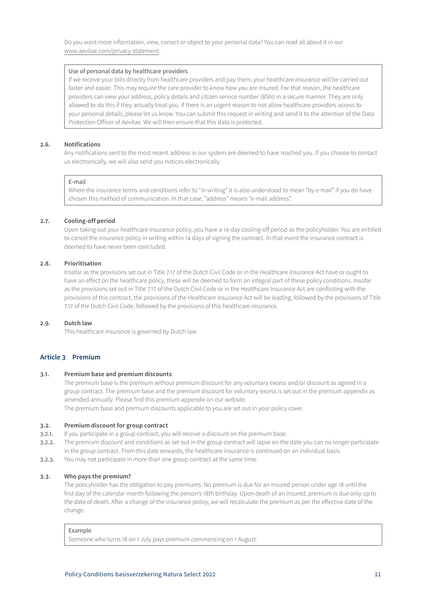<span id="page-10-0"></span>Do you want more information, view, correct or object to your personal data? You can read all about it in our www.aevitae.com/privacy-statement.

### Use of personal data by healthcare providers

If we receive your bills directly from healthcare providers and pay them, your healthcare insurance will be carried out faster and easier. This may require the care provider to know how you are insured. For that reason, the healthcare providers can view your address, policy details and citizen service number (BSN) in a secure manner. They are only allowed to do this if they actually treat you. If there is an urgent reason to not allow healthcare providers access to your personal details, please let us know. You can submit this request in writing and send it to the attention of the Data Protection Officer of Aevitae. We will then ensure that this data is protected.

# **2.6. Notifications**

Any notifications sent to the most recent address in our system are deemed to have reached you. If you choose to contact us electronically, we will also send you notices electronically.

# E-mail

Where the insurance terms and conditions refer to "in writing" it is also understood to mean "by e-mail" if you do have chosen this method of communication. In that case, "address" means "e-mail address".

### **2.7. Cooling-off period**

Upon taking out your healthcare insurance policy, you have a 14-day cooling-off period as the policyholder. You are entitled to cancel the insurance policy in writing within 14 days of signing the contract. In that event the insurance contract is deemed to have never been concluded.

# **2.8. Prioritisation**

Insofar as the provisions set out in Title 7.17 of the Dutch Civil Code or in the Healthcare Insurance Act have or ought to have an effect on the healthcare policy, these will be deemed to form an integral part of these policy conditions. Insofar as the provisions set out in Title 7.17 of the Dutch Civil Code or in the Healthcare Insurance Act are conflicting with the provisions of this contract, the provisions of the Healthcare Insurance Act will be leading, followed by the provisions of Title 7.17 of the Dutch Civil Code, followed by the provisions of this healthcare insurance.

# **2.9. Dutch law**

This healthcare insurance is governed by Dutch law.

# **Article 3 Premium**

# **3.1. Premium base and premium discounts**

The premium base is the premium without premium discount for any voluntary excess and/or discount as agreed in a group contract. The premium base and the premium discount for voluntary excess is set out in the premium appendix as amended annually. Please find this premium appendix on our website.

The premium base and premium discounts applicable to you are set out in your policy cover.

# **3.2. Premium discount for group contract**

- 3.2.1. If you participate in a group contract, you will receive a discount on the premium base.
- 3.2.2. The premium discount and conditions as set out in the group contract will lapse on the date you can no longer participate in the group contract. From this date onwards, the healthcare insurance is continued on an individual basis.
- 3.2.3. You may not participate in more than one group contract at the same time.

# **3.3. Who pays the premium?**

The policyholder has the obligation to pay premiums. No premium is due for an insured person under age 18 until the first day of the calendar month following the person's 18th birthday. Upon death of an insured, premium is due only up to the date of death. After a change of the insurance policy, we will recalculate the premium as per the effective date of the change.

### Example

Someone who turns 18 on 1 July pays premium commencing on 1 August.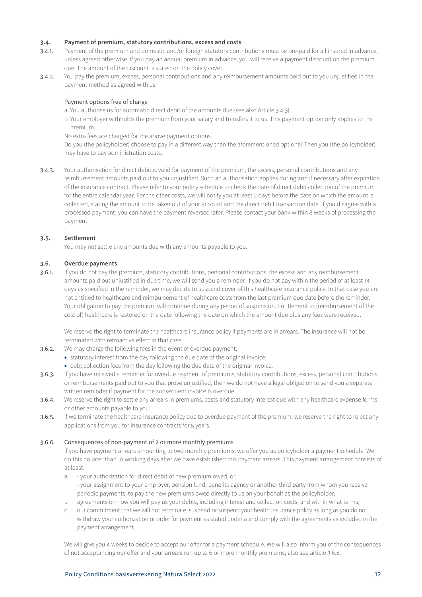# **3.4. Payment of premium, statutory contributions, excess and costs**

- 3.4.1. Payment of the premium and domestic and/or foreign statutory contributions must be pre-paid for all insured in advance, unless agreed otherwise. If you pay an annual premium in advance, you will receive a payment discount on the premium due. The amount of the discount is stated on the policy cover.
- 3.4.2. You pay the premium, excess, personal contributions and any reimbursement amounts paid out to you unjustified in the payment method as agreed with us.

# Payment options free of charge

a. You authorise us for automatic direct debit of the amounts due (see also Article 3.4.3).

b. Your employer withholds the premium from your salary and transfers it to us. This payment option only applies to the premium.

No extra fees are charged for the above payment options.

Do you (the policyholder) choose to pay in a different way than the aforementioned options? Then you (the policyholder) may have to pay administration costs.

3.4.3. Your authorisation for direct debit is valid for payment of the premium, the excess, personal contributions and any reimbursement amounts paid out to you unjustified. Such an authorisation applies during and if necessary after expiration of the insurance contract. Please refer to your policy schedule to check the date of direct debit collection of the premium for the entire calendar year. For the other costs, we will notify you at least 2 days before the date on which the amount is collected, stating the amount to be taken out of your account and the direct debit transaction date. If you disagree with a processed payment, you can have the payment reversed later. Please contact your bank within 8 weeks of processing the payment.

# **3.5. Settlement**

You may not settle any amounts due with any amounts payable to you.

# **3.6. Overdue payments**

3.6.1. If you do not pay the premium, statutory contributions, personal contributions, the excess and any reimbursement amounts paid out unjustified in due time, we will send you a reminder. If you do not pay within the period of at least 14 days as specified in the reminder, we may decide to suspend cover of this healthcare insurance policy. In that case you are not entitled to healthcare and reimbursement of healthcare costs from the last premium due date before the reminder. Your obligation to pay the premium will continue during any period of suspension. Entitlement to (reimbursement of the cost of) healthcare is restored on the date following the date on which the amount due plus any fees were received.

We reserve the right to terminate the healthcare insurance policy if payments are in arrears. The insurance will not be terminated with retroactive effect in that case.

- 3.6.2. We may charge the following fees in the event of overdue payment:
	- statutory interest from the day following the due date of the original invoice;
	- debt collection fees from the day following the due date of the original invoice.
- 3.6.3. If you have received a reminder for overdue payment of premiums, statutory contributions, excess, personal contributions or reimbursements paid out to you that prove unjustified, then we do not have a legal obligation to send you a separate written reminder if payment for the subsequent invoice is overdue.
- 3.6.4. We reserve the right to settle any arrears in premiums, costs and statutory interest due with any healthcare expense forms or other amounts payable to you.
- 3.6.5. If we terminate the healthcare insurance policy due to overdue payment of the premium, we reserve the right to reject any applications from you for insurance contracts for 5 years.

# 3.6.6. Consequences of non-payment of 2 or more monthly premiums

If you have payment arrears amounting to two monthly premiums, we offer you as policyholder a payment schedule. We do this no later than 10 working days after we have established this payment arrears. This payment arrangement consists of at least:

- a your authorization for direct debit of new premium owed, or; - your assignment to your employer, pension fund, benefits agency or another third party from whom you receive periodic payments, to pay the new premiums owed directly to us on your behalf as the policyholder;
- b agreements on how you will pay us your debts, including interest and collection costs, and within what terms;
- c our commitment that we will not terminate, suspend or suspend your health insurance policy as long as you do not withdraw your authorization or order for payment as stated under a and comply with the agreements as included in the payment arrangement.

We will give you 4 weeks to decide to accept our offer for a payment schedule. We will also inform you of the consequences of not acceptancing our offer and your arrears run up to 6 or more monthly premiums; also see article 3.6.8.

# Policy Conditions basisverzekering Natura Select 2022 12 12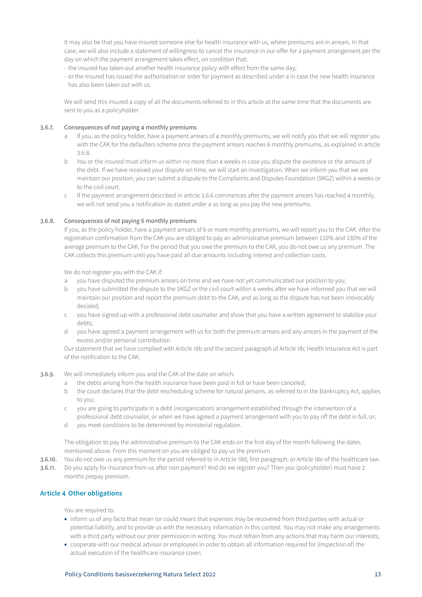<span id="page-12-0"></span>It may also be that you have insured someone else for health insurance with us, where premiums are in arrears. In that case, we will also include a statement of willingness to cancel the insurance in our offer for a payment arrangement per the day on which the payment arrangement takes effect, on condition that:

- the insured has taken out another health insurance policy with effect from the same day;
- or the insured has issued the authorization or order for payment as described under a in case the new health insurance has also been taken out with us.

We will send this insured a copy of all the documents referred to in this article at the same time that the documents are sent to you as a policyholder.

# 3.6.7. Consequences of not paying 4 monthly premiums

- a If you, as the policy holder, have a payment arrears of 4 monthly premiums, we will notify you that we will register you with the CAK for the defaulters scheme once the payment arrears reaches 6 monthly premiums, as explained in article 3.6.8.
- b You or the insured must inform us within no more than 4 weeks in case you dispute the existence or the amount of the debt. If we have received your dispute on time, we will start an investigation. When we inform you that we are maintain our position, you can submit a dispute to the Complaints and Disputes Foundation (SKGZ) within 4 weeks or to the civil court.
- c If the payment arrangement described in article 3.6.6 commences after the payment arrears has reached 4 monthly, we will not send you a notification as stated under a as long as you pay the new premiums.

# 3.6.8. Consequences of not paying 6 monthly premiums

If you, as the policy holder, have a payment arrears of 6 or more monthly premiums, we will report you to the CAK. After the registration confirmation from the CAK you are obliged to pay an administrative premium between 110% and 130% of the average premium to the CAK. For the period that you owe the premium to the CAK, you do not owe us any premium. The CAK collects this premium until you have paid all due amounts including interest and collection costs.

We do not register you with the CAK if:

- a you have disputed the premium arrears on time and we have not yet communicated our position to you;
- b you have submitted the dispute to the SKGZ or the civil court within 4 weeks after we have informed you that we will maintain our position and report the premium debt to the CAK, and as long as the dispute has not been irrevocably decided;
- c you have signed up with a professional debt counselor and show that you have a written agreement to stabilize your debts;
- d you have agreed a payment arrangement with us for both the premium arrears and any arrears in the payment of the excess and/or personal contribution.

Our statement that we have complied with Article 18b and the second paragraph of Article 18c Health Insurance Act is part of the notification to the CAK.

- 3.6.9. We will immediately inform you and the CAK of the date on which:
	- a the debts arising from the health insurance have been paid in full or have been canceled;
	- b the court declares that the debt rescheduling scheme for natural persons, as referred to in the Bankruptcy Act, applies to you;
	- c you are going to participate in a debt (reorganization) arrangement established through the intervention of a professional debt counselor, or when we have agreed a payment arrangement with you to pay off the debt in full, or;
	- d you meet conditions to be determined by ministerial regulation.

The obligation to pay the administrative premium to the CAK ends on the first day of the month following the dates mentioned above. From this moment on you are obliged to pay us the premium.

- 3.6.10. You do not owe us any premium for the period referred to in Article 18d, first paragraph, or Article 18e of the healthcare law.
- 3.6.11. Do you apply for insurance from us after non-payment? And do we register you? Then you (policyholder) must have 2 months prepay premium.

# **Article 4 Other obligations**

You are required to:

- inform us of any facts that mean (or could mean) that expenses may be recovered from third parties with actual or potential liability, and to provide us with the necessary information in this context. You may not make any arrangements with a third party without our prior permission in writing. You must refrain from any actions that may harm our interests;
- cooperate with our medical advisor or employees in order to obtain all information required for (inspection of) the actual execution of the healthcare insurance cover;

# Policy Conditions basisverzekering Natura Select 2022 13 13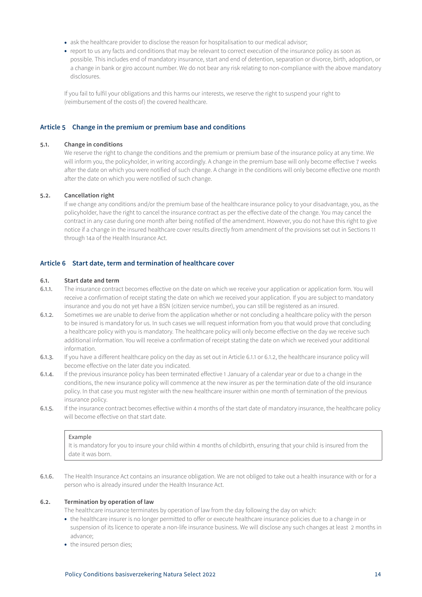- <span id="page-13-0"></span>• ask the healthcare provider to disclose the reason for hospitalisation to our medical advisor;
- report to us any facts and conditions that may be relevant to correct execution of the insurance policy as soon as possible. This includes end of mandatory insurance, start and end of detention, separation or divorce, birth, adoption, or a change in bank or giro account number. We do not bear any risk relating to non-compliance with the above mandatory disclosures.

If you fail to fulfil your obligations and this harms our interests, we reserve the right to suspend your right to (reimbursement of the costs of) the covered healthcare.

# **Article 5 Change in the premium or premium base and conditions**

### **5.1. Change in conditions**

We reserve the right to change the conditions and the premium or premium base of the insurance policy at any time. We will inform you, the policyholder, in writing accordingly. A change in the premium base will only become effective 7 weeks after the date on which you were notified of such change. A change in the conditions will only become effective one month after the date on which you were notified of such change.

# **5.2. Cancellation right**

If we change any conditions and/or the premium base of the healthcare insurance policy to your disadvantage, you, as the policyholder, have the right to cancel the insurance contract as per the effective date of the change. You may cancel the contract in any case during one month after being notified of the amendment. However, you do not have this right to give notice if a change in the insured healthcare cover results directly from amendment of the provisions set out in Sections 11 through 14a of the Health Insurance Act.

# **Article 6 Start date, term and termination of healthcare cover**

# **6.1. Start date and term**

- 6.1.1. The insurance contract becomes effective on the date on which we receive your application or application form. You will receive a confirmation of receipt stating the date on which we received your application. If you are subject to mandatory insurance and you do not yet have a BSN (citizen service number), you can still be registered as an insured.
- 6.1.2. Sometimes we are unable to derive from the application whether or not concluding a healthcare policy with the person to be insured is mandatory for us. In such cases we will request information from you that would prove that concluding a healthcare policy with you is mandatory. The healthcare policy will only become effective on the day we receive such additional information. You will receive a confirmation of receipt stating the date on which we received your additional information.
- 6.1.3. If you have a different healthcare policy on the day as set out in Article 6.1.1 or 6.1.2, the healthcare insurance policy will become effective on the later date you indicated.
- 6.1.4. If the previous insurance policy has been terminated effective 1 January of a calendar year or due to a change in the conditions, the new insurance policy will commence at the new insurer as per the termination date of the old insurance policy. In that case you must register with the new healthcare insurer within one month of termination of the previous insurance policy.
- 6.1.5. If the insurance contract becomes effective within 4 months of the start date of mandatory insurance, the healthcare policy will become effective on that start date.

#### Example

It is mandatory for you to insure your child within 4 months of childbirth, ensuring that your child is insured from the date it was born.

6.1.6. The Health Insurance Act contains an insurance obligation. We are not obliged to take out a health insurance with or for a person who is already insured under the Health Insurance Act.

# **6.2. Termination by operation of law**

The healthcare insurance terminates by operation of law from the day following the day on which:

- the healthcare insurer is no longer permitted to offer or execute healthcare insurance policies due to a change in or suspension of its licence to operate a non-life insurance business. We will disclose any such changes at least 2 months in advance;
- the insured person dies;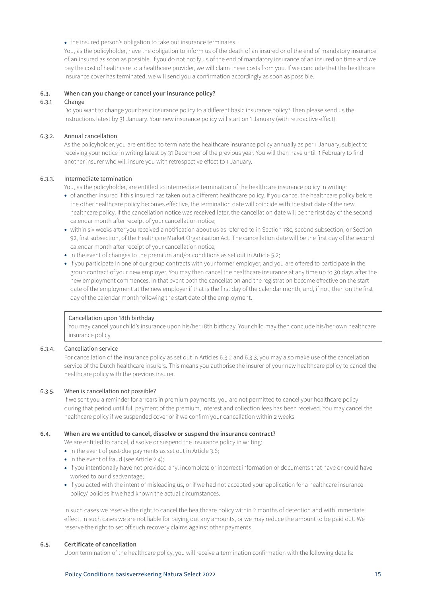• the insured person's obligation to take out insurance terminates.

You, as the policyholder, have the obligation to inform us of the death of an insured or of the end of mandatory insurance of an insured as soon as possible. If you do not notify us of the end of mandatory insurance of an insured on time and we pay the cost of healthcare to a healthcare provider, we will claim these costs from you. If we conclude that the healthcare insurance cover has terminated, we will send you a confirmation accordingly as soon as possible.

# **6.3. When can you change or cancel your insurance policy?**

# 6.3.1 Change

Do you want to change your basic insurance policy to a different basic insurance policy? Then please send us the instructions latest by 31 January. Your new insurance policy will start on 1 January (with retroactive effect).

# 6.3.2. Annual cancellation

As the policyholder, you are entitled to terminate the healthcare insurance policy annually as per 1 January, subject to receiving your notice in writing latest by 31 December of the previous year. You will then have until 1 February to find another insurer who will insure you with retrospective effect to 1 January.

# 6.3.3. Intermediate termination

You, as the policyholder, are entitled to intermediate termination of the healthcare insurance policy in writing:

- of another insured if this insured has taken out a different healthcare policy. If you cancel the healthcare policy before the other healthcare policy becomes effective, the termination date will coincide with the start date of the new healthcare policy. If the cancellation notice was received later, the cancellation date will be the first day of the second calendar month after receipt of your cancellation notice;
- within six weeks after you received a notification about us as referred to in Section 78c, second subsection, or Section 92, first subsection, of the Healthcare Market Organisation Act. The cancellation date will be the first day of the second calendar month after receipt of your cancellation notice;
- in the event of changes to the premium and/or conditions as set out in Article 5.2;
- if you participate in one of our group contracts with your former employer, and you are offered to participate in the group contract of your new employer. You may then cancel the healthcare insurance at any time up to 30 days after the new employment commences. In that event both the cancellation and the registration become effective on the start date of the employment at the new employer if that is the first day of the calendar month, and, if not, then on the first day of the calendar month following the start date of the employment.

### Cancellation upon 18th birthday

You may cancel your child's insurance upon his/her 18th birthday. Your child may then conclude his/her own healthcare insurance policy.

### 6.3.4. Cancellation service

For cancellation of the insurance policy as set out in Articles 6.3.2 and 6.3.3, you may also make use of the cancellation service of the Dutch healthcare insurers. This means you authorise the insurer of your new healthcare policy to cancel the healthcare policy with the previous insurer.

# 6.3.5. When is cancellation not possible?

If we sent you a reminder for arrears in premium payments, you are not permitted to cancel your healthcare policy during that period until full payment of the premium, interest and collection fees has been received. You may cancel the healthcare policy if we suspended cover or if we confirm your cancellation within 2 weeks.

#### **6.4. When are we entitled to cancel, dissolve or suspend the insurance contract?**

We are entitled to cancel, dissolve or suspend the insurance policy in writing:

- in the event of past-due payments as set out in Article 3.6;
- in the event of fraud (see Article 2.4);
- if you intentionally have not provided any, incomplete or incorrect information or documents that have or could have worked to our disadvantage;
- if you acted with the intent of misleading us, or if we had not accepted your application for a healthcare insurance policy/ policies if we had known the actual circumstances.

In such cases we reserve the right to cancel the healthcare policy within 2 months of detection and with immediate effect. In such cases we are not liable for paying out any amounts, or we may reduce the amount to be paid out. We reserve the right to set off such recovery claims against other payments.

# **6.5. Certificate of cancellation**

Upon termination of the healthcare policy, you will receive a termination confirmation with the following details:

### Policy Conditions basisverzekering Natura Select 2022 15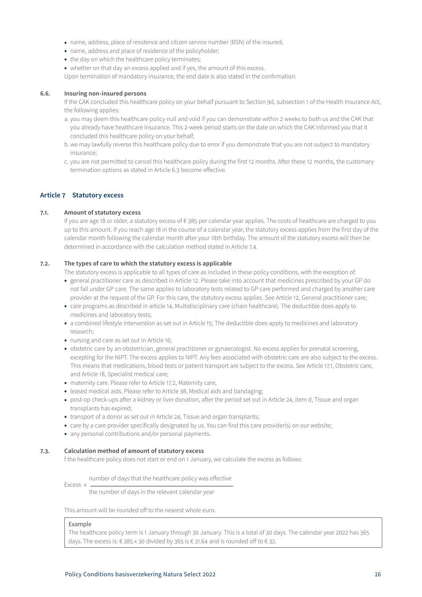- <span id="page-15-0"></span>• name, address, place of residence and citizen service number (BSN) of the insured;
- name, address and place of residence of the policyholder;
- the day on which the healthcare policy terminates;
- whether on that day an excess applied and if yes, the amount of this excess.

Upon termination of mandatory insurance, the end date is also stated in the confirmation.

# **6.6. Insuring non-insured persons**

If the CAK concluded this healthcare policy on your behalf pursuant to Section 9d, subsection 1 of the Health Insurance Act, the following applies:

- a. you may deem this healthcare policy null and void if you can demonstrate within 2 weeks to both us and the CAK that you already have healthcare insurance. This 2-week period starts on the date on which the CAK informed you that it concluded this healthcare policy on your behalf;
- b. we may lawfully reverse this healthcare policy due to error if you demonstrate that you are not subject to mandatory insurance;
- c. you are not permitted to cancel this healthcare policy during the first 12 months. After these 12 months, the customary termination options as stated in Article 6.3 become effective.

# **Article 7 Statutory excess**

# **7.1. Amount of statutory excess**

If you are age 18 or older, a statutory excess of € 385 per calendar year applies. The costs of healthcare are charged to you up to this amount. If you reach age 18 in the course of a calendar year, the statutory excess applies from the first day of the calendar month following the calendar month after your 18th birthday. The amount of the statutory excess will then be determined in accordance with the calculation method stated in Article 7.4.

# **7.2. The types of care to which the statutory excess is applicable**

The statutory excess is applicable to all types of care as included in these policy conditions, with the exception of:

- general practitioner care as described in Article 12. Please take into account that medicines prescribed by your GP do not fall under GP care. The same applies to laboratory tests related to GP care performed and charged by another care provider at the request of the GP. For this care, the statutory excess applies. See Article 12, General practitioner care;
- care programs as described in article 14, Multidisciplinary care (chain healthcare). The deductible does apply to medicines and laboratory tests;
- a combined lifestyle intervention as set out in Article 15; The deductible does apply to medicines and laboratory research;
- nursing and care as set out in Article 16;
- obstetric care by an obstetrician, general practitioner or gynaecologist. No excess applies for prenatal screening, excepting for the NIPT. The excess applies to NIPT. Any fees associated with obstetric care are also subject to the excess. This means that medications, blood tests or patient transport are subject to the excess. See Article 17.1, Obstetric care, and Article 18, Specialist medical care;
- maternity care. Please refer to Article 17.2, Maternity care;
- leased medical aids. Please refer to Article 38, Medical aids and bandaging;
- post-op check-ups after a kidney or liver donation, after the period set out in Article 24, item d, Tissue and organ transplants has expired;
- transport of a donor as set out in Article 24, Tissue and organ transplants;
- care by a care provider specifically designated by us. You can find this care provider(s) on our website;
- any personal contributions and/or personal payments.

# **7.3. Calculation method of amount of statutory excess**

f the healthcare policy does not start or end on 1 January, we calculate the excess as follows:

Excess x number of days that the healthcare policy was effective

the number of days in the relevant calendar year

This amount will be rounded off to the nearest whole euro.

# Example

The healthcare policy term is 1 January through 30 January. This is a total of 30 days. The calendar year 2022 has 365 days. The excess is: € 385 x 30 divided by 365 is € 31.64 and is rounded off to € 32.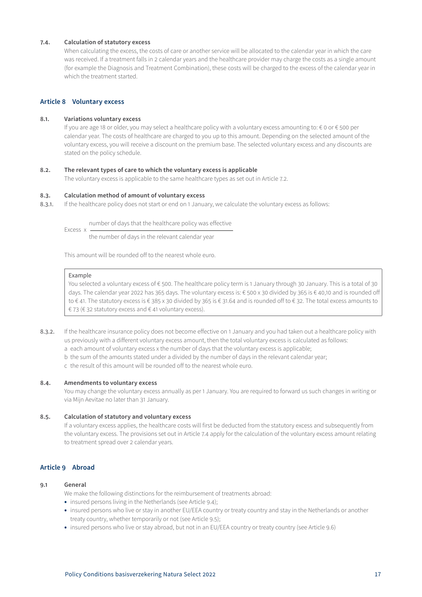# <span id="page-16-0"></span>**7.4. Calculation of statutory excess**

When calculating the excess, the costs of care or another service will be allocated to the calendar year in which the care was received. If a treatment falls in 2 calendar years and the healthcare provider may charge the costs as a single amount (for example the Diagnosis and Treatment Combination), these costs will be charged to the excess of the calendar year in which the treatment started

# **Article 8 Voluntary excess**

# **8.1. Variations voluntary excess**

If you are age 18 or older, you may select a healthcare policy with a voluntary excess amounting to: € 0 or € 500 per calendar year. The costs of healthcare are charged to you up to this amount. Depending on the selected amount of the voluntary excess, you will receive a discount on the premium base. The selected voluntary excess and any discounts are stated on the policy schedule.

# **8.2. The relevant types of care to which the voluntary excess is applicable**

The voluntary excess is applicable to the same healthcare types as set out in Article 7.2.

### **8.3. Calculation method of amount of voluntary excess**

8.3.1. If the healthcare policy does not start or end on 1 January, we calculate the voluntary excess as follows:

Excess x number of days that the healthcare policy was effective

the number of days in the relevant calendar year

This amount will be rounded off to the nearest whole euro.

#### Example

You selected a voluntary excess of € 500. The healthcare policy term is 1 January through 30 January. This is a total of 30 days. The calendar year 2022 has 365 days. The voluntary excess is: € 500 x 30 divided by 365 is € 40,10 and is rounded off to € 41. The statutory excess is € 385 x 30 divided by 365 is € 31.64 and is rounded off to € 32. The total excess amounts to € 73 (€ 32 statutory excess and € 41 voluntary excess).

- 8.3.2. If the healthcare insurance policy does not become effective on 1 January and you had taken out a healthcare policy with us previously with a different voluntary excess amount, then the total voluntary excess is calculated as follows:
	- a each amount of voluntary excess x the number of days that the voluntary excess is applicable;
	- b the sum of the amounts stated under a divided by the number of days in the relevant calendar year;

c the result of this amount will be rounded off to the nearest whole euro.

### **8.4. Amendments to voluntary excess**

You may change the voluntary excess annually as per 1 January. You are required to forward us such changes in writing or via Mijn Aevitae no later than 31 January.

# **8.5. Calculation of statutory and voluntary excess**

If a voluntary excess applies, the healthcare costs will first be deducted from the statutory excess and subsequently from the voluntary excess. The provisions set out in Article 7.4 apply for the calculation of the voluntary excess amount relating to treatment spread over 2 calendar years.

# **Article 9 Abroad**

### **9.1 General**

We make the following distinctions for the reimbursement of treatments abroad:

- insured persons living in the Netherlands (see Article 9.4);
- insured persons who live or stay in another EU/EEA country or treaty country and stay in the Netherlands or another treaty country, whether temporarily or not (see Article 9.5);
- insured persons who live or stay abroad, but not in an EU/EEA country or treaty country (see Article 9.6)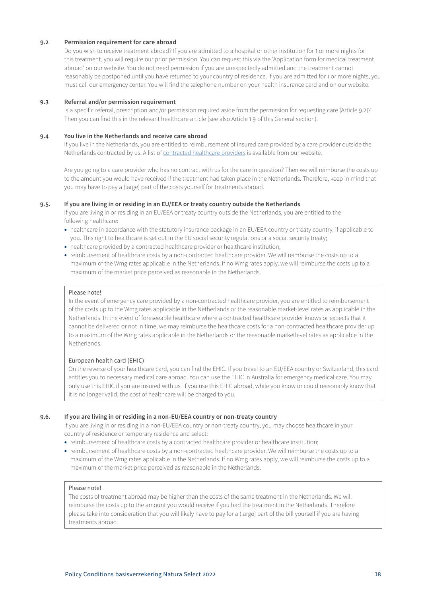# **9.2 Permission requirement for care abroad**

Do you wish to receive treatment abroad? If you are admitted to a hospital or other institution for 1 or more nights for this treatment, you will require our prior permission. You can request this via the 'Application form for medical treatment abroad' on our website. You do not need permission if you are unexpectedly admitted and the treatment cannot reasonably be postponed until you have returned to your country of residence. If you are admitted for 1 or more nights, you must call our emergency center. You will find the telephone number on your health insurance card and on our website.

# **9.3 Referral and/or permission requirement**

Is a specific referral, prescription and/or permission required aside from the permission for requesting care (Article 9.2)? Then you can find this in the relevant healthcare article (see also Article 1.9 of this General section).

# **9.4 You live in the Netherlands and receive care abroad**

If you live in the Netherlands, you are entitled to reimbursement of insured care provided by a care provider outside the Netherlands contracted by us. A list of [contracted healthcare providers](https://www3.aevitae.com/zoek-eucare-zorgverlener) is available from our website.

Are you going to a care provider who has no contract with us for the care in question? Then we will reimburse the costs up to the amount you would have received if the treatment had taken place in the Netherlands. Therefore, keep in mind that you may have to pay a (large) part of the costs yourself for treatments abroad.

# **9.5. If you are living in or residing in an EU/EEA or treaty country outside the Netherlands**

If you are living in or residing in an EU/EEA or treaty country outside the Netherlands, you are entitled to the following healthcare:

- healthcare in accordance with the statutory insurance package in an EU/EEA country or treaty country, if applicable to you. This right to healthcare is set out in the EU social security regulations or a social security treaty;
- healthcare provided by a contracted healthcare provider or healthcare institution;
- reimbursement of healthcare costs by a non-contracted healthcare provider. We will reimburse the costs up to a maximum of the Wmg rates applicable in the Netherlands. If no Wmg rates apply, we will reimburse the costs up to a maximum of the market price perceived as reasonable in the Netherlands.

# Please note!

In the event of emergency care provided by a non-contracted healthcare provider, you are entitled to reimbursement of the costs up to the Wmg rates applicable in the Netherlands or the reasonable market-level rates as applicable in the Netherlands. In the event of foreseeable healthcare where a contracted healthcare provider knows or expects that it cannot be delivered or not in time, we may reimburse the healthcare costs for a non-contracted healthcare provider up to a maximum of the Wmg rates applicable in the Netherlands or the reasonable marketlevel rates as applicable in the Netherlands.

# European health card (EHIC)

On the reverse of your healthcare card, you can find the EHIC. If you travel to an EU/EEA country or Switzerland, this card entitles you to necessary medical care abroad. You can use the EHIC in Australia for emergency medical care. You may only use this EHIC if you are insured with us. If you use this EHIC abroad, while you know or could reasonably know that it is no longer valid, the cost of healthcare will be charged to you.

# **9.6. If you are living in or residing in a non-EU/EEA country or non-treaty country**

If you are living in or residing in a non-EU/EEA country or non-treaty country, you may choose healthcare in your country of residence or temporary residence and select:

- reimbursement of healthcare costs by a contracted healthcare provider or healthcare institution;
- reimbursement of healthcare costs by a non-contracted healthcare provider. We will reimburse the costs up to a maximum of the Wmg rates applicable in the Netherlands. If no Wmg rates apply, we will reimburse the costs up to a maximum of the market price perceived as reasonable in the Netherlands.

# Please note!

The costs of treatment abroad may be higher than the costs of the same treatment in the Netherlands. We will reimburse the costs up to the amount you would receive if you had the treatment in the Netherlands. Therefore please take into consideration that you will likely have to pay for a (large) part of the bill yourself if you are having treatments abroad.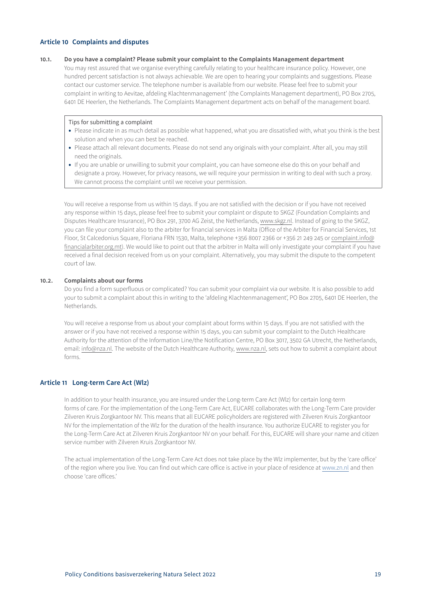# <span id="page-18-0"></span>**Article 10 Complaints and disputes**

# **10.1. Do you have a complaint? Please submit your complaint to the Complaints Management department**

You may rest assured that we organise everything carefully relating to your healthcare insurance policy. However, one hundred percent satisfaction is not always achievable. We are open to hearing your complaints and suggestions. Please contact our customer service. The telephone number is available from our website. Please feel free to submit your complaint in writing to Aevitae, afdeling Klachtenmanagement' (the Complaints Management department), PO Box 2705, 6401 DE Heerlen, the Netherlands. The Complaints Management department acts on behalf of the management board.

# Tips for submitting a complaint

- Please indicate in as much detail as possible what happened, what you are dissatisfied with, what you think is the best solution and when you can best be reached.
- Please attach all relevant documents. Please do not send any originals with your complaint. After all, you may still need the originals.
- If you are unable or unwilling to submit your complaint, you can have someone else do this on your behalf and designate a proxy. However, for privacy reasons, we will require your permission in writing to deal with such a proxy. We cannot process the complaint until we receive your permission.

You will receive a response from us within 15 days. If you are not satisfied with the decision or if you have not received any response within 15 days, please feel free to submit your complaint or dispute to SKGZ (Foundation Complaints and Disputes Healthcare Insurance), PO Box 291, 3700 AG Zeist, the Netherlands, www.skgz.nl. Instead of going to the SKGZ, you can file your complaint also to the arbiter for financial services in Malta (Office of the Arbiter for Financial Services, 1st Floor, St Calcedonius Square, Floriana FRN 1530, Malta, telephone +356 8007 2366 or +356 21 249 245 or complaint.info@ financialarbiter.org.mt). We would like to point out that the arbitrer in Malta will only investigate your complaint if you have received a final decision received from us on your complaint. Alternatively, you may submit the dispute to the competent court of law.

# **10.2. Complaints about our forms**

Do you find a form superfluous or complicated? You can submit your complaint via our website. It is also possible to add your to submit a complaint about this in writing to the 'afdeling Klachtenmanagement', PO Box 2705, 6401 DE Heerlen, the Netherlands.

You will receive a response from us about your complaint about forms within 15 days. If you are not satisfied with the answer or if you have not received a response within 15 days, you can submit your complaint to the Dutch Healthcare Authority for the attention of the Information Line/the Notification Centre, PO Box 3017, 3502 GA Utrecht, the Netherlands, email: info@nza.nl. The website of the Dutch Healthcare Authority, www.nza.nl, sets out how to submit a complaint about forms.

# **Article 11 Long-term Care Act (Wlz)**

In addition to your health insurance, you are insured under the Long-term Care Act (Wlz) for certain long-term forms of care. For the implementation of the Long-Term Care Act, EUCARE collaborates with the Long-Term Care provider Zilveren Kruis Zorgkantoor NV. This means that all EUCARE policyholders are registered with Zilveren Kruis Zorgkantoor NV for the implementation of the Wlz for the duration of the health insurance. You authorize EUCARE to register you for the Long-Term Care Act at Zilveren Kruis Zorgkantoor NV on your behalf. For this, EUCARE will share your name and citizen service number with Zilveren Kruis Zorgkantoor NV.

The actual implementation of the Long-Term Care Act does not take place by the Wlz implementer, but by the 'care office' of the region where you live. You can find out which care office is active in your place of residence at [www.zn.nl](http://www.zn.nl) and then choose 'care offices.'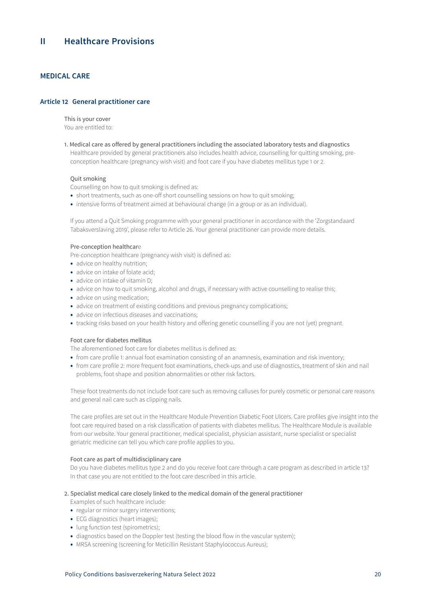# <span id="page-19-0"></span>**MEDICAL CARE**

# **Article 12 General practitioner care**

This is your cover You are entitled to:

1. Medical care as offered by general practitioners including the associated laboratory tests and diagnostics Healthcare provided by general practitioners also includes health advice, counselling for quitting smoking, preconception healthcare (pregnancy wish visit) and foot care if you have diabetes mellitus type 1 or 2.

# Quit smoking

Counselling on how to quit smoking is defined as:

- short treatments, such as one-off short counselling sessions on how to quit smoking;
- intensive forms of treatment aimed at behavioural change (in a group or as an individual).

If you attend a Quit Smoking programme with your general practitioner in accordance with the 'Zorgstandaard Tabaksverslaving 2019', please refer to Article 26. Your general practitioner can provide more details.

### Pre-conception healthcare

Pre-conception healthcare (pregnancy wish visit) is defined as:

- advice on healthy nutrition;
- advice on intake of folate acid;
- advice on intake of vitamin D;
- advice on how to quit smoking, alcohol and drugs, if necessary with active counselling to realise this;
- advice on using medication;
- advice on treatment of existing conditions and previous pregnancy complications;
- advice on infectious diseases and vaccinations;
- tracking risks based on your health history and offering genetic counselling if you are not (yet) pregnant.

### Foot care for diabetes mellitus

The aforementioned foot care for diabetes mellitus is defined as:

- from care profile 1: annual foot examination consisting of an anamnesis, examination and risk inventory;
- from care profile 2: more frequent foot examinations, check-ups and use of diagnostics, treatment of skin and nail problems, foot shape and position abnormalities or other risk factors.

These foot treatments do not include foot care such as removing calluses for purely cosmetic or personal care reasons and general nail care such as clipping nails.

The care profiles are set out in the Healthcare Module Prevention Diabetic Foot Ulcers. Care profiles give insight into the foot care required based on a risk classification of patients with diabetes mellitus. The Healthcare Module is available from our website. Your general practitioner, medical specialist, physician assistant, nurse specialist or specialist geriatric medicine can tell you which care profile applies to you.

### Foot care as part of multidisciplinary care

Do you have diabetes mellitus type 2 and do you receive foot care through a care program as described in article 13? In that case you are not entitled to the foot care described in this article.

# 2. Specialist medical care closely linked to the medical domain of the general practitioner

Examples of such healthcare include:

- regular or minor surgery interventions;
- ECG diagnostics (heart images);
- lung function test (spirometrics);
- diagnostics based on the Doppler test (testing the blood flow in the vascular system);
- MRSA screening (screening for Meticillin Resistant Staphylococcus Aureus);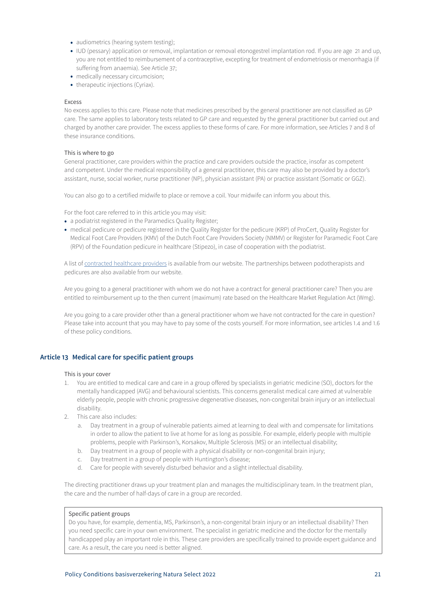- <span id="page-20-0"></span>• audiometrics (hearing system testing);
- IUD (pessary) application or removal, implantation or removal etonogestrel implantation rod. If you are age 21 and up, you are not entitled to reimbursement of a contraceptive, excepting for treatment of endometriosis or menorrhagia (if suffering from anaemia). See Article 37;
- medically necessary circumcision;
- therapeutic injections (Cyriax).

### Excess

No excess applies to this care. Please note that medicines prescribed by the general practitioner are not classified as GP care. The same applies to laboratory tests related to GP care and requested by the general practitioner but carried out and charged by another care provider. The excess applies to these forms of care. For more information, see Articles 7 and 8 of these insurance conditions.

## This is where to go

General practitioner, care providers within the practice and care providers outside the practice, insofar as competent and competent. Under the medical responsibility of a general practitioner, this care may also be provided by a doctor's assistant, nurse, social worker, nurse practitioner (NP), physician assistant (PA) or practice assistant (Somatic or GGZ).

You can also go to a certified midwife to place or remove a coil. Your midwife can inform you about this.

For the foot care referred to in this article you may visit:

- a podiatrist registered in the Paramedics Quality Register;
- medical pedicure or pedicure registered in the Quality Register for the pedicure (KRP) of ProCert, Quality Register for Medical Foot Care Providers (KMV) of the Dutch Foot Care Providers Society (NMMV) or Register for Paramedic Foot Care (RPV) of the Foundation pedicure in healthcare (Stipezo), in case of cooperation with the podiatrist.

A list of [contracted healthcare providers](https://www3.aevitae.com/zoek-eucare-zorgverlener) is available from our website. The partnerships between podotherapists and pedicures are also available from our website.

Are you going to a general practitioner with whom we do not have a contract for general practitioner care? Then you are entitled to reimbursement up to the then current (maximum) rate based on the Healthcare Market Regulation Act (Wmg).

Are you going to a care provider other than a general practitioner whom we have not contracted for the care in question? Please take into account that you may have to pay some of the costs yourself. For more information, see articles 1.4 and 1.6 of these policy conditions.

# **Article 13 Medical care for specific patient groups**

#### This is your cover

- 1. You are entitled to medical care and care in a group offered by specialists in geriatric medicine (SO), doctors for the mentally handicapped (AVG) and behavioural scientists. This concerns generalist medical care aimed at vulnerable elderly people, people with chronic progressive degenerative diseases, non-congenital brain injury or an intellectual disability.
- 2. This care also includes:
	- a. Day treatment in a group of vulnerable patients aimed at learning to deal with and compensate for limitations in order to allow the patient to live at home for as long as possible. For example, elderly people with multiple problems, people with Parkinson's, Korsakov, Multiple Sclerosis (MS) or an intellectual disability;
	- b. Day treatment in a group of people with a physical disability or non-congenital brain injury;
	- c. Day treatment in a group of people with Huntington's disease;
	- d. Care for people with severely disturbed behavior and a slight intellectual disability.

The directing practitioner draws up your treatment plan and manages the multidisciplinary team. In the treatment plan, the care and the number of half-days of care in a group are recorded.

### Specific patient groups

Do you have, for example, dementia, MS, Parkinson's, a non-congenital brain injury or an intellectual disability? Then you need specific care in your own environment. The specialist in geriatric medicine and the doctor for the mentally handicapped play an important role in this. These care providers are specifically trained to provide expert guidance and care. As a result, the care you need is better aligned.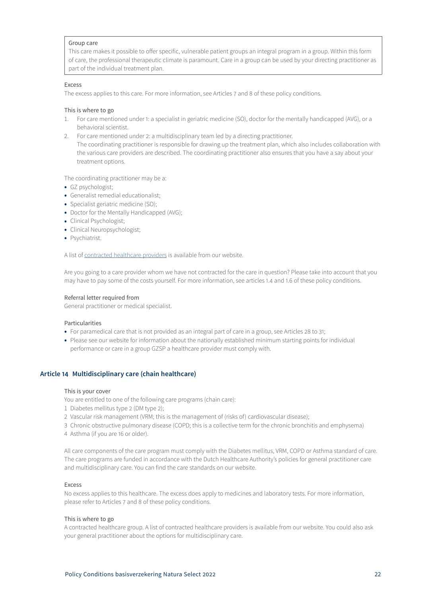## <span id="page-21-0"></span>Group care

This care makes it possible to offer specific, vulnerable patient groups an integral program in a group. Within this form of care, the professional therapeutic climate is paramount. Care in a group can be used by your directing practitioner as part of the individual treatment plan.

#### Excess

The excess applies to this care. For more information, see Articles 7 and 8 of these policy conditions.

### This is where to go

- 1. For care mentioned under 1: a specialist in geriatric medicine (SO), doctor for the mentally handicapped (AVG), or a behavioral scientist.
- 2. For care mentioned under 2: a multidisciplinary team led by a directing practitioner. The coordinating practitioner is responsible for drawing up the treatment plan, which also includes collaboration with the various care providers are described. The coordinating practitioner also ensures that you have a say about your treatment options.

The coordinating practitioner may be a:

- GZ psychologist;
- Generalist remedial educationalist;
- Specialist geriatric medicine (SO);
- Doctor for the Mentally Handicapped (AVG);
- Clinical Psychologist;
- Clinical Neuropsychologist;
- Psychiatrist.

A list of contracted healthcare providers is available from our website.

Are you going to a care provider whom we have not contracted for the care in question? Please take into account that you may have to pay some of the costs yourself. For more information, see articles 1.4 and 1.6 of these policy conditions.

### Referral letter required from

General practitioner or medical specialist.

# Particularities

- For paramedical care that is not provided as an integral part of care in a group, see Articles 28 to 31;
- Please see our website for information about the nationally established minimum starting points for individual performance or care in a group GZSP a healthcare provider must comply with.

# **Article 14 Multidisciplinary care (chain healthcare)**

#### This is your cover

You are entitled to one of the following care programs (chain care):

- 1 Diabetes mellitus type 2 (DM type 2);
- 2 Vascular risk management (VRM; this is the management of (risks of) cardiovascular disease);
- 3 Chronic obstructive pulmonary disease (COPD; this is a collective term for the chronic bronchitis and emphysema)
- 4 Asthma (if you are 16 or older).

All care components of the care program must comply with the Diabetes mellitus, VRM, COPD or Asthma standard of care. The care programs are funded in accordance with the Dutch Healthcare Authority's policies for general practitioner care and multidisciplinary care. You can find the care standards on our website.

### Excess

No excess applies to this healthcare. The excess does apply to medicines and laboratory tests. For more information, please refer to Articles 7 and 8 of these policy conditions.

# This is where to go

A contracted healthcare group. A list of contracted healthcare providers is available from our website. You could also ask your general practitioner about the options for multidisciplinary care.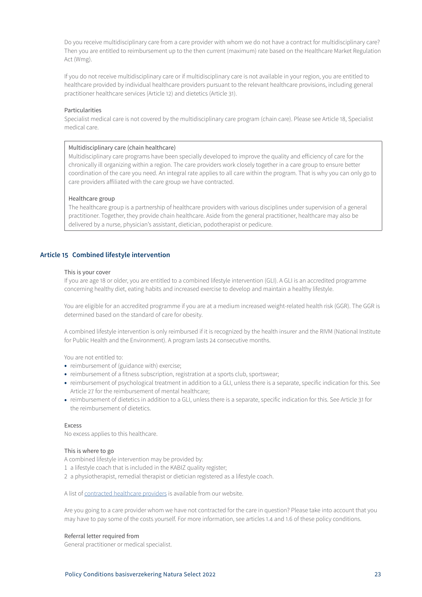<span id="page-22-0"></span>Do you receive multidisciplinary care from a care provider with whom we do not have a contract for multidisciplinary care? Then you are entitled to reimbursement up to the then current (maximum) rate based on the Healthcare Market Regulation Act (Wmg).

If you do not receive multidisciplinary care or if multidisciplinary care is not available in your region, you are entitled to healthcare provided by individual healthcare providers pursuant to the relevant healthcare provisions, including general practitioner healthcare services (Article 12) and dietetics (Article 31).

# Particularities

Specialist medical care is not covered by the multidisciplinary care program (chain care). Please see Article 18, Specialist medical care.

# Multidisciplinary care (chain healthcare)

Multidisciplinary care programs have been specially developed to improve the quality and efficiency of care for the chronically ill organizing within a region. The care providers work closely together in a care group to ensure better coordination of the care you need. An integral rate applies to all care within the program. That is why you can only go to care providers affiliated with the care group we have contracted.

### Healthcare group

The healthcare group is a partnership of healthcare providers with various disciplines under supervision of a general practitioner. Together, they provide chain healthcare. Aside from the general practitioner, healthcare may also be delivered by a nurse, physician's assistant, dietician, podotherapist or pedicure.

# **Article 15 Combined lifestyle intervention**

#### This is your cover

If you are age 18 or older, you are entitled to a combined lifestyle intervention (GLI). A GLI is an accredited programme concerning healthy diet, eating habits and increased exercise to develop and maintain a healthy lifestyle.

You are eligible for an accredited programme if you are at a medium increased weight-related health risk (GGR). The GGR is determined based on the standard of care for obesity.

A combined lifestyle intervention is only reimbursed if it is recognized by the health insurer and the RIVM (National Institute for Public Health and the Environment). A program lasts 24 consecutive months.

You are not entitled to:

- reimbursement of (guidance with) exercise;
- reimbursement of a fitness subscription, registration at a sports club, sportswear;
- reimbursement of psychological treatment in addition to a GLI, unless there is a separate, specific indication for this. See Article 27 for the reimbursement of mental healthcare;
- reimbursement of dietetics in addition to a GLI, unless there is a separate, specific indication for this. See Article 31 for the reimbursement of dietetics.

### Excess

No excess applies to this healthcare.

# This is where to go

A combined lifestyle intervention may be provided by:

- 1 a lifestyle coach that is included in the KABIZ quality register;
- 2 a physiotherapist, remedial therapist or dietician registered as a lifestyle coach.

A list of contracted healthcare providers is available from our website.

Are you going to a care provider whom we have not contracted for the care in question? Please take into account that you may have to pay some of the costs yourself. For more information, see articles 1.4 and 1.6 of these policy conditions.

#### Referral letter required from

General practitioner or medical specialist.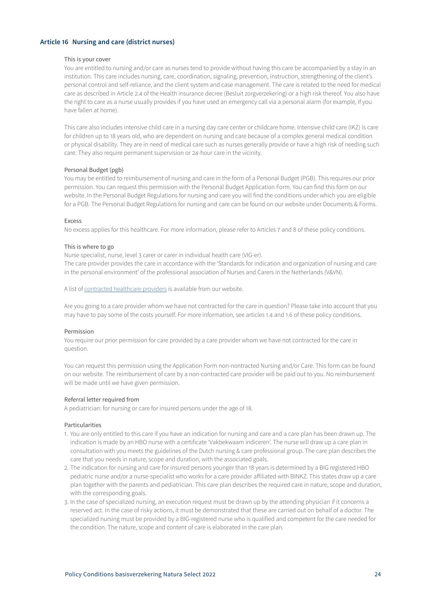# <span id="page-23-0"></span>**Article 16 Nursing and care (district nurses)**

### This is your cover

You are entitled to nursing and/or care as nurses tend to provide without having this care be accompanied by a stay in an institution. This care includes nursing, care, coordination, signaling, prevention, instruction, strengthening of the client's personal control and self-reliance, and the client system and case management. The care is related to the need for medical care as described in Article 2.4 of the Health insurance decree (Besluit zorgverzekering) or a high risk thereof. You also have the right to care as a nurse usually provides if you have used an emergency call via a personal alarm (for example, if you have fallen at home).

This care also includes intensive child care in a nursing day care center or childcare home. Intensive child care (IKZ) is care for children up to 18 years old, who are dependent on nursing and care because of a complex general medical condition or physical disability. They are in need of medical care such as nurses generally provide or have a high risk of needing such care. They also require permanent supervision or 24-hour care in the vicinity.

### Personal Budget (pgb)

You may be entitled to reimbursement of nursing and care in the form of a Personal Budget (PGB). This requires our prior permission. You can request this permission with the Personal Budget Application Form. You can find this form on our website. In the Personal Budget Regulations for nursing and care you will find the conditions under which you are eligible for a PGB. The Personal Budget Regulations for nursing and care can be found on our website under Documents & Forms.

#### Excess

No excess applies for this healthcare. For more information, please refer to Articles 7 and 8 of these policy conditions.

### This is where to go

Nurse specialist, nurse, level 3 carer or carer in individual health care (VIG-er).

The care provider provides the care in accordance with the 'Standards for indication and organization of nursing and care in the personal environment' of the professional association of Nurses and Carers in the Netherlands (V&VN).

A list of [contracted healthcare providers](https://www3.aevitae.com/zoek-eucare-zorgverlener) is available from our website.

Are you going to a care provider whom we have not contracted for the care in question? Please take into account that you may have to pay some of the costs yourself. For more information, see articles 1.4 and 1.6 of these policy conditions.

#### Permission

You require our prior permission for care provided by a care provider whom we have not contracted for the care in question.

You can request this permission using the Application Form non-nontracted Nursing and/or Care. This form can be found on our website. The reimbursement of care by a non-contracted care provider will be paid out to you. No reimbursement will be made until we have given permission.

# Referral letter required from

A pediatrician: for nursing or care for insured persons under the age of 18.

# Particularities

- 1. You are only entitled to this care if you have an indication for nursing and care and a care plan has been drawn up. The indication is made by an HBO nurse with a certificate 'Vakbekwaam indiceren'. The nurse will draw up a care plan in consultation with you meets the guidelines of the Dutch nursing & care professional group. The care plan describes the care that you needs in nature, scope and duration, with the associated goals.
- 2. The indication for nursing and care for insured persons younger than 18 years is determined by a BIG registered HBO pediatric nurse and/or a nurse-specialist who works for a care provider affiliated with BINKZ. This states draw up a care plan together with the parents and pediatrician. This care plan describes the required care in nature, scope and duration, with the corresponding goals.
- 3. In the case of specialized nursing, an execution request must be drawn up by the attending physician if it concerns a reserved act. In the case of risky actions, it must be demonstrated that these are carried out on behalf of a doctor. The specialized nursing must be provided by a BIG-registered nurse who is qualified and competent for the care needed for the condition. The nature, scope and content of care is elaborated in the care plan.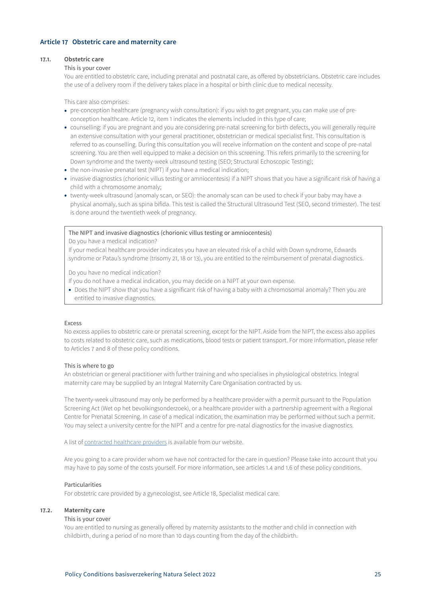# <span id="page-24-0"></span>**Article 17 Obstetric care and maternity care**

### **17.1. Obstetric care**

### This is your cover

You are entitled to obstetric care, including prenatal and postnatal care, as offered by obstetricians. Obstetric care includes the use of a delivery room if the delivery takes place in a hospital or birth clinic due to medical necessity.

This care also comprises:

- pre-conception healthcare (pregnancy wish consultation): if you wish to get pregnant, you can make use of preconception healthcare. Article 12, item 1 indicates the elements included in this type of care;
- counselling: if you are pregnant and you are considering pre-natal screening for birth defects, you will generally require an extensive consultation with your general practitioner, obstetrician or medical specialist first. This consultation is referred to as counselling. During this consultation you will receive information on the content and scope of pre-natal screening. You are then well equipped to make a decision on this screening. This refers primarily to the screening for Down syndrome and the twenty-week ultrasound testing (SEO; Structural Echoscopic Testing);
- the non-invasive prenatal test (NIPT) if you have a medical indication;
- invasive diagnostics (chorionic villus testing or amniocentesis) if a NIPT shows that you have a significant risk of having a child with a chromosome anomaly;
- twenty-week ultrasound (anomaly scan, or SEO): the anomaly scan can be used to check if your baby may have a physical anomaly, such as spina bifida. This test is called the Structural Ultrasound Test (SEO, second trimester). The test is done around the twentieth week of pregnancy.

### The NIPT and invasive diagnostics (chorionic villus testing or amniocentesis)

Do you have a medical indication?

If your medical healthcare provider indicates you have an elevated risk of a child with Down syndrome, Edwards syndrome or Patau's syndrome (trisomy 21, 18 or 13), you are entitled to the reimbursement of prenatal diagnostics.

Do you have no medical indication?

- If you do not have a medical indication, you may decide on a NIPT at your own expense.
- Does the NIPT show that you have a significant risk of having a baby with a chromosomal anomaly? Then you are entitled to invasive diagnostics.

# Excess

No excess applies to obstetric care or prenatal screening, except for the NIPT. Aside from the NIPT, the excess also applies to costs related to obstetric care, such as medications, blood tests or patient transport. For more information, please refer to Articles 7 and 8 of these policy conditions.

#### This is where to go

An obstetrician or general practitioner with further training and who specialises in physiological obstetrics. Integral maternity care may be supplied by an Integral Maternity Care Organisation contracted by us.

The twenty-week ultrasound may only be performed by a healthcare provider with a permit pursuant to the Population Screening Act (Wet op het bevolkingsonderzoek), or a healthcare provider with a partnership agreement with a Regional Centre for Prenatal Screening. In case of a medical indication, the examination may be performed without such a permit. You may select a university centre for the NIPT and a centre for pre-natal diagnostics for the invasive diagnostics.

A list of [contracted healthcare providers](https://www3.aevitae.com/zoek-eucare-zorgverlener) is available from our website.

Are you going to a care provider whom we have not contracted for the care in question? Please take into account that you may have to pay some of the costs yourself. For more information, see articles 1.4 and 1.6 of these policy conditions.

# Particularities

For obstetric care provided by a gynecologist, see Article 18, Specialist medical care.

# **17.2. Maternity care**

# This is your cover

You are entitled to nursing as generally offered by maternity assistants to the mother and child in connection with childbirth, during a period of no more than 10 days counting from the day of the childbirth.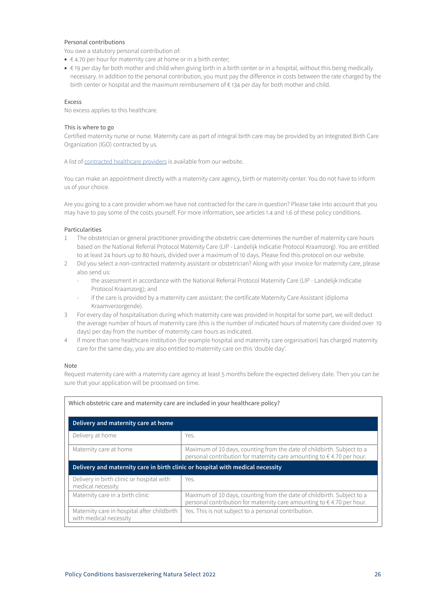# Personal contributions

You owe a statutory personal contribution of:

- $\bullet \in 4.70$  per hour for maternity care at home or in a birth center;
- € 19 per day for both mother and child when giving birth in a birth center or in a hospital, without this being medically necessary. In addition to the personal contribution, you must pay the difference in costs between the rate charged by the birth center or hospital and the maximum reimbursement of € 134 per day for both mother and child.

# Excess

No excess applies to this healthcare.

# This is where to go

Certified maternity nurse or nurse. Maternity care as part of integral birth care may be provided by an Integrated Birth Care Organization (IGO) contracted by us.

A list of [contracted healthcare providers](https://www3.aevitae.com/zoek-eucare-zorgverlener) is available from our website.

You can make an appointment directly with a maternity care agency, birth or maternity center. You do not have to inform us of your choice.

Are you going to a care provider whom we have not contracted for the care in question? Please take into account that you may have to pay some of the costs yourself. For more information, see articles 1.4 and 1.6 of these policy conditions.

# Particularities

- 1 The obstetrician or general practitioner providing the obstetric care determines the number of maternity care hours based on the National Referral Protocol Maternity Care (LIP - Landelijk Indicatie Protocol Kraamzorg). You are entitled to at least 24 hours up to 80 hours, divided over a maximum of 10 days. Please find this protocol on our website.
- 2 Did you select a non-contracted maternity assistant or obstetrician? Along with your invoice for maternity care, please also send us:
	- the assessment in accordance with the National Referral Protocol Maternity Care (LIP Landelijk Indicatie Protocol Kraamzorg); and
	- if the care is provided by a maternity care assistant: the certificate Maternity Care Assistant (diploma Kraamverzorgende).
- 3 For every day of hospitalisation during which maternity care was provided in hospital for some part, we will deduct the average number of hours of maternity care (this is the number of indicated hours of maternity care divided over 10 days) per day from the number of maternity care hours as indicated.
- 4 If more than one healthcare institution (for example hospital and maternity care organisation) has charged maternity care for the same day, you are also entitled to maternity care on this 'double day'.

# Note

Request maternity care with a maternity care agency at least 5 months before the expected delivery date. Then you can be sure that your application will be processed on time.

| Which obstetric care and maternity care are included in your healthcare policy? |                                                                                                                                                 |  |  |
|---------------------------------------------------------------------------------|-------------------------------------------------------------------------------------------------------------------------------------------------|--|--|
| Delivery and maternity care at home                                             |                                                                                                                                                 |  |  |
| Delivery at home                                                                | Yes.                                                                                                                                            |  |  |
| Maternity care at home                                                          | Maximum of 10 days, counting from the date of childbirth. Subject to a<br>personal contribution for maternity care amounting to €4.70 per hour. |  |  |
| Delivery and maternity care in birth clinic or hospital with medical necessity  |                                                                                                                                                 |  |  |
|                                                                                 |                                                                                                                                                 |  |  |
| Delivery in birth clinic or hospital with<br>medical necessity                  | Yes.                                                                                                                                            |  |  |
| Maternity care in a birth clinic                                                | Maximum of 10 days, counting from the date of childbirth. Subject to a<br>personal contribution for maternity care amounting to €4.70 per hour. |  |  |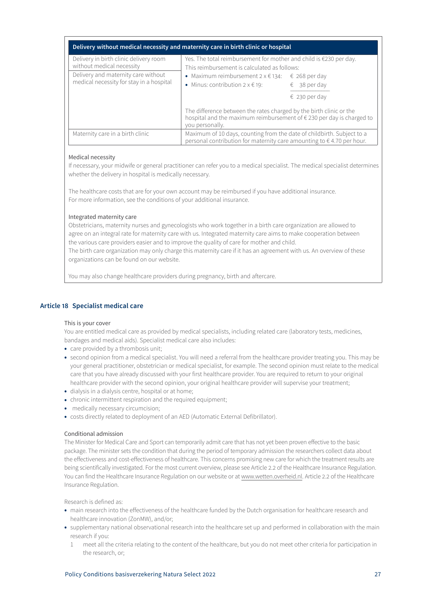<span id="page-26-0"></span>

| Delivery without medical necessity and maternity care in birth clinic or hospital |                                                                                                                                                                |               |  |
|-----------------------------------------------------------------------------------|----------------------------------------------------------------------------------------------------------------------------------------------------------------|---------------|--|
| Delivery in birth clinic delivery room<br>without medical necessity               | Yes. The total reimbursement for mother and child is $\epsilon$ 230 per day.<br>This reimbursement is calculated as follows:                                   |               |  |
| Delivery and maternity care without<br>medical necessity for stay in a hospital   | • Maximum reimbursement $2 \times 134$ : $\quad 268$ per day<br>• Minus: contribution $2 \times 6$ 19:                                                         | € 38 per day  |  |
|                                                                                   |                                                                                                                                                                | € 230 per day |  |
|                                                                                   | The difference between the rates charged by the birth clinic or the<br>hospital and the maximum reimbursement of €230 per day is charged to<br>you personally. |               |  |
| Maternity care in a birth clinic                                                  | Maximum of 10 days, counting from the date of childbirth. Subject to a<br>personal contribution for maternity care amounting to $\epsilon$ 4.70 per hour.      |               |  |

# Medical necessity

If necessary, your midwife or general practitioner can refer you to a medical specialist. The medical specialist determines whether the delivery in hospital is medically necessary.

The healthcare costs that are for your own account may be reimbursed if you have additional insurance. For more information, see the conditions of your additional insurance.

# Integrated maternity care

Obstetricians, maternity nurses and gynecologists who work together in a birth care organization are allowed to agree on an integral rate for maternity care with us. Integrated maternity care aims to make cooperation between the various care providers easier and to improve the quality of care for mother and child.

The birth care organization may only charge this maternity care if it has an agreement with us. An overview of these organizations can be found on our website.

You may also change healthcare providers during pregnancy, birth and aftercare.

# **Article 18 Specialist medical care**

# This is your cover

You are entitled medical care as provided by medical specialists, including related care (laboratory tests, medicines, bandages and medical aids). Specialist medical care also includes:

- care provided by a thrombosis unit;
- second opinion from a medical specialist. You will need a referral from the healthcare provider treating you. This may be your general practitioner, obstetrician or medical specialist, for example. The second opinion must relate to the medical care that you have already discussed with your first healthcare provider. You are required to return to your original healthcare provider with the second opinion, your original healthcare provider will supervise your treatment;
- dialysis in a dialysis centre, hospital or at home;
- chronic intermittent respiration and the required equipment;
- medically necessary circumcision:
- costs directly related to deployment of an AED (Automatic External Defibrillator).

# Conditional admission

The Minister for Medical Care and Sport can temporarily admit care that has not yet been proven effective to the basic package. The minister sets the condition that during the period of temporary admission the researchers collect data about the effectiveness and cost-effectiveness of healthcare. This concerns promising new care for which the treatment results are being scientifically investigated. For the most current overview, please see Article 2.2 of the Healthcare Insurance Regulation. You can find the Healthcare Insurance Regulation on our website or at www.wetten.overheid.nl. Article 2.2 of the Healthcare Insurance Regulation.

Research is defined as:

- main research into the effectiveness of the healthcare funded by the Dutch organisation for healthcare research and healthcare innovation (ZonMW), and/or;
- supplementary national observational research into the healthcare set up and performed in collaboration with the main research if you:
	- 1 meet all the criteria relating to the content of the healthcare, but you do not meet other criteria for participation in the research, or;

# Policy Conditions basisverzekering Natura Select 2022 27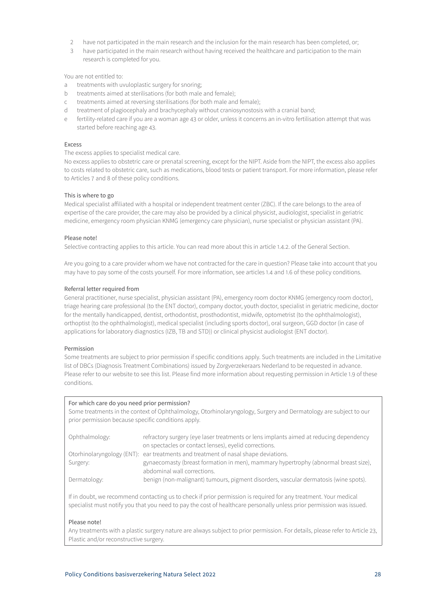- 2 have not participated in the main research and the inclusion for the main research has been completed, or;
- 3 have participated in the main research without having received the healthcare and participation to the main research is completed for you.

You are not entitled to:

- a treatments with uvuloplastic surgery for snoring;
- b treatments aimed at sterilisations (for both male and female);
- c treatments aimed at reversing sterilisations (for both male and female);
- d treatment of plagiocephaly and brachycephaly without craniosynostosis with a cranial band;
- e fertility-related care if you are a woman age 43 or older, unless it concerns an in-vitro fertilisation attempt that was started before reaching age 43.

# Excess

The excess applies to specialist medical care.

No excess applies to obstetric care or prenatal screening, except for the NIPT. Aside from the NIPT, the excess also applies to costs related to obstetric care, such as medications, blood tests or patient transport. For more information, please refer to Articles 7 and 8 of these policy conditions.

# This is where to go

Medical specialist affiliated with a hospital or independent treatment center (ZBC). If the care belongs to the area of expertise of the care provider, the care may also be provided by a clinical physicist, audiologist, specialist in geriatric medicine, emergency room physician KNMG (emergency care physician), nurse specialist or physician assistant (PA).

# Please note!

Selective contracting applies to this article. You can read more about this in article 1.4.2. of the General Section.

Are you going to a care provider whom we have not contracted for the care in question? Please take into account that you may have to pay some of the costs yourself. For more information, see articles 1.4 and 1.6 of these policy conditions.

# Referral letter required from

General practitioner, nurse specialist, physician assistant (PA), emergency room doctor KNMG (emergency room doctor), triage hearing care professional (to the ENT doctor), company doctor, youth doctor, specialist in geriatric medicine, doctor for the mentally handicapped, dentist, orthodontist, prosthodontist, midwife, optometrist (to the ophthalmologist), orthoptist (to the ophthalmologist), medical specialist (including sports doctor), oral surgeon, GGD doctor (in case of applications for laboratory diagnostics (IZB, TB and STD)) or clinical physicist audiologist (ENT doctor).

# Permission

Some treatments are subject to prior permission if specific conditions apply. Such treatments are included in the Limitative list of DBCs (Diagnosis Treatment Combinations) issued by Zorgverzekeraars Nederland to be requested in advance. Please refer to our website to see this list. Please find more information about requesting permission in Article 1.9 of these conditions.

# For which care do you need prior permission?

Some treatments in the context of Ophthalmology, Otorhinolaryngology, Surgery and Dermatology are subject to our prior permission because specific conditions apply.

| Ophthalmology: | refractory surgery (eye laser treatments or lens implants aimed at reducing dependency<br>on spectacles or contact lenses), eyelid corrections. |
|----------------|-------------------------------------------------------------------------------------------------------------------------------------------------|
|                | Otorhinolaryngology (ENT): ear treatments and treatment of nasal shape deviations.                                                              |
| Surgery:       | gynaecomasty (breast formation in men), mammary hypertrophy (abnormal breast size),                                                             |
|                | abdominal wall corrections.                                                                                                                     |
| Dermatology:   | benign (non-malignant) tumours, pigment disorders, vascular dermatosis (wine spots).                                                            |

If in doubt, we recommend contacting us to check if prior permission is required for any treatment. Your medical specialist must notify you that you need to pay the cost of healthcare personally unless prior permission was issued.

# Please note!

Any treatments with a plastic surgery nature are always subject to prior permission. For details, please refer to Article 23, Plastic and/or reconstructive surgery.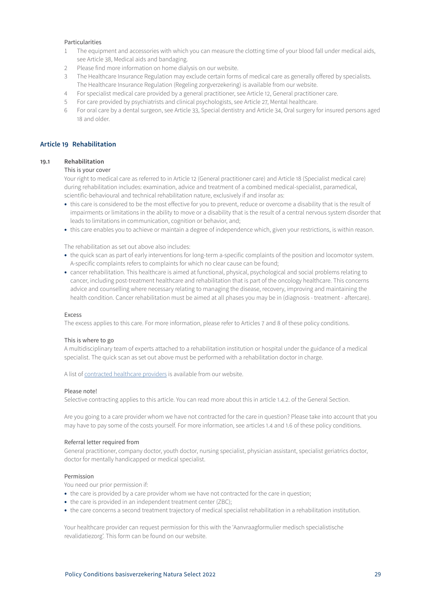# <span id="page-28-0"></span>Particularities

- 1 The equipment and accessories with which you can measure the clotting time of your blood fall under medical aids, see Article 38, Medical aids and bandaging.
- 2 Please find more information on home dialysis on our website.
- 3 The Healthcare Insurance Regulation may exclude certain forms of medical care as generally offered by specialists. The Healthcare Insurance Regulation (Regeling zorgverzekering) is available from our website.
- 4 For specialist medical care provided by a general practitioner, see Article 12, General practitioner care.
- 5 For care provided by psychiatrists and clinical psychologists, see Article 27, Mental healthcare.
- 6 For oral care by a dental surgeon, see Article 33, Special dentistry and Article 34, Oral surgery for insured persons aged 18 and older.

# **Article 19 Rehabilitation**

# **19.1 Rehabilitation**

# This is your cover

Your right to medical care as referred to in Article 12 (General practitioner care) and Article 18 (Specialist medical care) during rehabilitation includes: examination, advice and treatment of a combined medical-specialist, paramedical, scientific-behavioural and technical rehabilitation nature, exclusively if and insofar as:

- this care is considered to be the most effective for you to prevent, reduce or overcome a disability that is the result of impairments or limitations in the ability to move or a disability that is the result of a central nervous system disorder that leads to limitations in communication, cognition or behavior, and;
- this care enables you to achieve or maintain a degree of independence which, given your restrictions, is within reason.

The rehabilitation as set out above also includes:

- the quick scan as part of early interventions for long-term a-specific complaints of the position and locomotor system. A-specific complaints refers to complaints for which no clear cause can be found;
- cancer rehabilitation. This healthcare is aimed at functional, physical, psychological and social problems relating to cancer, including post-treatment healthcare and rehabilitation that is part of the oncology healthcare. This concerns advice and counselling where necessary relating to managing the disease, recovery, improving and maintaining the health condition. Cancer rehabilitation must be aimed at all phases you may be in (diagnosis - treatment - aftercare).

### Excess

The excess applies to this care. For more information, please refer to Articles 7 and 8 of these policy conditions.

# This is where to go

A multidisciplinary team of experts attached to a rehabilitation institution or hospital under the guidance of a medical specialist. The quick scan as set out above must be performed with a rehabilitation doctor in charge.

A list of [contracted healthcare providers](https://www3.aevitae.com/zoek-eucare-zorgverlener) is available from our website.

# Please note!

Selective contracting applies to this article. You can read more about this in article 1.4.2. of the General Section.

Are you going to a care provider whom we have not contracted for the care in question? Please take into account that you may have to pay some of the costs yourself. For more information, see articles 1.4 and 1.6 of these policy conditions.

# Referral letter required from

General practitioner, company doctor, youth doctor, nursing specialist, physician assistant, specialist geriatrics doctor, doctor for mentally handicapped or medical specialist.

# Permission

You need our prior permission if:

- the care is provided by a care provider whom we have not contracted for the care in question;
- the care is provided in an independent treatment center (ZBC);
- the care concerns a second treatment trajectory of medical specialist rehabilitation in a rehabilitation institution.

Your healthcare provider can request permission for this with the 'Aanvraagformulier medisch specialistische revalidatiezorg'. This form can be found on our website.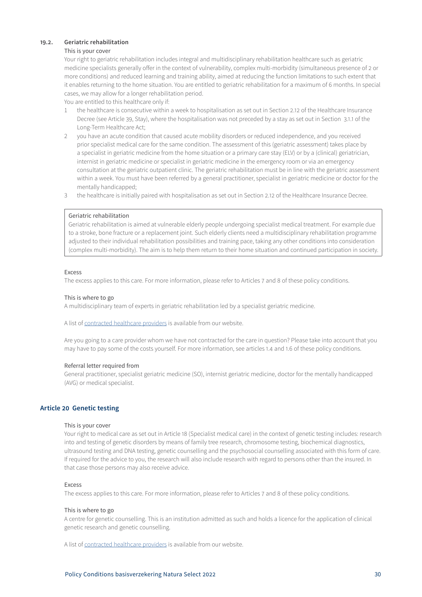# <span id="page-29-0"></span>**19.2. Geriatric rehabilitation**

### This is your cover

Your right to geriatric rehabilitation includes integral and multidisciplinary rehabilitation healthcare such as geriatric medicine specialists generally offer in the context of vulnerability, complex multi-morbidity (simultaneous presence of 2 or more conditions) and reduced learning and training ability, aimed at reducing the function limitations to such extent that it enables returning to the home situation. You are entitled to geriatric rehabilitation for a maximum of 6 months. In special cases, we may allow for a longer rehabilitation period.

You are entitled to this healthcare only if:

- 1 the healthcare is consecutive within a week to hospitalisation as set out in Section 2.12 of the Healthcare Insurance Decree (see Article 39, Stay), where the hospitalisation was not preceded by a stay as set out in Section 3.1.1 of the Long-Term Healthcare Act;
- 2 you have an acute condition that caused acute mobility disorders or reduced independence, and you received prior specialist medical care for the same condition. The assessment of this (geriatric assessment) takes place by a specialist in geriatric medicine from the home situation or a primary care stay (ELV) or by a (clinical) geriatrician, internist in geriatric medicine or specialist in geriatric medicine in the emergency room or via an emergency consultation at the geriatric outpatient clinic. The geriatric rehabilitation must be in line with the geriatric assessment within a week. You must have been referred by a general practitioner, specialist in geriatric medicine or doctor for the mentally handicapped;
- 3 the healthcare is initially paired with hospitalisation as set out in Section 2.12 of the Healthcare Insurance Decree.

# Geriatric rehabilitation

Geriatric rehabilitation is aimed at vulnerable elderly people undergoing specialist medical treatment. For example due to a stroke, bone fracture or a replacement joint. Such elderly clients need a multidisciplinary rehabilitation programme adjusted to their individual rehabilitation possibilities and training pace, taking any other conditions into consideration (complex multi-morbidity). The aim is to help them return to their home situation and continued participation in society.

# Excess

The excess applies to this care. For more information, please refer to Articles 7 and 8 of these policy conditions.

# This is where to go

A multidisciplinary team of experts in geriatric rehabilitation led by a specialist geriatric medicine.

A list of [contracted healthcare providers](https://www3.aevitae.com/zoek-eucare-zorgverlener) is available from our website.

Are you going to a care provider whom we have not contracted for the care in question? Please take into account that you may have to pay some of the costs yourself. For more information, see articles 1.4 and 1.6 of these policy conditions.

#### Referral letter required from

General practitioner, specialist geriatric medicine (SO), internist geriatric medicine, doctor for the mentally handicapped (AVG) or medical specialist.

# **Article 20 Genetic testing**

# This is your cover

Your right to medical care as set out in Article 18 (Specialist medical care) in the context of genetic testing includes: research into and testing of genetic disorders by means of family tree research, chromosome testing, biochemical diagnostics, ultrasound testing and DNA testing, genetic counselling and the psychosocial counselling associated with this form of care. If required for the advice to you, the research will also include research with regard to persons other than the insured. In that case those persons may also receive advice.

# Excess

The excess applies to this care. For more information, please refer to Articles 7 and 8 of these policy conditions.

#### This is where to go

A centre for genetic counselling. This is an institution admitted as such and holds a licence for the application of clinical genetic research and genetic counselling.

A list of [contracted healthcare providers](https://www3.aevitae.com/zoek-eucare-zorgverlener) is available from our website.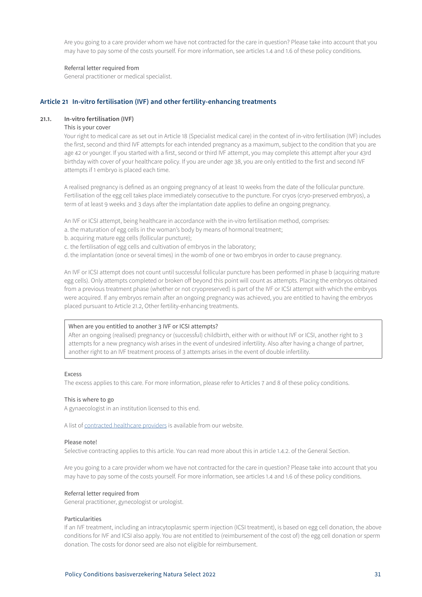<span id="page-30-0"></span>Are you going to a care provider whom we have not contracted for the care in question? Please take into account that you may have to pay some of the costs yourself. For more information, see articles 1.4 and 1.6 of these policy conditions.

# Referral letter required from

General practitioner or medical specialist.

# **Article 21 In-vitro fertilisation (IVF) and other fertility-enhancing treatments**

#### **21.1. In-vitro fertilisation (IVF)**

### This is your cover

Your right to medical care as set out in Article 18 (Specialist medical care) in the context of in-vitro fertilisation (IVF) includes the first, second and third IVF attempts for each intended pregnancy as a maximum, subject to the condition that you are age 42 or younger. If you started with a first, second or third IVF attempt, you may complete this attempt after your 43rd birthday with cover of your healthcare policy. If you are under age 38, you are only entitled to the first and second IVF attempts if 1 embryo is placed each time.

A realised pregnancy is defined as an ongoing pregnancy of at least 10 weeks from the date of the follicular puncture. Fertilisation of the egg cell takes place immediately consecutive to the puncture. For cryos (cryo-preserved embryos), a term of at least 9 weeks and 3 days after the implantation date applies to define an ongoing pregnancy.

An IVF or ICSI attempt, being healthcare in accordance with the in-vitro fertilisation method, comprises:

- a. the maturation of egg cells in the woman's body by means of hormonal treatment;
- b. acquiring mature egg cells (follicular puncture);
- c. the fertilisation of egg cells and cultivation of embryos in the laboratory;
- d. the implantation (once or several times) in the womb of one or two embryos in order to cause pregnancy.

An IVF or ICSI attempt does not count until successful follicular puncture has been performed in phase b (acquiring mature egg cells). Only attempts completed or broken off beyond this point will count as attempts. Placing the embryos obtained from a previous treatment phase (whether or not cryopreserved) is part of the IVF or ICSI attempt with which the embryos were acquired. If any embryos remain after an ongoing pregnancy was achieved, you are entitled to having the embryos placed pursuant to Article 21.2, Other fertility-enhancing treatments.

# When are you entitled to another 3 IVF or ICSI attempts?

After an ongoing (realised) pregnancy or (successful) childbirth, either with or without IVF or ICSI, another right to 3 attempts for a new pregnancy wish arises in the event of undesired infertility. Also after having a change of partner, another right to an IVF treatment process of 3 attempts arises in the event of double infertility.

#### Excess

The excess applies to this care. For more information, please refer to Articles 7 and 8 of these policy conditions.

# This is where to go

A gynaecologist in an institution licensed to this end.

A list of [contracted healthcare providers](https://www3.aevitae.com/zoek-eucare-zorgverlener) is available from our website.

### Please note!

Selective contracting applies to this article. You can read more about this in article 1.4.2. of the General Section.

Are you going to a care provider whom we have not contracted for the care in question? Please take into account that you may have to pay some of the costs yourself. For more information, see articles 1.4 and 1.6 of these policy conditions.

#### Referral letter required from

General practitioner, gynecologist or urologist.

#### Particularities

If an IVF treatment, including an intracytoplasmic sperm injection (ICSI treatment), is based on egg cell donation, the above conditions for IVF and ICSI also apply. You are not entitled to (reimbursement of the cost of) the egg cell donation or sperm donation. The costs for donor seed are also not eligible for reimbursement.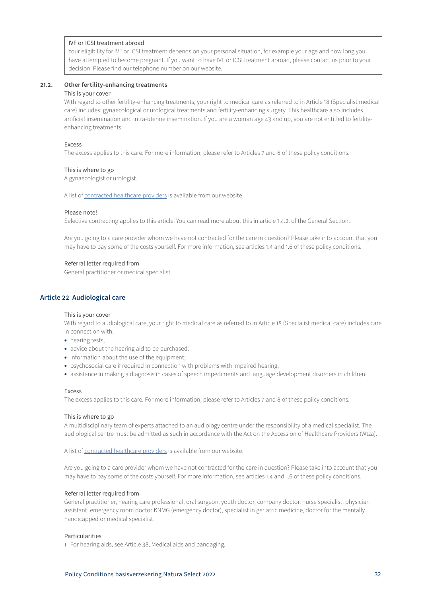# <span id="page-31-0"></span>IVF or ICSI treatment abroad

Your eligibility for IVF or ICSI treatment depends on your personal situation, for example your age and how long you have attempted to become pregnant. If you want to have IVF or ICSI treatment abroad, please contact us prior to your decision. Please find our telephone number on our website.

### **21.2. Other fertility-enhancing treatments**

#### This is your cover

With regard to other fertility-enhancing treatments, your right to medical care as referred to in Article 18 (Specialist medical care) includes: gynaecological or urological treatments and fertility-enhancing surgery. This healthcare also includes artificial insemination and intra-uterine insemination. If you are a woman age 43 and up, you are not entitled to fertilityenhancing treatments.

#### Excess

The excess applies to this care. For more information, please refer to Articles 7 and 8 of these policy conditions.

#### This is where to go

A gynaecologist or urologist.

A list of [contracted healthcare providers](https://www3.aevitae.com/zoek-eucare-zorgverlener) is available from our website.

#### Please note!

Selective contracting applies to this article. You can read more about this in article 1.4.2. of the General Section.

Are you going to a care provider whom we have not contracted for the care in question? Please take into account that you may have to pay some of the costs yourself. For more information, see articles 1.4 and 1.6 of these policy conditions.

### Referral letter required from

General practitioner or medical specialist.

# **Article 22 Audiological care**

#### This is your cover

With regard to audiological care, your right to medical care as referred to in Article 18 (Specialist medical care) includes care in connection with:

- hearing tests;
- advice about the hearing aid to be purchased;
- information about the use of the equipment;
- psychosocial care if required in connection with problems with impaired hearing;
- assistance in making a diagnosis in cases of speech impediments and language development disorders in children.

#### Excess

The excess applies to this care. For more information, please refer to Articles 7 and 8 of these policy conditions.

### This is where to go

A multidisciplinary team of experts attached to an audiology centre under the responsibility of a medical specialist. The audiological centre must be admitted as such in accordance with the Act on the Accession of Healthcare Providers (Wtza).

A list of [contracted healthcare providers](https://www3.aevitae.com/zoek-eucare-zorgverlener) is available from our website.

Are you going to a care provider whom we have not contracted for the care in question? Please take into account that you may have to pay some of the costs yourself. For more information, see articles 1.4 and 1.6 of these policy conditions.

#### Referral letter required from

General practitioner, hearing care professional, oral surgeon, youth doctor, company doctor, nurse specialist, physician assistant, emergency room doctor KNMG (emergency doctor), specialist in geriatric medicine, doctor for the mentally handicapped or medical specialist.

### Particularities

1 For hearing aids, see Article 38, Medical aids and bandaging.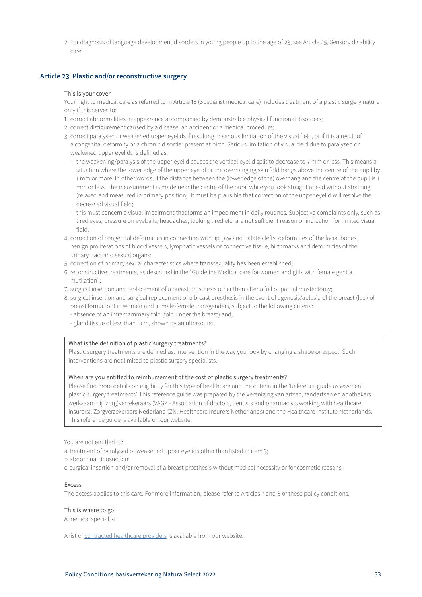<span id="page-32-0"></span>2 For diagnosis of language development disorders in young people up to the age of 23, see Article 25, Sensory disability care.

# **Article 23 Plastic and/or reconstructive surgery**

#### This is your cover

Your right to medical care as referred to in Article 18 (Specialist medical care) includes treatment of a plastic surgery nature only if this serves to:

- 1. correct abnormalities in appearance accompanied by demonstrable physical functional disorders;
- 2. correct disfigurement caused by a disease, an accident or a medical procedure;
- 3. correct paralysed or weakened upper eyelids if resulting in serious limitation of the visual field, or if it is a result of a congenital deformity or a chronic disorder present at birth. Serious limitation of visual field due to paralysed or weakened upper eyelids is defined as:
	- the weakening/paralysis of the upper eyelid causes the vertical eyelid split to decrease to 7 mm or less. This means a situation where the lower edge of the upper eyelid or the overhanging skin fold hangs above the centre of the pupil by 1 mm or more. In other words, if the distance between the (lower edge of the) overhang and the centre of the pupil is 1 mm or less. The measurement is made near the centre of the pupil while you look straight ahead without straining (relaxed and measured in primary position). It must be plausible that correction of the upper eyelid will resolve the decreased visual field;
	- this must concern a visual impairment that forms an impediment in daily routines. Subjective complaints only, such as tired eyes, pressure on eyeballs, headaches, looking tired etc, are not sufficient reason or indication for limited visual field;
- 4. correction of congenital deformities in connection with lip, jaw and palate clefts, deformities of the facial bones, benign proliferations of blood vessels, lymphatic vessels or connective tissue, birthmarks and deformities of the urinary tract and sexual organs;
- 5. correction of primary sexual characteristics where transsexuality has been established;
- 6. reconstructive treatments, as described in the "Guideline Medical care for women and girls with female genital mutilation";
- 7. surgical insertion and replacement of a breast prosthesis other than after a full or partial mastectomy;
- 8. surgical insertion and surgical replacement of a breast prosthesis in the event of agenesis/aplasia of the breast (lack of breast formation) in women and in male-female transgenders, subject to the following criteria:
	- absence of an inframammary fold (fold under the breast) and;
	- gland tissue of less than 1 cm, shown by an ultrasound.

### What is the definition of plastic surgery treatments?

Plastic surgery treatments are defined as: intervention in the way you look by changing a shape or aspect. Such interventions are not limited to plastic surgery specialists.

## When are you entitled to reimbursement of the cost of plastic surgery treatments?

Please find more details on eligibility for this type of healthcare and the criteria in the 'Reference guide assessment plastic surgery treatments'. This reference guide was prepared by the Vereniging van artsen, tandartsen en apothekers werkzaam bij (zorg)verzekeraars (VAGZ - Association of doctors, dentists and pharmacists working with healthcare insurers), Zorgverzekeraars Nederland (ZN, Healthcare Insurers Netherlands) and the Healthcare Institute Netherlands. This reference guide is available on our website.

You are not entitled to:

- a treatment of paralysed or weakened upper eyelids other than listed in item 3;
- b abdominal liposuction;
- c surgical insertion and/or removal of a breast prosthesis without medical necessity or for cosmetic reasons.

# Excess

The excess applies to this care. For more information, please refer to Articles 7 and 8 of these policy conditions.

# This is where to go

A medical specialist.

A list of [contracted healthcare providers](https://www3.aevitae.com/zoek-eucare-zorgverlener) is available from our website.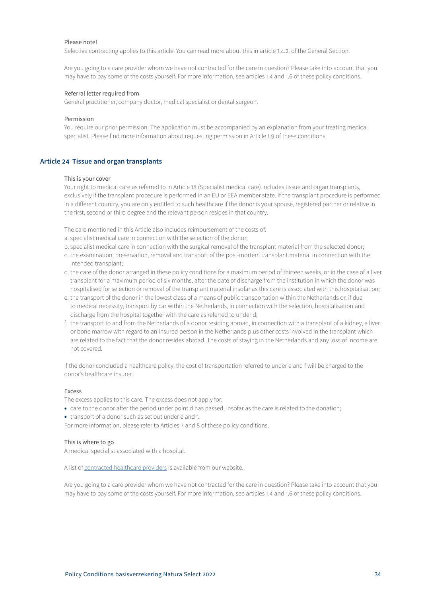# <span id="page-33-0"></span>Please note!

Selective contracting applies to this article. You can read more about this in article 1.4.2. of the General Section.

Are you going to a care provider whom we have not contracted for the care in question? Please take into account that you may have to pay some of the costs yourself. For more information, see articles 1.4 and 1.6 of these policy conditions.

#### Referral letter required from

General practitioner, company doctor, medical specialist or dental surgeon.

#### Permission

You require our prior permission. The application must be accompanied by an explanation from your treating medical specialist. Please find more information about requesting permission in Article 1.9 of these conditions.

# **Article 24 Tissue and organ transplants**

#### This is your cover

Your right to medical care as referred to in Article 18 (Specialist medical care) includes tissue and organ transplants, exclusively if the transplant procedure is performed in an EU or EEA member state. If the transplant procedure is performed in a different country, you are only entitled to such healthcare if the donor is your spouse, registered partner or relative in the first, second or third degree and the relevant person resides in that country.

The care mentioned in this Article also includes reimbursement of the costs of:

- a. specialist medical care in connection with the selection of the donor;
- b. specialist medical care in connection with the surgical removal of the transplant material from the selected donor;
- c. the examination, preservation, removal and transport of the post-mortem transplant material in connection with the intended transplant;
- d. the care of the donor arranged in these policy conditions for a maximum period of thirteen weeks, or in the case of a liver transplant for a maximum period of six months, after the date of discharge from the institution in which the donor was hospitalised for selection or removal of the transplant material insofar as this care is associated with this hospitalisation;
- e. the transport of the donor in the lowest class of a means of public transportation within the Netherlands or, if due to medical necessity, transport by car within the Netherlands, in connection with the selection, hospitalisation and discharge from the hospital together with the care as referred to under d;
- f. the transport to and from the Netherlands of a donor residing abroad, in connection with a transplant of a kidney, a liver or bone marrow with regard to an insured person in the Netherlands plus other costs involved in the transplant which are related to the fact that the donor resides abroad. The costs of staying in the Netherlands and any loss of income are not covered.

If the donor concluded a healthcare policy, the cost of transportation referred to under e and f will be charged to the donor's healthcare insurer.

# Excess

The excess applies to this care. The excess does not apply for:

- care to the donor after the period under point d has passed, insofar as the care is related to the donation;
- transport of a donor such as set out under e and f.

For more information, please refer to Articles 7 and 8 of these policy conditions.

# This is where to go

A medical specialist associated with a hospital.

A list of [contracted healthcare providers](https://www3.aevitae.com/zoek-eucare-zorgverlener) is available from our website.

Are you going to a care provider whom we have not contracted for the care in question? Please take into account that you may have to pay some of the costs yourself. For more information, see articles 1.4 and 1.6 of these policy conditions.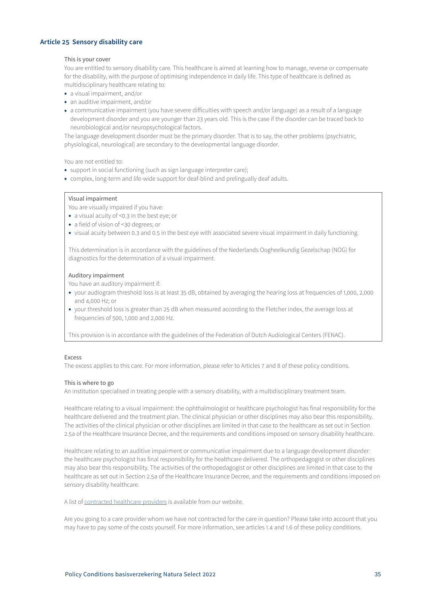# <span id="page-34-0"></span>**Article 25 Sensory disability care**

## This is your cover

You are entitled to sensory disability care. This healthcare is aimed at learning how to manage, reverse or compensate for the disability, with the purpose of optimising independence in daily life. This type of healthcare is defined as multidisciplinary healthcare relating to:

- a visual impairment, and/or
- an auditive impairment, and/or
- a communicative impairment (you have severe difficulties with speech and/or language) as a result of a language development disorder and you are younger than 23 years old. This is the case if the disorder can be traced back to neurobiological and/or neuropsychological factors.

The language development disorder must be the primary disorder. That is to say, the other problems (psychiatric, physiological, neurological) are secondary to the developmental language disorder.

You are not entitled to:

- support in social functioning (such as sign language interpreter care);
- complex, long-term and life-wide support for deaf-blind and prelingually deaf adults.

# Visual impairment

You are visually impaired if you have:

- a visual acuity of <0.3 in the best eye; or
- a field of vision of <30 degrees; or
- visual acuity between 0.3 and 0.5 in the best eye with associated severe visual impairment in daily functioning.

This determination is in accordance with the guidelines of the Nederlands Oogheelkundig Gezelschap (NOG) for diagnostics for the determination of a visual impairment.

### Auditory impairment

You have an auditory impairment if:

- your audiogram threshold loss is at least 35 dB, obtained by averaging the hearing loss at frequencies of 1,000, 2,000 and 4,000 Hz; or
- your threshold loss is greater than 25 dB when measured according to the Fletcher index, the average loss at frequencies of 500, 1,000 and 2,000 Hz.

This provision is in accordance with the guidelines of the Federation of Dutch Audiological Centers (FENAC).

#### Excess

The excess applies to this care. For more information, please refer to Articles 7 and 8 of these policy conditions.

### This is where to go

An institution specialised in treating people with a sensory disability, with a multidisciplinary treatment team.

Healthcare relating to a visual impairment: the ophthalmologist or healthcare psychologist has final responsibility for the healthcare delivered and the treatment plan. The clinical physician or other disciplines may also bear this responsibility. The activities of the clinical physician or other disciplines are limited in that case to the healthcare as set out in Section 2.5a of the Healthcare Insurance Decree, and the requirements and conditions imposed on sensory disability healthcare.

Healthcare relating to an auditive impairment or communicative impairment due to a language development disorder: the healthcare psychologist has final responsibility for the healthcare delivered. The orthopedagogist or other disciplines may also bear this responsibility. The activities of the orthopedagogist or other disciplines are limited in that case to the healthcare as set out in Section 2.5a of the Healthcare Insurance Decree, and the requirements and conditions imposed on sensory disability healthcare.

A list of [contracted healthcare providers](https://www3.aevitae.com/zoek-eucare-zorgverlener) is available from our website.

Are you going to a care provider whom we have not contracted for the care in question? Please take into account that you may have to pay some of the costs yourself. For more information, see articles 1.4 and 1.6 of these policy conditions.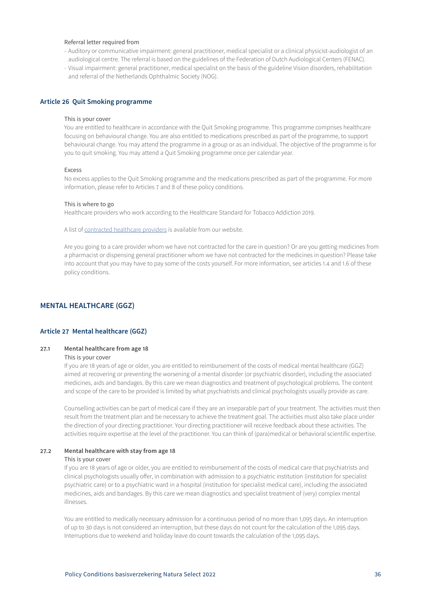# <span id="page-35-0"></span>Referral letter required from

- Auditory or communicative impairment: general practitioner, medical specialist or a clinical physicist-audiologist of an audiological centre. The referral is based on the guidelines of the Federation of Dutch Audiological Centers (FENAC).
- Visual impairment: general practitioner, medical specialist on the basis of the guideline Vision disorders, rehabilitation and referral of the Netherlands Ophthalmic Society (NOG).

# **Article 26 Quit Smoking programme**

#### This is your cover

You are entitled to healthcare in accordance with the Quit Smoking programme. This programme comprises healthcare focusing on behavioural change. You are also entitled to medications prescribed as part of the programme, to support behavioural change. You may attend the programme in a group or as an individual. The objective of the programme is for you to quit smoking. You may attend a Quit Smoking programme once per calendar year.

#### Excess

No excess applies to the Quit Smoking programme and the medications prescribed as part of the programme. For more information, please refer to Articles 7 and 8 of these policy conditions.

#### This is where to go

Healthcare providers who work according to the Healthcare Standard for Tobacco Addiction 2019.

A list of [contracted healthcare providers](https://www3.aevitae.com/zoek-eucare-zorgverlener) is available from our website.

Are you going to a care provider whom we have not contracted for the care in question? Or are you getting medicines from a pharmacist or dispensing general practitioner whom we have not contracted for the medicines in question? Please take into account that you may have to pay some of the costs yourself. For more information, see articles 1.4 and 1.6 of these policy conditions.

# **MENTAL HEALTHCARE (GGZ)**

# **Article 27 Mental healthcare (GGZ)**

# **27.1 Mental healthcare from age 18**

# This is your cover

If you are 18 years of age or older, you are entitled to reimbursement of the costs of medical mental healthcare (GGZ) aimed at recovering or preventing the worsening of a mental disorder (or psychiatric disorder), including the associated medicines, aids and bandages. By this care we mean diagnostics and treatment of psychological problems. The content and scope of the care to be provided is limited by what psychiatrists and clinical psychologists usually provide as care.

Counselling activities can be part of medical care if they are an inseparable part of your treatment. The activities must then result from the treatment plan and be necessary to achieve the treatment goal. The activities must also take place under the direction of your directing practitioner. Your directing practitioner will receive feedback about these activities. The activities require expertise at the level of the practitioner. You can think of (para)medical or behavioral scientific expertise.

# **27.2 Mental healthcare with stay from age 18**

# This is your cover

If you are 18 years of age or older, you are entitled to reimbursement of the costs of medical care that psychiatrists and clinical psychologists usually offer, in combination with admission to a psychiatric institution (institution for specialist psychiatric care) or to a psychiatric ward in a hospital (institution for specialist medical care), including the associated medicines, aids and bandages. By this care we mean diagnostics and specialist treatment of (very) complex mental illnesses.

You are entitled to medically necessary admission for a continuous period of no more than 1,095 days. An interruption of up to 30 days is not considered an interruption, but these days do not count for the calculation of the 1,095 days. Interruptions due to weekend and holiday leave do count towards the calculation of the 1,095 days.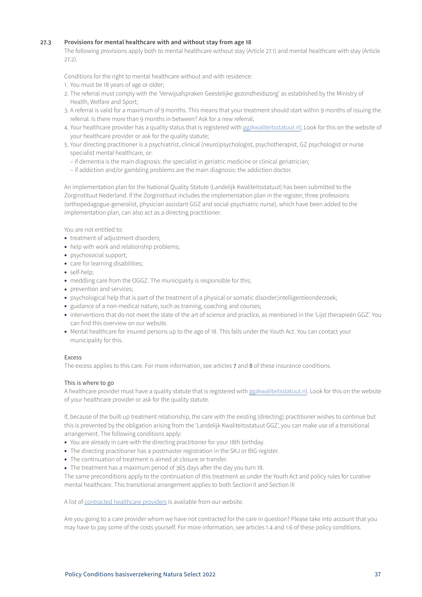# **27.3 Provisions for mental healthcare with and without stay from age 18**

The following provisions apply both to mental healthcare without stay (Article 27.1) and mental healthcare with stay (Article 27.2).

Conditions for the right to mental healthcare without and with residence:

- 1. You must be 18 years of age or older;
- 2. The referral must comply with the 'Verwijsafspraken Geestelijke gezondheidszorg' as established by the Ministry of Health, Welfare and Sport;
- 3. A referral is valid for a maximum of 9 months. This means that your treatment should start within 9 months of issuing the referral. Is there more than 9 months in between? Ask for a new referral;
- 4. Your healthcare provider has a quality status that is registered with ggzkwaliteitsstatuut.nl; Look for this on the website of your healthcare provider or ask for the quality statute;
- 5. Your directing practitioner is a psychiatrist, clinical (neuro)psychologist, psychotherapist, GZ psychologist or nurse specialist mental healthcare, or:
	- if dementia is the main diagnosis: the specialist in geriatric medicine or clinical geriatrician;
	- if addiction and/or gambling problems are the main diagnosis: the addiction doctor.

An implementation plan for the National Quality Statute (Landelijk Kwaliteitsstatuut) has been submitted to the Zorginstituut Nederland. If the Zorginstituut includes the implementation plan in the register, three professions (orthopedagogue-generalist, physician assistant GGZ and social-psychiatric nurse), which have been added to the implementation plan, can also act as a directing practitioner.

You are not entitled to:

- treatment of adjustment disorders;
- help with work and relationship problems;
- psychosocial support;
- care for learning disabilities;
- self-help;
- meddling care from the OGGZ. The municipality is responsible for this;
- prevention and services;
- psychological help that is part of the treatment of a physical or somatic disorder;intelligentieonderzoek;
- guidance of a non-medical nature, such as training, coaching and courses;
- interventions that do not meet the state of the art of science and practice, as mentioned in the 'Lijst therapieën GGZ'. You can find this overview on our website.
- Mental healthcare for insured persons up to the age of 18. This falls under the Youth Act. You can contact your municipality for this.

# Excess

The excess applies to this care. For more information, see articles 7 and 8 of these insurance conditions.

# This is where to go

A healthcare provider must have a quality statute that is registered with ggzkwaliteitsstatuut.nl. Look for this on the website of your healthcare provider or ask for the quality statute.

If, because of the built-up treatment relationship, the care with the existing (directing) practitioner wishes to continue but this is prevented by the obligation arising from the 'Landelijk Kwaliteitsstatuut GGZ', you can make use of a transitional arrangement. The following conditions apply:

- You are already in care with the directing practitioner for your 18th birthday.
- The directing practitioner has a postmaster registration in the SKJ or BIG register.
- The continuation of treatment is aimed at closure or transfer.
- The treatment has a maximum period of 365 days after the day you turn 18.

The same preconditions apply to the continuation of this treatment as under the Youth Act and policy rules for curative mental healthcare. This transitional arrangement applies to both Section II and Section III

A list of contracted healthcare providers is available from our website.

Are you going to a care provider whom we have not contracted for the care in question? Please take into account that you may have to pay some of the costs yourself. For more information, see articles 1.4 and 1.6 of these policy conditions.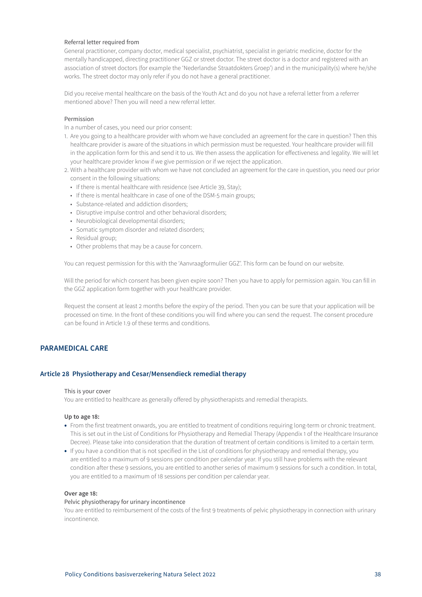# <span id="page-37-0"></span>Referral letter required from

General practitioner, company doctor, medical specialist, psychiatrist, specialist in geriatric medicine, doctor for the mentally handicapped, directing practitioner GGZ or street doctor. The street doctor is a doctor and registered with an association of street doctors (for example the 'Nederlandse Straatdokters Groep') and in the municipality(s) where he/she works. The street doctor may only refer if you do not have a general practitioner.

Did you receive mental healthcare on the basis of the Youth Act and do you not have a referral letter from a referrer mentioned above? Then you will need a new referral letter.

# Permission

In a number of cases, you need our prior consent:

- 1. Are you going to a healthcare provider with whom we have concluded an agreement for the care in question? Then this healthcare provider is aware of the situations in which permission must be requested. Your healthcare provider will fill in the application form for this and send it to us. We then assess the application for effectiveness and legality. We will let your healthcare provider know if we give permission or if we reject the application.
- 2. With a healthcare provider with whom we have not concluded an agreement for the care in question, you need our prior consent in the following situations:
	- If there is mental healthcare with residence (see Article 39, Stay);
	- If there is mental healthcare in case of one of the DSM-5 main groups;
	- Substance-related and addiction disorders;
	- Disruptive impulse control and other behavioral disorders;
	- Neurobiological developmental disorders;
	- Somatic symptom disorder and related disorders;
	- Residual group;
	- Other problems that may be a cause for concern.

You can request permission for this with the 'Aanvraagformulier GGZ'. This form can be found on our website.

Will the period for which consent has been given expire soon? Then you have to apply for permission again. You can fill in the GGZ application form together with your healthcare provider.

Request the consent at least 2 months before the expiry of the period. Then you can be sure that your application will be processed on time. In the front of these conditions you will find where you can send the request. The consent procedure can be found in Article 1.9 of these terms and conditions.

# **PARAMEDICAL CARE**

# **Article 28 Physiotherapy and Cesar/Mensendieck remedial therapy**

#### This is your cover

You are entitled to healthcare as generally offered by physiotherapists and remedial therapists.

# **Up to age 18:**

- From the first treatment onwards, you are entitled to treatment of conditions requiring long-term or chronic treatment. This is set out in the List of Conditions for Physiotherapy and Remedial Therapy (Appendix 1 of the Healthcare Insurance Decree). Please take into consideration that the duration of treatment of certain conditions is limited to a certain term.
- If you have a condition that is not specified in the List of conditions for physiotherapy and remedial therapy, you are entitled to a maximum of 9 sessions per condition per calendar year. If you still have problems with the relevant condition after these 9 sessions, you are entitled to another series of maximum 9 sessions for such a condition. In total, you are entitled to a maximum of 18 sessions per condition per calendar year.

### **Over age 18:**

#### Pelvic physiotherapy for urinary incontinence

You are entitled to reimbursement of the costs of the first 9 treatments of pelvic physiotherapy in connection with urinary incontinence.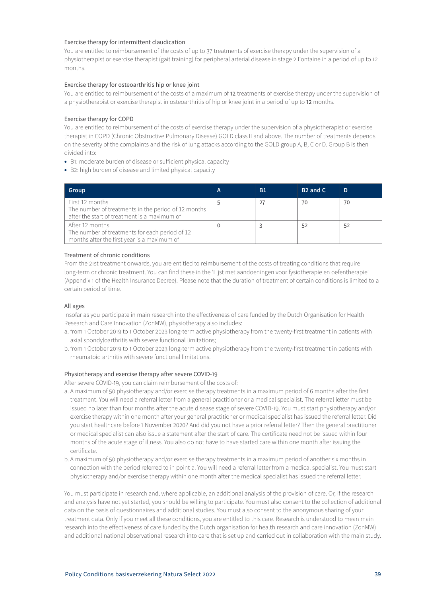# Exercise therapy for intermittent claudication

You are entitled to reimbursement of the costs of up to 37 treatments of exercise therapy under the supervision of a physiotherapist or exercise therapist (gait training) for peripheral arterial disease in stage 2 Fontaine in a period of up to 12 months.

# Exercise therapy for osteoarthritis hip or knee joint

You are entitled to reimbursement of the costs of a maximum of 12 treatments of exercise therapy under the supervision of a physiotherapist or exercise therapist in osteoarthritis of hip or knee joint in a period of up to 12 months.

# Exercise therapy for COPD

You are entitled to reimbursement of the costs of exercise therapy under the supervision of a physiotherapist or exercise therapist in COPD (Chronic Obstructive Pulmonary Disease) GOLD class II and above. The number of treatments depends on the severity of the complaints and the risk of lung attacks according to the GOLD group A, B, C or D. Group B is then divided into:

- B1: moderate burden of disease or sufficient physical capacity
- B2: high burden of disease and limited physical capacity

| Group                                                                                                                  | А | Β1 | B <sub>2</sub> and C | D  |
|------------------------------------------------------------------------------------------------------------------------|---|----|----------------------|----|
| First 12 months<br>The number of treatments in the period of 12 months<br>after the start of treatment is a maximum of |   | 27 | 70                   | 70 |
| After 12 months<br>The number of treatments for each period of 12<br>months after the first year is a maximum of       |   |    | .52                  | 52 |

# Treatment of chronic conditions

From the 21st treatment onwards, you are entitled to reimbursement of the costs of treating conditions that require long-term or chronic treatment. You can find these in the 'Lijst met aandoeningen voor fysiotherapie en oefentherapie' (Appendix 1 of the Health Insurance Decree). Please note that the duration of treatment of certain conditions is limited to a certain period of time.

# All ages

Insofar as you participate in main research into the effectiveness of care funded by the Dutch Organisation for Health Research and Care Innovation (ZonMW), physiotherapy also includes:

- a. from 1 October 2019 to 1 October 2023 long-term active physiotherapy from the twenty-first treatment in patients with axial spondyloarthritis with severe functional limitations;
- b. from 1 October 2019 to 1 October 2023 long-term active physiotherapy from the twenty-first treatment in patients with rheumatoid arthritis with severe functional limitations.

# Physiotherapy and exercise therapy after severe COVID-19

After severe COVID-19, you can claim reimbursement of the costs of:

- a. A maximum of 50 physiotherapy and/or exercise therapy treatments in a maximum period of 6 months after the first treatment. You will need a referral letter from a general practitioner or a medical specialist. The referral letter must be issued no later than four months after the acute disease stage of severe COVID-19. You must start physiotherapy and/or exercise therapy within one month after your general practitioner or medical specialist has issued the referral letter. Did you start healthcare before 1 November 2020? And did you not have a prior referral letter? Then the general practitioner or medical specialist can also issue a statement after the start of care. The certificate need not be issued within four months of the acute stage of illness. You also do not have to have started care within one month after issuing the certificate.
- b. A maximum of 50 physiotherapy and/or exercise therapy treatments in a maximum period of another six months in connection with the period referred to in point a. You will need a referral letter from a medical specialist. You must start physiotherapy and/or exercise therapy within one month after the medical specialist has issued the referral letter.

You must participate in research and, where applicable, an additional analysis of the provision of care. Or, if the research and analysis have not yet started, you should be willing to participate. You must also consent to the collection of additional data on the basis of questionnaires and additional studies. You must also consent to the anonymous sharing of your treatment data. Only if you meet all these conditions, you are entitled to this care. Research is understood to mean main research into the effectiveness of care funded by the Dutch organisation for health research and care innovation (ZonMW) and additional national observational research into care that is set up and carried out in collaboration with the main study.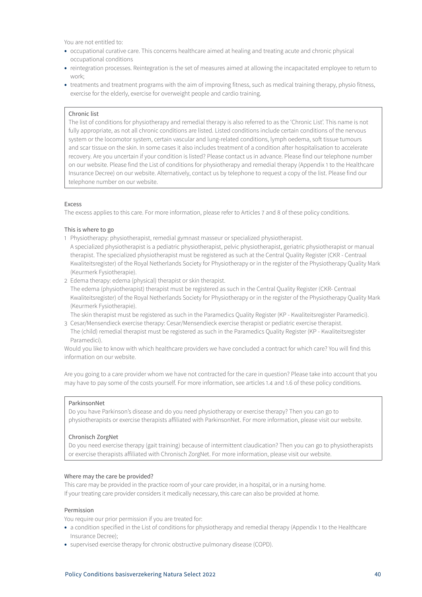You are not entitled to:

- occupational curative care. This concerns healthcare aimed at healing and treating acute and chronic physical occupational conditions
- reintegration processes. Reintegration is the set of measures aimed at allowing the incapacitated employee to return to work;
- treatments and treatment programs with the aim of improving fitness, such as medical training therapy, physio fitness, exercise for the elderly, exercise for overweight people and cardio training.

# Chronic list

The list of conditions for physiotherapy and remedial therapy is also referred to as the 'Chronic List'. This name is not fully appropriate, as not all chronic conditions are listed. Listed conditions include certain conditions of the nervous system or the locomotor system, certain vascular and lung-related conditions, lymph oedema, soft tissue tumours and scar tissue on the skin. In some cases it also includes treatment of a condition after hospitalisation to accelerate recovery. Are you uncertain if your condition is listed? Please contact us in advance. Please find our telephone number on our website. Please find the List of conditions for physiotherapy and remedial therapy (Appendix 1 to the Healthcare Insurance Decree) on our website. Alternatively, contact us by telephone to request a copy of the list. Please find our telephone number on our website.

#### Excess

The excess applies to this care. For more information, please refer to Articles 7 and 8 of these policy conditions.

# This is where to go

- 1 Physiotherapy: physiotherapist, remedial gymnast masseur or specialized physiotherapist.
- A specialized physiotherapist is a pediatric physiotherapist, pelvic physiotherapist, geriatric physiotherapist or manual therapist. The specialized physiotherapist must be registered as such at the Central Quality Register (CKR - Centraal Kwaliteitsregister) of the Royal Netherlands Society for Physiotherapy or in the register of the Physiotherapy Quality Mark (Keurmerk Fysiotherapie).
- 2 Edema therapy: edema (physical) therapist or skin therapist.

The edema (physiotherapist) therapist must be registered as such in the Central Quality Register (CKR- Centraal Kwaliteitsregister) of the Royal Netherlands Society for Physiotherapy or in the register of the Physiotherapy Quality Mark (Keurmerk Fysiotherapie).

The skin therapist must be registered as such in the Paramedics Quality Register (KP - Kwaliteitsregister Paramedici).

3 Cesar/Mensendieck exercise therapy: Cesar/Mensendieck exercise therapist or pediatric exercise therapist. The (child) remedial therapist must be registered as such in the Paramedics Quality Register (KP - Kwaliteitsregister Paramedici).

Would you like to know with which healthcare providers we have concluded a contract for which care? You will find this information on our website.

Are you going to a care provider whom we have not contracted for the care in question? Please take into account that you may have to pay some of the costs yourself. For more information, see articles 1.4 and 1.6 of these policy conditions.

### ParkinsonNet

Do you have Parkinson's disease and do you need physiotherapy or exercise therapy? Then you can go to physiotherapists or exercise therapists affiliated with ParkinsonNet. For more information, please visit our website.

#### Chronisch ZorgNet

Do you need exercise therapy (gait training) because of intermittent claudication? Then you can go to physiotherapists or exercise therapists affiliated with Chronisch ZorgNet. For more information, please visit our website.

# Where may the care be provided?

This care may be provided in the practice room of your care provider, in a hospital, or in a nursing home. If your treating care provider considers it medically necessary, this care can also be provided at home.

# Permission

You require our prior permission if you are treated for:

- a condition specified in the List of conditions for physiotherapy and remedial therapy (Appendix 1 to the Healthcare Insurance Decree);
- supervised exercise therapy for chronic obstructive pulmonary disease (COPD).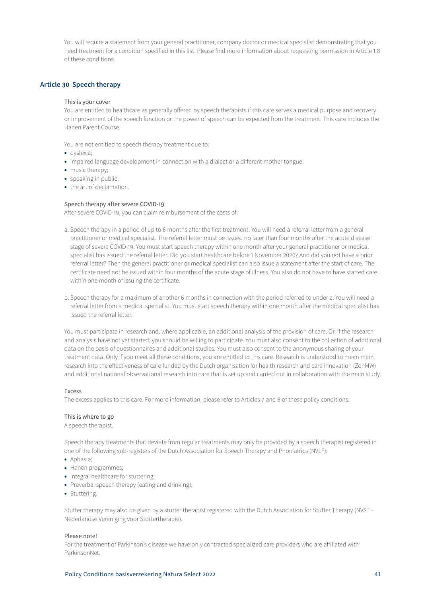<span id="page-40-0"></span>You will require a statement from your general practitioner, company doctor or medical specialist demonstrating that you need treatment for a condition specified in this list. Please find more information about requesting permission in Article 1.8 of these conditions.

# **Article 30 Speech therapy**

### This is your cover

You are entitled to healthcare as generally offered by speech therapists if this care serves a medical purpose and recovery or improvement of the speech function or the power of speech can be expected from the treatment. This care includes the Hanen Parent Course.

You are not entitled to speech therapy treatment due to:

- dyslexia;
- impaired language development in connection with a dialect or a different mother tongue;
- music therapy;
- speaking in public;
- the art of declamation.

#### Speech therapy after severe COVID-19

After severe COVID-19, you can claim reimbursement of the costs of:

- a. Speech therapy in a period of up to 6 months after the first treatment. You will need a referral letter from a general practitioner or medical specialist. The referral letter must be issued no later than four months after the acute disease stage of severe COVID-19. You must start speech therapy within one month after your general practitioner or medical specialist has issued the referral letter. Did you start healthcare before 1 November 2020? And did you not have a prior referral letter? Then the general practitioner or medical specialist can also issue a statement after the start of care. The certificate need not be issued within four months of the acute stage of illness. You also do not have to have started care within one month of issuing the certificate.
- b. Speech therapy for a maximum of another 6 months in connection with the period referred to under a. You will need a referral letter from a medical specialist. You must start speech therapy within one month after the medical specialist has issued the referral letter.

You must participate in research and, where applicable, an additional analysis of the provision of care. Or, if the research and analysis have not yet started, you should be willing to participate. You must also consent to the collection of additional data on the basis of questionnaires and additional studies. You must also consent to the anonymous sharing of your treatment data. Only if you meet all these conditions, you are entitled to this care. Research is understood to mean main research into the effectiveness of care funded by the Dutch organisation for health research and care innovation (ZonMW) and additional national observational research into care that is set up and carried out in collaboration with the main study.

#### Excess

The excess applies to this care. For more information, please refer to Articles 7 and 8 of these policy conditions.

# This is where to go

A speech therapist.

Speech therapy treatments that deviate from regular treatments may only be provided by a speech therapist registered in one of the following sub-registers of the Dutch Association for Speech Therapy and Phoniatrics (NVLF):

- Aphasia;
- Hanen programmes;
- Integral healthcare for stuttering;
- Preverbal speech therapy (eating and drinking);
- Stuttering.

Stutter therapy may also be given by a stutter therapist registered with the Dutch Association for Stutter Therapy (NVST - Nederlandse Vereniging voor Stottertherapie).

### Please note!

For the treatment of Parkinson's disease we have only contracted specialized care providers who are affiliated with ParkinsonNet.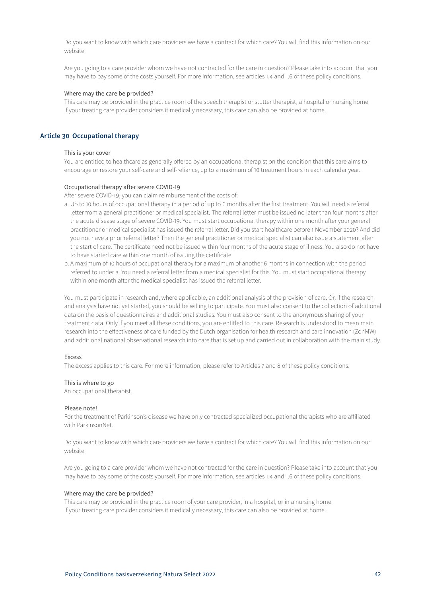<span id="page-41-0"></span>Do you want to know with which care providers we have a contract for which care? You will find this information on our website.

Are you going to a care provider whom we have not contracted for the care in question? Please take into account that you may have to pay some of the costs yourself. For more information, see articles 1.4 and 1.6 of these policy conditions.

### Where may the care be provided?

This care may be provided in the practice room of the speech therapist or stutter therapist, a hospital or nursing home. If your treating care provider considers it medically necessary, this care can also be provided at home.

# **Article 30 Occupational therapy**

#### This is your cover

You are entitled to healthcare as generally offered by an occupational therapist on the condition that this care aims to encourage or restore your self-care and self-reliance, up to a maximum of 10 treatment hours in each calendar year.

### Occupational therapy after severe COVID-19

After severe COVID-19, you can claim reimbursement of the costs of:

- a. Up to 10 hours of occupational therapy in a period of up to 6 months after the first treatment. You will need a referral letter from a general practitioner or medical specialist. The referral letter must be issued no later than four months after the acute disease stage of severe COVID-19. You must start occupational therapy within one month after your general practitioner or medical specialist has issued the referral letter. Did you start healthcare before 1 November 2020? And did you not have a prior referral letter? Then the general practitioner or medical specialist can also issue a statement after the start of care. The certificate need not be issued within four months of the acute stage of illness. You also do not have to have started care within one month of issuing the certificate.
- b. A maximum of 10 hours of occupational therapy for a maximum of another 6 months in connection with the period referred to under a. You need a referral letter from a medical specialist for this. You must start occupational therapy within one month after the medical specialist has issued the referral letter.

You must participate in research and, where applicable, an additional analysis of the provision of care. Or, if the research and analysis have not yet started, you should be willing to participate. You must also consent to the collection of additional data on the basis of questionnaires and additional studies. You must also consent to the anonymous sharing of your treatment data. Only if you meet all these conditions, you are entitled to this care. Research is understood to mean main research into the effectiveness of care funded by the Dutch organisation for health research and care innovation (ZonMW) and additional national observational research into care that is set up and carried out in collaboration with the main study.

# Excess

The excess applies to this care. For more information, please refer to Articles 7 and 8 of these policy conditions.

### This is where to go

An occupational therapist.

# Please note!

For the treatment of Parkinson's disease we have only contracted specialized occupational therapists who are affiliated with ParkinsonNet.

Do you want to know with which care providers we have a contract for which care? You will find this information on our website.

Are you going to a care provider whom we have not contracted for the care in question? Please take into account that you may have to pay some of the costs yourself. For more information, see articles 1.4 and 1.6 of these policy conditions.

#### Where may the care be provided?

This care may be provided in the practice room of your care provider, in a hospital, or in a nursing home. If your treating care provider considers it medically necessary, this care can also be provided at home.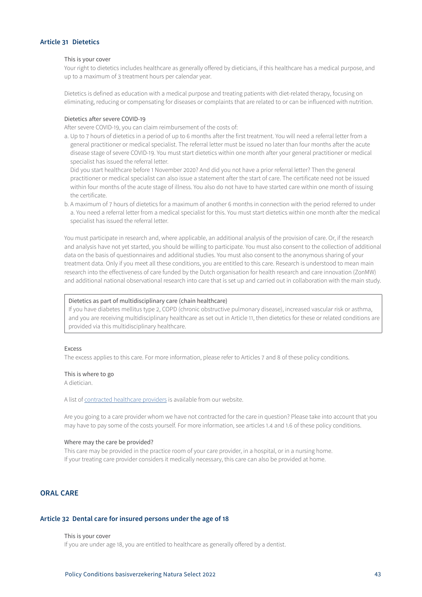# <span id="page-42-0"></span>**Article 31 Dietetics**

# This is your cover

Your right to dietetics includes healthcare as generally offered by dieticians, if this healthcare has a medical purpose, and up to a maximum of 3 treatment hours per calendar year.

Dietetics is defined as education with a medical purpose and treating patients with diet-related therapy, focusing on eliminating, reducing or compensating for diseases or complaints that are related to or can be influenced with nutrition.

### Dietetics after severe COVID-19

After severe COVID-19, you can claim reimbursement of the costs of:

a. Up to 7 hours of dietetics in a period of up to 6 months after the first treatment. You will need a referral letter from a general practitioner or medical specialist. The referral letter must be issued no later than four months after the acute disease stage of severe COVID-19. You must start dietetics within one month after your general practitioner or medical specialist has issued the referral letter.

Did you start healthcare before 1 November 2020? And did you not have a prior referral letter? Then the general practitioner or medical specialist can also issue a statement after the start of care. The certificate need not be issued within four months of the acute stage of illness. You also do not have to have started care within one month of issuing the certificate.

b. A maximum of 7 hours of dietetics for a maximum of another 6 months in connection with the period referred to under a. You need a referral letter from a medical specialist for this. You must start dietetics within one month after the medical specialist has issued the referral letter.

You must participate in research and, where applicable, an additional analysis of the provision of care. Or, if the research and analysis have not yet started, you should be willing to participate. You must also consent to the collection of additional data on the basis of questionnaires and additional studies. You must also consent to the anonymous sharing of your treatment data. Only if you meet all these conditions, you are entitled to this care. Research is understood to mean main research into the effectiveness of care funded by the Dutch organisation for health research and care innovation (ZonMW) and additional national observational research into care that is set up and carried out in collaboration with the main study.

# Dietetics as part of multidisciplinary care (chain healthcare)

If you have diabetes mellitus type 2, COPD (chronic obstructive pulmonary disease), increased vascular risk or asthma, and you are receiving multidisciplinary healthcare as set out in Article 11, then dietetics for these or related conditions are provided via this multidisciplinary healthcare.

#### Excess

The excess applies to this care. For more information, please refer to Articles 7 and 8 of these policy conditions.

# This is where to go

A dietician.

A list of [contracted healthcare providers](https://www3.aevitae.com/zoek-eucare-zorgverlener) is available from our website.

Are you going to a care provider whom we have not contracted for the care in question? Please take into account that you may have to pay some of the costs yourself. For more information, see articles 1.4 and 1.6 of these policy conditions.

#### Where may the care be provided?

This care may be provided in the practice room of your care provider, in a hospital, or in a nursing home. If your treating care provider considers it medically necessary, this care can also be provided at home.

# **ORAL CARE**

# **Article 32 Dental care for insured persons under the age of 18**

#### This is your cover

If you are under age 18, you are entitled to healthcare as generally offered by a dentist.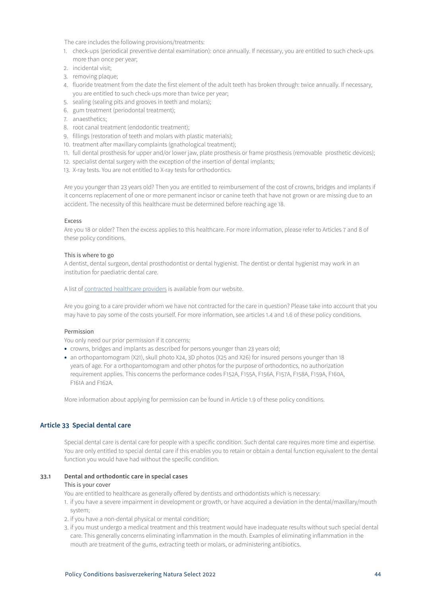<span id="page-43-0"></span>The care includes the following provisions/treatments:

- 1. check-ups (periodical preventive dental examination): once annually. If necessary, you are entitled to such check-ups more than once per year;
- 2. incidental visit;
- 3. removing plaque;
- 4. fluoride treatment from the date the first element of the adult teeth has broken through: twice annually. If necessary, you are entitled to such check-ups more than twice per year;
- 5. sealing (sealing pits and grooves in teeth and molars);
- 6. gum treatment (periodontal treatment);
- 7. anaesthetics;
- 8. root canal treatment (endodontic treatment);
- 9. fillings (restoration of teeth and molars with plastic materials);
- 10. treatment after maxillary complaints (gnathological treatment);
- 11. full dental prosthesis for upper and/or lower jaw, plate prosthesis or frame prosthesis (removable prosthetic devices);
- 12. specialist dental surgery with the exception of the insertion of dental implants;
- 13. X-ray tests. You are not entitled to X-ray tests for orthodontics.

Are you younger than 23 years old? Then you are entitled to reimbursement of the cost of crowns, bridges and implants if it concerns replacement of one or more permanent incisor or canine teeth that have not grown or are missing due to an accident. The necessity of this healthcare must be determined before reaching age 18.

#### Excess

Are you 18 or older? Then the excess applies to this healthcare. For more information, please refer to Articles 7 and 8 of these policy conditions.

### This is where to go

A dentist, dental surgeon, dental prosthodontist or dental hygienist. The dentist or dental hygienist may work in an institution for paediatric dental care.

A list of [contracted healthcare providers](https://www3.aevitae.com/zoek-eucare-zorgverlener) is available from our website.

Are you going to a care provider whom we have not contracted for the care in question? Please take into account that you may have to pay some of the costs yourself. For more information, see articles 1.4 and 1.6 of these policy conditions.

### Permission

You only need our prior permission if it concerns:

- crowns, bridges and implants as described for persons younger than 23 years old;
- an orthopantomogram (X21), skull photo X24, 3D photos (X25 and X26) for insured persons younger than 18 years of age. For a orthopantomogram and other photos for the purpose of orthodontics, no authorization requirement applies. This concerns the performance codes F152A, F155A, F156A, F157A, F158A, F159A, F160A, F161A and F162A.

More information about applying for permission can be found in Article 1.9 of these policy conditions.

# **Article 33 Special dental care**

Special dental care is dental care for people with a specific condition. Such dental care requires more time and expertise. You are only entitled to special dental care if this enables you to retain or obtain a dental function equivalent to the dental function you would have had without the specific condition.

# **33.1 Dental and orthodontic care in special cases**

#### This is your cover

You are entitled to healthcare as generally offered by dentists and orthodontists which is necessary:

- 1. if you have a severe impairment in development or growth, or have acquired a deviation in the dental/maxillary/mouth system;
- 2. if you have a non-dental physical or mental condition;
- 3. if you must undergo a medical treatment and this treatment would have inadequate results without such special dental care. This generally concerns eliminating inflammation in the mouth. Examples of eliminating inflammation in the mouth are treatment of the gums, extracting teeth or molars, or administering antibiotics.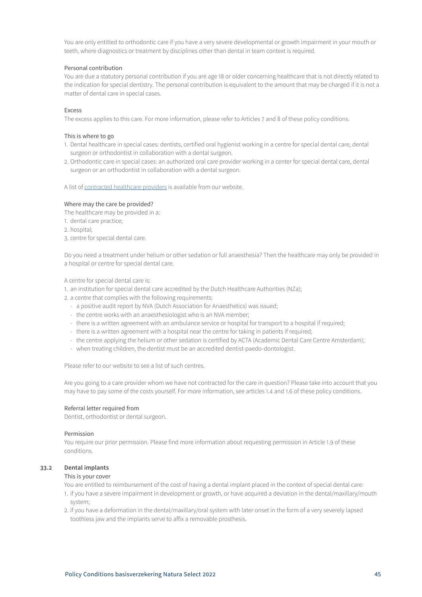<span id="page-44-0"></span>You are only entitled to orthodontic care if you have a very severe developmental or growth impairment in your mouth or teeth, where diagnostics or treatment by disciplines other than dental in team context is required.

# Personal contribution

You are due a statutory personal contribution if you are age 18 or older concerning healthcare that is not directly related to the indication for special dentistry. The personal contribution is equivalent to the amount that may be charged if it is not a matter of dental care in special cases.

# Excess

The excess applies to this care. For more information, please refer to Articles 7 and 8 of these policy conditions.

# This is where to go

- 1. Dental healthcare in special cases: dentists, certified oral hygienist working in a centre for special dental care, dental surgeon or orthodontist in collaboration with a dental surgeon.
- 2. Orthodontic care in special cases: an authorized oral care provider working in a center for special dental care, dental surgeon or an orthodontist in collaboration with a dental surgeon.

A list of [contracted healthcare providers](https://www3.aevitae.com/zoek-eucare-zorgverlener) is available from our website.

# Where may the care be provided?

The healthcare may be provided in a:

- 1. dental care practice;
- 2. hospital;
- 3. centre for special dental care.

Do you need a treatment under helium or other sedation or full anaesthesia? Then the healthcare may only be provided in a hospital or centre for special dental care.

A centre for special dental care is:

- 1. an institution for special dental care accredited by the Dutch Healthcare Authorities (NZa);
- 2. a centre that complies with the following requirements:
	- a positive audit report by NVA (Dutch Association for Anaesthetics) was issued;
	- the centre works with an anaesthesiologist who is an NVA member;
	- there is a written agreement with an ambulance service or hospital for transport to a hospital if required;
	- there is a written agreement with a hospital near the centre for taking in patients if required;
	- the centre applying the helium or other sedation is certified by ACTA (Academic Dental Care Centre Amsterdam);
	- when treating children, the dentist must be an accredited dentist-paedo-dontologist.

Please refer to our website to see a list of such centres.

Are you going to a care provider whom we have not contracted for the care in question? Please take into account that you may have to pay some of the costs yourself. For more information, see articles 1.4 and 1.6 of these policy conditions.

# Referral letter required from

Dentist, orthodontist or dental surgeon.

# Permission

You require our prior permission. Please find more information about requesting permission in Article 1.9 of these conditions.

# **33.2 Dental implants**

# This is your cover

You are entitled to reimbursement of the cost of having a dental implant placed in the context of special dental care:

- 1. if you have a severe impairment in development or growth, or have acquired a deviation in the dental/maxillary/mouth system;
- 2. if you have a deformation in the dental/maxillary/oral system with later onset in the form of a very severely lapsed toothless jaw and the implants serve to affix a removable prosthesis.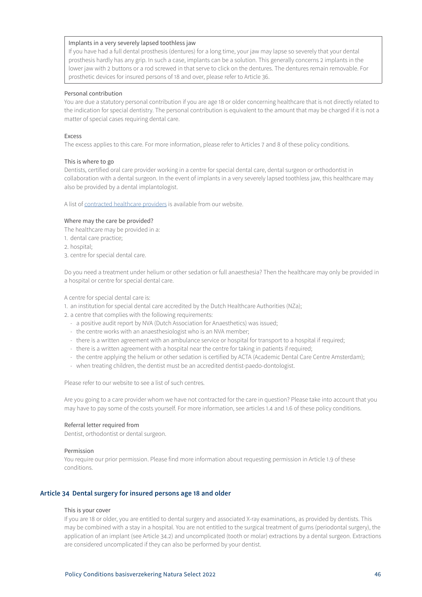### <span id="page-45-0"></span>Implants in a very severely lapsed toothless jaw

If you have had a full dental prosthesis (dentures) for a long time, your jaw may lapse so severely that your dental prosthesis hardly has any grip. In such a case, implants can be a solution. This generally concerns 2 implants in the lower jaw with 2 buttons or a rod screwed in that serve to click on the dentures. The dentures remain removable. For prosthetic devices for insured persons of 18 and over, please refer to Article 36.

### Personal contribution

You are due a statutory personal contribution if you are age 18 or older concerning healthcare that is not directly related to the indication for special dentistry. The personal contribution is equivalent to the amount that may be charged if it is not a matter of special cases requiring dental care.

# Excess

The excess applies to this care. For more information, please refer to Articles 7 and 8 of these policy conditions.

### This is where to go

Dentists, certified oral care provider working in a centre for special dental care, dental surgeon or orthodontist in collaboration with a dental surgeon. In the event of implants in a very severely lapsed toothless jaw, this healthcare may also be provided by a dental implantologist.

A list of [contracted healthcare providers](https://www3.aevitae.com/zoek-eucare-zorgverlener) is available from our website.

# Where may the care be provided?

The healthcare may be provided in a:

- 1. dental care practice;
- 2. hospital;
- 3. centre for special dental care.

Do you need a treatment under helium or other sedation or full anaesthesia? Then the healthcare may only be provided in a hospital or centre for special dental care.

A centre for special dental care is:

- 1. an institution for special dental care accredited by the Dutch Healthcare Authorities (NZa);
- 2. a centre that complies with the following requirements:
	- a positive audit report by NVA (Dutch Association for Anaesthetics) was issued;
	- the centre works with an anaesthesiologist who is an NVA member;
	- there is a written agreement with an ambulance service or hospital for transport to a hospital if required;
	- there is a written agreement with a hospital near the centre for taking in patients if required;
	- the centre applying the helium or other sedation is certified by ACTA (Academic Dental Care Centre Amsterdam);
	- when treating children, the dentist must be an accredited dentist-paedo-dontologist.

Please refer to our website to see a list of such centres.

Are you going to a care provider whom we have not contracted for the care in question? Please take into account that you may have to pay some of the costs yourself. For more information, see articles 1.4 and 1.6 of these policy conditions.

# Referral letter required from

Dentist, orthodontist or dental surgeon.

#### Permission

You require our prior permission. Please find more information about requesting permission in Article 1.9 of these conditions.

# **Article 34 Dental surgery for insured persons age 18 and older**

### This is your cover

If you are 18 or older, you are entitled to dental surgery and associated X-ray examinations, as provided by dentists. This may be combined with a stay in a hospital. You are not entitled to the surgical treatment of gums (periodontal surgery), the application of an implant (see Article 34.2) and uncomplicated (tooth or molar) extractions by a dental surgeon. Extractions are considered uncomplicated if they can also be performed by your dentist.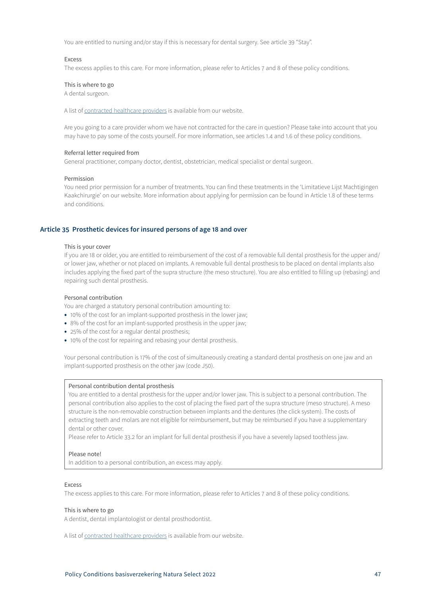<span id="page-46-0"></span>You are entitled to nursing and/or stay if this is necessary for dental surgery. See article 39 "Stay".

### Excess

The excess applies to this care. For more information, please refer to Articles 7 and 8 of these policy conditions.

### This is where to go

A dental surgeon.

A list of [contracted healthcare providers](https://www3.aevitae.com/zoek-eucare-zorgverlener) is available from our website.

Are you going to a care provider whom we have not contracted for the care in question? Please take into account that you may have to pay some of the costs yourself. For more information, see articles 1.4 and 1.6 of these policy conditions.

### Referral letter required from

General practitioner, company doctor, dentist, obstetrician, medical specialist or dental surgeon.

#### Permission

You need prior permission for a number of treatments. You can find these treatments in the 'Limitatieve Lijst Machtigingen Kaakchirurgie' on our website. More information about applying for permission can be found in Article 1.8 of these terms and conditions.

# **Article 35 Prosthetic devices for insured persons of age 18 and over**

#### This is your cover

If you are 18 or older, you are entitled to reimbursement of the cost of a removable full dental prosthesis for the upper and/ or lower jaw, whether or not placed on implants. A removable full dental prosthesis to be placed on dental implants also includes applying the fixed part of the supra structure (the meso structure). You are also entitled to filling up (rebasing) and repairing such dental prosthesis.

### Personal contribution

You are charged a statutory personal contribution amounting to:

- 10% of the cost for an implant-supported prosthesis in the lower jaw;
- 8% of the cost for an implant-supported prosthesis in the upper jaw;
- 25% of the cost for a regular dental prosthesis;
- 10% of the cost for repairing and rebasing your dental prosthesis.

Your personal contribution is 17% of the cost of simultaneously creating a standard dental prosthesis on one jaw and an implant-supported prosthesis on the other jaw (code J50).

#### Personal contribution dental prosthesis

You are entitled to a dental prosthesis for the upper and/or lower jaw. This is subject to a personal contribution. The personal contribution also applies to the cost of placing the fixed part of the supra structure (meso structure). A meso structure is the non-removable construction between implants and the dentures (the click system). The costs of extracting teeth and molars are not eligible for reimbursement, but may be reimbursed if you have a supplementary dental or other cover.

Please refer to Article 33.2 for an implant for full dental prosthesis if you have a severely lapsed toothless jaw.

# Please note!

In addition to a personal contribution, an excess may apply.

### Excess

The excess applies to this care. For more information, please refer to Articles 7 and 8 of these policy conditions.

### This is where to go

A dentist, dental implantologist or dental prosthodontist.

A list of [contracted healthcare providers](https://www3.aevitae.com/zoek-eucare-zorgverlener) is available from our website.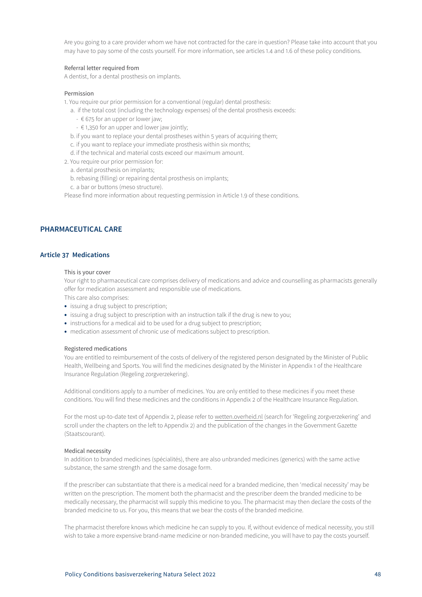<span id="page-47-0"></span>Are you going to a care provider whom we have not contracted for the care in question? Please take into account that you may have to pay some of the costs yourself. For more information, see articles 1.4 and 1.6 of these policy conditions.

# Referral letter required from

A dentist, for a dental prosthesis on implants.

#### Permission

1. You require our prior permission for a conventional (regular) dental prosthesis:

- a. if the total cost (including the technology expenses) of the dental prosthesis exceeds:
	- $675$  for an upper or lower jaw;
	- $\epsilon$  1,350 for an upper and lower jaw jointly;
- b. if you want to replace your dental prostheses within 5 years of acquiring them;
- c. if you want to replace your immediate prosthesis within six months;
- d. if the technical and material costs exceed our maximum amount.
- 2. You require our prior permission for:
	- a. dental prosthesis on implants;
	- b. rebasing (filling) or repairing dental prosthesis on implants;
	- c. a bar or buttons (meso structure).

Please find more information about requesting permission in Article 1.9 of these conditions.

# **PHARMACEUTICAL CARE**

# **Article 37 Medications**

#### This is your cover

Your right to pharmaceutical care comprises delivery of medications and advice and counselling as pharmacists generally offer for medication assessment and responsible use of medications.

This care also comprises:

- issuing a drug subject to prescription;
- issuing a drug subject to prescription with an instruction talk if the drug is new to you;
- instructions for a medical aid to be used for a drug subject to prescription;
- medication assessment of chronic use of medications subject to prescription.

### Registered medications

You are entitled to reimbursement of the costs of delivery of the registered person designated by the Minister of Public Health, Wellbeing and Sports. You will find the medicines designated by the Minister in Appendix 1 of the Healthcare Insurance Regulation (Regeling zorgverzekering).

Additional conditions apply to a number of medicines. You are only entitled to these medicines if you meet these conditions. You will find these medicines and the conditions in Appendix 2 of the Healthcare Insurance Regulation.

For the most up-to-date text of Appendix 2, please refer to wetten.overheid.nl (search for 'Regeling zorgverzekering' and scroll under the chapters on the left to Appendix 2) and the publication of the changes in the Government Gazette (Staatscourant).

### Medical necessity

In addition to branded medicines (spécialités), there are also unbranded medicines (generics) with the same active substance, the same strength and the same dosage form.

If the prescriber can substantiate that there is a medical need for a branded medicine, then 'medical necessity' may be written on the prescription. The moment both the pharmacist and the prescriber deem the branded medicine to be medically necessary, the pharmacist will supply this medicine to you. The pharmacist may then declare the costs of the branded medicine to us. For you, this means that we bear the costs of the branded medicine.

The pharmacist therefore knows which medicine he can supply to you. If, without evidence of medical necessity, you still wish to take a more expensive brand-name medicine or non-branded medicine, you will have to pay the costs yourself.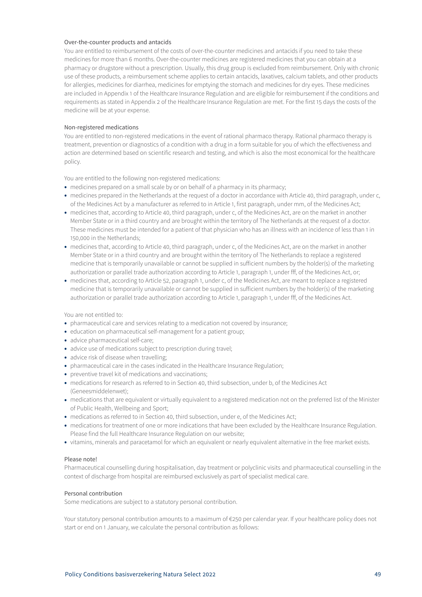# Over-the-counter products and antacids

You are entitled to reimbursement of the costs of over-the-counter medicines and antacids if you need to take these medicines for more than 6 months. Over-the-counter medicines are registered medicines that you can obtain at a pharmacy or drugstore without a prescription. Usually, this drug group is excluded from reimbursement. Only with chronic use of these products, a reimbursement scheme applies to certain antacids, laxatives, calcium tablets, and other products for allergies, medicines for diarrhea, medicines for emptying the stomach and medicines for dry eyes. These medicines are included in Appendix 1 of the Healthcare Insurance Regulation and are eligible for reimbursement if the conditions and requirements as stated in Appendix 2 of the Healthcare Insurance Regulation are met. For the first 15 days the costs of the medicine will be at your expense.

# Non-registered medications

You are entitled to non-registered medications in the event of rational pharmaco therapy. Rational pharmaco therapy is treatment, prevention or diagnostics of a condition with a drug in a form suitable for you of which the effectiveness and action are determined based on scientific research and testing, and which is also the most economical for the healthcare policy.

You are entitled to the following non-registered medications:

- medicines prepared on a small scale by or on behalf of a pharmacy in its pharmacy;
- medicines prepared in the Netherlands at the request of a doctor in accordance with Article 40, third paragraph, under c, of the Medicines Act by a manufacturer as referred to in Article 1, first paragraph, under mm, of the Medicines Act;
- medicines that, according to Article 40, third paragraph, under c, of the Medicines Act, are on the market in another Member State or in a third country and are brought within the territory of The Netherlands at the request of a doctor. These medicines must be intended for a patient of that physician who has an illness with an incidence of less than 1 in 150,000 in the Netherlands;
- medicines that, according to Article 40, third paragraph, under c, of the Medicines Act, are on the market in another Member State or in a third country and are brought within the territory of The Netherlands to replace a registered medicine that is temporarily unavailable or cannot be supplied in sufficient numbers by the holder(s) of the marketing authorization or parallel trade authorization according to Article 1, paragraph 1, under fff, of the Medicines Act, or;
- medicines that, according to Article 52, paragraph 1, under c, of the Medicines Act, are meant to replace a registered medicine that is temporarily unavailable or cannot be supplied in sufficient numbers by the holder(s) of the marketing authorization or parallel trade authorization according to Article 1, paragraph 1, under fff, of the Medicines Act.

You are not entitled to:

- pharmaceutical care and services relating to a medication not covered by insurance;
- education on pharmaceutical self-management for a patient group;
- advice pharmaceutical self-care;
- advice use of medications subject to prescription during travel;
- advice risk of disease when travelling;
- pharmaceutical care in the cases indicated in the Healthcare Insurance Regulation;
- preventive travel kit of medications and vaccinations;
- medications for research as referred to in Section 40, third subsection, under b, of the Medicines Act (Geneesmiddelenwet);
- medications that are equivalent or virtually equivalent to a registered medication not on the preferred list of the Minister of Public Health, Wellbeing and Sport;
- medications as referred to in Section 40, third subsection, under e, of the Medicines Act;
- medications for treatment of one or more indications that have been excluded by the Healthcare Insurance Regulation. Please find the full Healthcare Insurance Regulation on our website;
- vitamins, minerals and paracetamol for which an equivalent or nearly equivalent alternative in the free market exists.

# Please note!

Pharmaceutical counselling during hospitalisation, day treatment or polyclinic visits and pharmaceutical counselling in the context of discharge from hospital are reimbursed exclusively as part of specialist medical care.

# Personal contribution

Some medications are subject to a statutory personal contribution.

Your statutory personal contribution amounts to a maximum of €250 per calendar year. If your healthcare policy does not start or end on 1 January, we calculate the personal contribution as follows: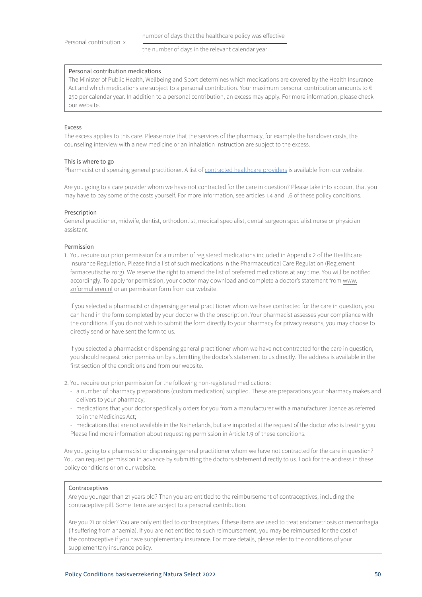the number of days in the relevant calendar year

#### Personal contribution medications

The Minister of Public Health, Wellbeing and Sport determines which medications are covered by the Health Insurance Act and which medications are subject to a personal contribution. Your maximum personal contribution amounts to  $\epsilon$ 250 per calendar year. In addition to a personal contribution, an excess may apply. For more information, please check our website.

### Excess

The excess applies to this care. Please note that the services of the pharmacy, for example the handover costs, the counseling interview with a new medicine or an inhalation instruction are subject to the excess.

### This is where to go

Pharmacist or dispensing general practitioner. A list of [contracted healthcare providers](https://www3.aevitae.com/zoek-eucare-zorgverlener) is available from our website.

Are you going to a care provider whom we have not contracted for the care in question? Please take into account that you may have to pay some of the costs yourself. For more information, see articles 1.4 and 1.6 of these policy conditions.

### Prescription

General practitioner, midwife, dentist, orthodontist, medical specialist, dental surgeon specialist nurse or physician assistant.

### Permission

1. You require our prior permission for a number of registered medications included in Appendix 2 of the Healthcare Insurance Regulation. Please find a list of such medications in the Pharmaceutical Care Regulation (Reglement farmaceutische zorg). We reserve the right to amend the list of preferred medications at any time. You will be notified accordingly. To apply for permission, your doctor may download and complete a doctor's statement from www. znformulieren.nl or an permission form from our website.

If you selected a pharmacist or dispensing general practitioner whom we have contracted for the care in question, you can hand in the form completed by your doctor with the prescription. Your pharmacist assesses your compliance with the conditions. If you do not wish to submit the form directly to your pharmacy for privacy reasons, you may choose to directly send or have sent the form to us.

If you selected a pharmacist or dispensing general practitioner whom we have not contracted for the care in question, you should request prior permission by submitting the doctor's statement to us directly. The address is available in the first section of the conditions and from our website.

2. You require our prior permission for the following non-registered medications:

- a number of pharmacy preparations (custom medication) supplied. These are preparations your pharmacy makes and delivers to your pharmacy;
- medications that your doctor specifically orders for you from a manufacturer with a manufacturer licence as referred to in the Medicines Act;
- medications that are not available in the Netherlands, but are imported at the request of the doctor who is treating you. Please find more information about requesting permission in Article 1.9 of these conditions.

Are you going to a pharmacist or dispensing general practitioner whom we have not contracted for the care in question? You can request permission in advance by submitting the doctor's statement directly to us. Look for the address in these policy conditions or on our website.

### **Contraceptives**

Are you younger than 21 years old? Then you are entitled to the reimbursement of contraceptives, including the contraceptive pill. Some items are subject to a personal contribution.

Are you 21 or older? You are only entitled to contraceptives if these items are used to treat endometriosis or menorrhagia (if suffering from anaemia). If you are not entitled to such reimbursement, you may be reimbursed for the cost of the contraceptive if you have supplementary insurance. For more details, please refer to the conditions of your supplementary insurance policy.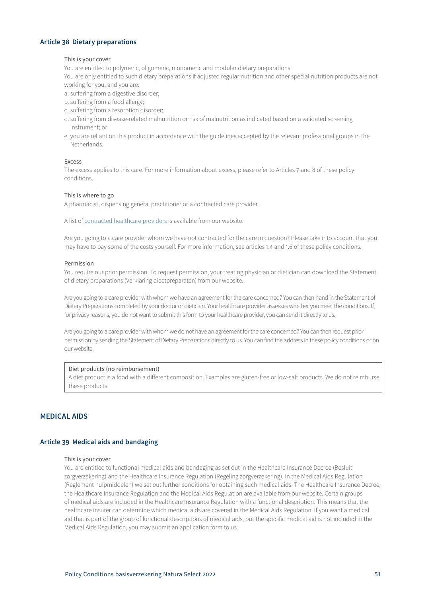# <span id="page-50-0"></span>**Article 38 Dietary preparations**

# This is your cover

You are entitled to polymeric, oligomeric, monomeric and modular dietary preparations.

You are only entitled to such dietary preparations if adjusted regular nutrition and other special nutrition products are not working for you, and you are:

- a. suffering from a digestive disorder;
- b. suffering from a food allergy;
- c. suffering from a resorption disorder;
- d. suffering from disease-related malnutrition or risk of malnutrition as indicated based on a validated screening instrument; or
- e. you are reliant on this product in accordance with the guidelines accepted by the relevant professional groups in the Netherlands.

### Excess

The excess applies to this care. For more information about excess, please refer to Articles 7 and 8 of these policy conditions.

### This is where to go

A pharmacist, dispensing general practitioner or a contracted care provider.

A list of [contracted healthcare providers](https://www3.aevitae.com/zoek-eucare-zorgverlener) is available from our website.

Are you going to a care provider whom we have not contracted for the care in question? Please take into account that you may have to pay some of the costs yourself. For more information, see articles 1.4 and 1.6 of these policy conditions.

# Permission

You require our prior permission. To request permission, your treating physician or dietician can download the Statement of dietary preparations (Verklaring dieetpreparaten) from our website.

Are you going to a care provider with whom we have an agreement for the care concerned? You can then hand in the Statement of Dietary Preparations completed by your doctor or dietician. Your healthcare provider assesses whether you meet the conditions. If, for privacy reasons, you do not want to submit this form to your healthcare provider, you can send it directly to us.

Are you going to a care provider with whom we do not have an agreement for the care concerned? You can then request prior permission by sending the Statement of Dietary Preparations directly to us. You can find the address in these policy conditions or on our website.

# Diet products (no reimbursement)

A diet product is a food with a different composition. Examples are gluten-free or low-salt products. We do not reimburse these products.

# **MEDICAL AIDS**

# **Article 39 Medical aids and bandaging**

#### This is your cover

You are entitled to functional medical aids and bandaging as set out in the Healthcare Insurance Decree (Besluit zorgverzekering) and the Healthcare Insurance Regulation (Regeling zorgverzekering). In the Medical Aids Regulation (Reglement hulpmiddelen) we set out further conditions for obtaining such medical aids. The Healthcare Insurance Decree, the Healthcare Insurance Regulation and the Medical Aids Regulation are available from our website. Certain groups of medical aids are included in the Healthcare Insurance Regulation with a functional description. This means that the healthcare insurer can determine which medical aids are covered in the Medical Aids Regulation. If you want a medical aid that is part of the group of functional descriptions of medical aids, but the specific medical aid is not included in the Medical Aids Regulation, you may submit an application form to us.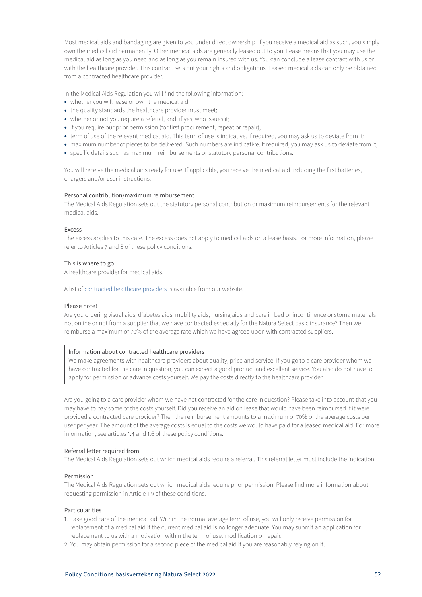Most medical aids and bandaging are given to you under direct ownership. If you receive a medical aid as such, you simply own the medical aid permanently. Other medical aids are generally leased out to you. Lease means that you may use the medical aid as long as you need and as long as you remain insured with us. You can conclude a lease contract with us or with the healthcare provider. This contract sets out your rights and obligations. Leased medical aids can only be obtained from a contracted healthcare provider.

In the Medical Aids Regulation you will find the following information:

- whether you will lease or own the medical aid;
- the quality standards the healthcare provider must meet;
- whether or not you require a referral, and, if yes, who issues it;
- if you require our prior permission (for first procurement, repeat or repair);
- term of use of the relevant medical aid. This term of use is indicative. If required, you may ask us to deviate from it;
- maximum number of pieces to be delivered. Such numbers are indicative. If required, you may ask us to deviate from it;
- specific details such as maximum reimbursements or statutory personal contributions.

You will receive the medical aids ready for use. If applicable, you receive the medical aid including the first batteries, chargers and/or user instructions.

#### Personal contribution/maximum reimbursement

The Medical Aids Regulation sets out the statutory personal contribution or maximum reimbursements for the relevant medical aids.

# Excess

The excess applies to this care. The excess does not apply to medical aids on a lease basis. For more information, please refer to Articles 7 and 8 of these policy conditions.

# This is where to go

A healthcare provider for medical aids.

A list of [contracted healthcare providers](https://www3.aevitae.com/zoek-eucare-zorgverlener) is available from our website.

### Please note!

Are you ordering visual aids, diabetes aids, mobility aids, nursing aids and care in bed or incontinence or stoma materials not online or not from a supplier that we have contracted especially for the Natura Select basic insurance? Then we reimburse a maximum of 70% of the average rate which we have agreed upon with contracted suppliers.

#### Information about contracted healthcare providers

We make agreements with healthcare providers about quality, price and service. If you go to a care provider whom we have contracted for the care in question, you can expect a good product and excellent service. You also do not have to apply for permission or advance costs yourself. We pay the costs directly to the healthcare provider.

Are you going to a care provider whom we have not contracted for the care in question? Please take into account that you may have to pay some of the costs yourself. Did you receive an aid on lease that would have been reimbursed if it were provided a contracted care provider? Then the reimbursement amounts to a maximum of 70% of the average costs per user per year. The amount of the average costs is equal to the costs we would have paid for a leased medical aid. For more information, see articles 1.4 and 1.6 of these policy conditions.

### Referral letter required from

The Medical Aids Regulation sets out which medical aids require a referral. This referral letter must include the indication.

#### Permission

The Medical Aids Regulation sets out which medical aids require prior permission. Please find more information about requesting permission in Article 1.9 of these conditions.

# Particularities

- 1. Take good care of the medical aid. Within the normal average term of use, you will only receive permission for replacement of a medical aid if the current medical aid is no longer adequate. You may submit an application for replacement to us with a motivation within the term of use, modification or repair.
- 2. You may obtain permission for a second piece of the medical aid if you are reasonably relying on it.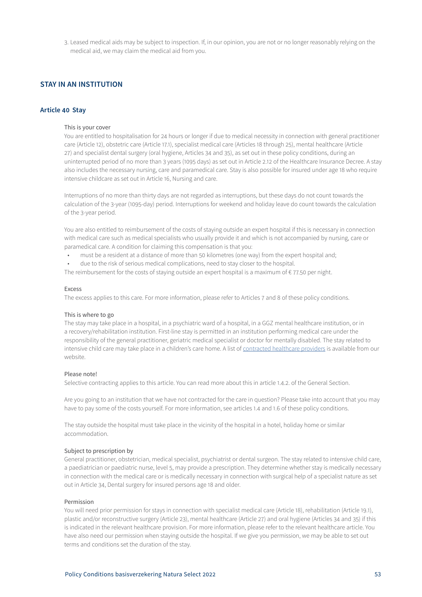<span id="page-52-0"></span>3. Leased medical aids may be subject to inspection. If, in our opinion, you are not or no longer reasonably relying on the medical aid, we may claim the medical aid from you.

# **STAY IN AN INSTITUTION**

# **Article 40 Stay**

# This is your cover

You are entitled to hospitalisation for 24 hours or longer if due to medical necessity in connection with general practitioner care (Article 12), obstetric care (Article 17.1), specialist medical care (Articles 18 through 25), mental healthcare (Article 27) and specialist dental surgery (oral hygiene, Articles 34 and 35), as set out in these policy conditions, during an uninterrupted period of no more than 3 years (1095 days) as set out in Article 2.12 of the Healthcare Insurance Decree. A stay also includes the necessary nursing, care and paramedical care. Stay is also possible for insured under age 18 who require intensive childcare as set out in Article 16, Nursing and care.

Interruptions of no more than thirty days are not regarded as interruptions, but these days do not count towards the calculation of the 3-year (1095-day) period. Interruptions for weekend and holiday leave do count towards the calculation of the 3-year period.

You are also entitled to reimbursement of the costs of staying outside an expert hospital if this is necessary in connection with medical care such as medical specialists who usually provide it and which is not accompanied by nursing, care or paramedical care. A condition for claiming this compensation is that you:

- must be a resident at a distance of more than 50 kilometres (one way) from the expert hospital and;
- due to the risk of serious medical complications, need to stay closer to the hospital.

The reimbursement for the costs of staying outside an expert hospital is a maximum of  $\epsilon$  77.50 per night.

#### Excess

The excess applies to this care. For more information, please refer to Articles 7 and 8 of these policy conditions.

### This is where to go

The stay may take place in a hospital, in a psychiatric ward of a hospital, in a GGZ mental healthcare institution, or in a recovery/rehabilitation institution. First-line stay is permitted in an institution performing medical care under the responsibility of the general practitioner, geriatric medical specialist or doctor for mentally disabled. The stay related to intensive child care may take place in a children's care home. A list of [contracted healthcare providers](https://www3.aevitae.com/zoek-eucare-zorgverlener) is available from our website.

### Please note!

Selective contracting applies to this article. You can read more about this in article 1.4.2. of the General Section.

Are you going to an institution that we have not contracted for the care in question? Please take into account that you may have to pay some of the costs yourself. For more information, see articles 1.4 and 1.6 of these policy conditions.

The stay outside the hospital must take place in the vicinity of the hospital in a hotel, holiday home or similar accommodation.

### Subject to prescription by

General practitioner, obstetrician, medical specialist, psychiatrist or dental surgeon. The stay related to intensive child care, a paediatrician or paediatric nurse, level 5, may provide a prescription. They determine whether stay is medically necessary in connection with the medical care or is medically necessary in connection with surgical help of a specialist nature as set out in Article 34, Dental surgery for insured persons age 18 and older.

# Permission

You will need prior permission for stays in connection with specialist medical care (Article 18), rehabilitation (Article 19.1), plastic and/or reconstructive surgery (Article 23), mental healthcare (Article 27) and oral hygiene (Articles 34 and 35) if this is indicated in the relevant healthcare provision. For more information, please refer to the relevant healthcare article. You have also need our permission when staying outside the hospital. If we give you permission, we may be able to set out terms and conditions set the duration of the stay.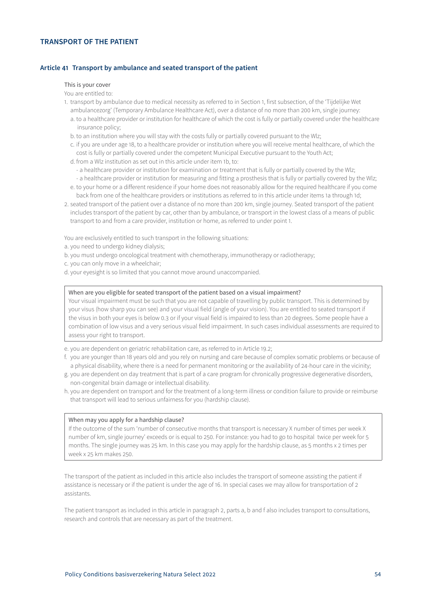# <span id="page-53-0"></span>**TRANSPORT OF THE PATIENT**

# **Article 41 Transport by ambulance and seated transport of the patient**

#### This is your cover

You are entitled to:

insurance policy;

- 1. transport by ambulance due to medical necessity as referred to in Section 1, first subsection, of the 'Tijdelijke Wet ambulancezorg' (Temporary Ambulance Healthcare Act), over a distance of no more than 200 km, single journey: a. to a healthcare provider or institution for healthcare of which the cost is fully or partially covered under the healthcare
	- b. to an institution where you will stay with the costs fully or partially covered pursuant to the Wlz;
	- c. if you are under age 18, to a healthcare provider or institution where you will receive mental healthcare, of which the cost is fully or partially covered under the competent Municipal Executive pursuant to the Youth Act;
	- d. from a Wlz institution as set out in this article under item 1b, to:
		- a healthcare provider or institution for examination or treatment that is fully or partially covered by the Wlz;
	- a healthcare provider or institution for measuring and fitting a prosthesis that is fully or partially covered by the Wlz;
	- e. to your home or a different residence if your home does not reasonably allow for the required healthcare if you come back from one of the healthcare providers or institutions as referred to in this article under items 1a through 1d;
- 2. seated transport of the patient over a distance of no more than 200 km, single journey. Seated transport of the patient includes transport of the patient by car, other than by ambulance, or transport in the lowest class of a means of public transport to and from a care provider, institution or home, as referred to under point 1.

You are exclusively entitled to such transport in the following situations:

- a. you need to undergo kidney dialysis;
- b. you must undergo oncological treatment with chemotherapy, immunotherapy or radiotherapy;
- c. you can only move in a wheelchair;
- d. your eyesight is so limited that you cannot move around unaccompanied.

# When are you eligible for seated transport of the patient based on a visual impairment?

Your visual impairment must be such that you are not capable of travelling by public transport. This is determined by your visus (how sharp you can see) and your visual field (angle of your vision). You are entitled to seated transport if the visus in both your eyes is below 0.3 or if your visual field is impaired to less than 20 degrees. Some people have a combination of low visus and a very serious visual field impairment. In such cases individual assessments are required to assess your right to transport.

e. you are dependent on geriatric rehabilitation care, as referred to in Article 19.2;

- f. you are younger than 18 years old and you rely on nursing and care because of complex somatic problems or because of a physical disability, where there is a need for permanent monitoring or the availability of 24-hour care in the vicinity;
- g. you are dependent on day treatment that is part of a care program for chronically progressive degenerative disorders, non-congenital brain damage or intellectual disability.
- h. you are dependent on transport and for the treatment of a long-term illness or condition failure to provide or reimburse that transport will lead to serious unfairness for you (hardship clause).

### When may you apply for a hardship clause?

If the outcome of the sum 'number of consecutive months that transport is necessary X number of times per week X number of km, single journey' exceeds or is equal to 250. For instance: you had to go to hospital twice per week for 5 months. The single journey was 25 km. In this case you may apply for the hardship clause, as 5 months x 2 times per week x 25 km makes 250.

The transport of the patient as included in this article also includes the transport of someone assisting the patient if assistance is necessary or if the patient is under the age of 16. In special cases we may allow for transportation of 2 assistants.

The patient transport as included in this article in paragraph 2, parts a, b and f also includes transport to consultations, research and controls that are necessary as part of the treatment.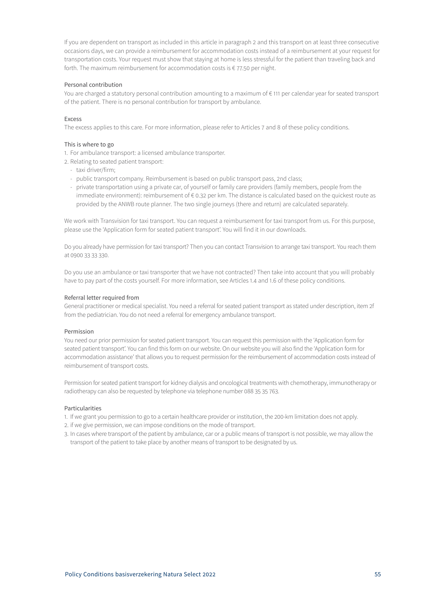If you are dependent on transport as included in this article in paragraph 2 and this transport on at least three consecutive occasions days, we can provide a reimbursement for accommodation costs instead of a reimbursement at your request for transportation costs. Your request must show that staying at home is less stressful for the patient than traveling back and forth. The maximum reimbursement for accommodation costs is € 77.50 per night.

# Personal contribution

You are charged a statutory personal contribution amounting to a maximum of € 111 per calendar year for seated transport of the patient. There is no personal contribution for transport by ambulance.

# Excess

The excess applies to this care. For more information, please refer to Articles 7 and 8 of these policy conditions.

# This is where to go

- 1. For ambulance transport: a licensed ambulance transporter.
- 2. Relating to seated patient transport:
	- taxi driver/firm;
	- public transport company. Reimbursement is based on public transport pass, 2nd class;
	- private transportation using a private car, of yourself or family care providers (family members, people from the immediate environment): reimbursement of € 0.32 per km. The distance is calculated based on the quickest route as provided by the ANWB route planner. The two single journeys (there and return) are calculated separately.

We work with Transvision for taxi transport. You can request a reimbursement for taxi transport from us. For this purpose, please use the 'Application form for seated patient transport'. You will find it in our downloads.

Do you already have permission for taxi transport? Then you can contact Transvision to arrange taxi transport. You reach them at 0900 33 33 330.

Do you use an ambulance or taxi transporter that we have not contracted? Then take into account that you will probably have to pay part of the costs yourself. For more information, see Articles 1.4 and 1.6 of these policy conditions.

# Referral letter required from

General practitioner or medical specialist. You need a referral for seated patient transport as stated under description, item 2f from the pediatrician. You do not need a referral for emergency ambulance transport.

# Permission

You need our prior permission for seated patient transport. You can request this permission with the 'Application form for seated patient transport'. You can find this form on our website. On our website you will also find the 'Application form for accommodation assistance' that allows you to request permission for the reimbursement of accommodation costs instead of reimbursement of transport costs.

Permission for seated patient transport for kidney dialysis and oncological treatments with chemotherapy, immunotherapy or radiotherapy can also be requested by telephone via telephone number 088 35 35 763.

# Particularities

- 1. If we grant you permission to go to a certain healthcare provider or institution, the 200-km limitation does not apply.
- 2. if we give permission, we can impose conditions on the mode of transport.
- 3. In cases where transport of the patient by ambulance, car or a public means of transport is not possible, we may allow the transport of the patient to take place by another means of transport to be designated by us.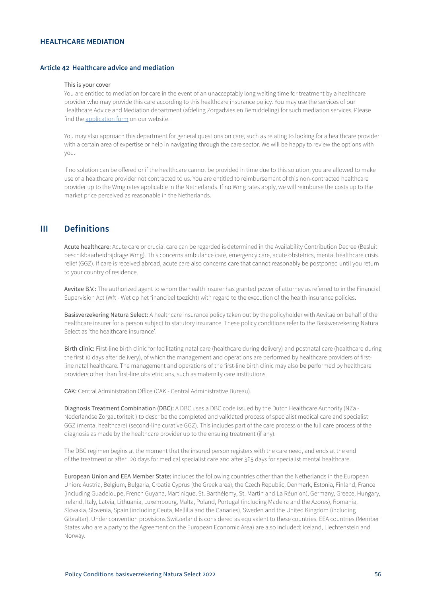# <span id="page-55-0"></span>**HEALTHCARE MEDIATION**

# **Article 42 Healthcare advice and mediation**

#### This is your cover

You are entitled to mediation for care in the event of an unacceptably long waiting time for treatment by a healthcare provider who may provide this care according to this healthcare insurance policy. You may use the services of our Healthcare Advice and Mediation department (afdeling Zorgadvies en Bemiddeling) for such mediation services. Please find the [application form](https://www3.aevitae.com/zorgzaken-regelen/zorgbemiddeling/zorgbemiddeling-aanvragen/) on our website.

You may also approach this department for general questions on care, such as relating to looking for a healthcare provider with a certain area of expertise or help in navigating through the care sector. We will be happy to review the options with you.

If no solution can be offered or if the healthcare cannot be provided in time due to this solution, you are allowed to make use of a healthcare provider not contracted to us. You are entitled to reimbursement of this non-contracted healthcare provider up to the Wmg rates applicable in the Netherlands. If no Wmg rates apply, we will reimburse the costs up to the market price perceived as reasonable in the Netherlands.

# **III Definitions**

Acute healthcare: Acute care or crucial care can be regarded is determined in the Availability Contribution Decree (Besluit beschikbaarheidbijdrage Wmg). This concerns ambulance care, emergency care, acute obstetrics, mental healthcare crisis relief (GGZ). If care is received abroad, acute care also concerns care that cannot reasonably be postponed until you return to your country of residence.

Aevitae B.V.: The authorized agent to whom the health insurer has granted power of attorney as referred to in the Financial Supervision Act (Wft - Wet op het financieel toezicht) with regard to the execution of the health insurance policies.

Basisverzekering Natura Select: A healthcare insurance policy taken out by the policyholder with Aevitae on behalf of the healthcare insurer for a person subject to statutory insurance. These policy conditions refer to the Basisverzekering Natura Select as 'the healthcare insurance'.

Birth clinic: First-line birth clinic for facilitating natal care (healthcare during delivery) and postnatal care (healthcare during the first 10 days after delivery), of which the management and operations are performed by healthcare providers of firstline natal healthcare. The management and operations of the first-line birth clinic may also be performed by healthcare providers other than first-line obstetricians, such as maternity care institutions.

CAK: Central Administration Office (CAK - Central Administrative Bureau).

Diagnosis Treatment Combination (DBC): A DBC uses a DBC code issued by the Dutch Healthcare Authority (NZa - Nederlandse Zorgautoriteit ) to describe the completed and validated process of specialist medical care and specialist GGZ (mental healthcare) (second-line curative GGZ). This includes part of the care process or the full care process of the diagnosis as made by the healthcare provider up to the ensuing treatment (if any).

The DBC regimen begins at the moment that the insured person registers with the care need, and ends at the end of the treatment or after 120 days for medical specialist care and after 365 days for specialist mental healthcare.

European Union and EEA Member State: includes the following countries other than the Netherlands in the European Union: Austria, Belgium, Bulgaria, Croatia Cyprus (the Greek area), the Czech Republic, Denmark, Estonia, Finland, France (including Guadeloupe, French Guyana, Martinique, St. Barthélemy, St. Martin and La Réunion), Germany, Greece, Hungary, Ireland, Italy, Latvia, Lithuania, Luxembourg, Malta, Poland, Portugal (including Madeira and the Azores), Romania, Slovakia, Slovenia, Spain (including Ceuta, Mellilla and the Canaries), Sweden and the United Kingdom (including Gibraltar). Under convention provisions Switzerland is considered as equivalent to these countries. EEA countries (Member States who are a party to the Agreement on the European Economic Area) are also included: Iceland, Liechtenstein and Norway.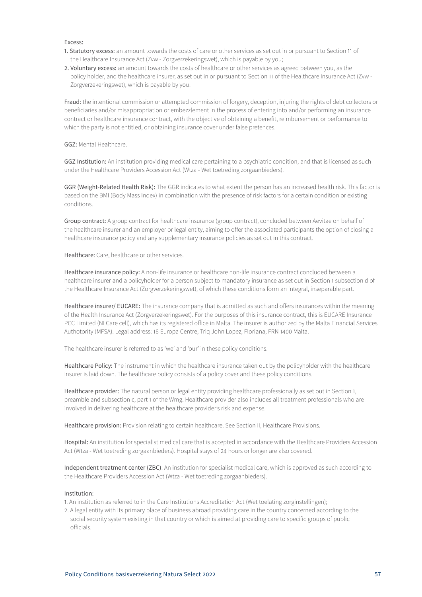Excess:

- 1. Statutory excess: an amount towards the costs of care or other services as set out in or pursuant to Section 11 of the Healthcare Insurance Act (Zvw - Zorgverzekeringswet), which is payable by you;
- 2. Voluntary excess: an amount towards the costs of healthcare or other services as agreed between you, as the policy holder, and the healthcare insurer, as set out in or pursuant to Section 11 of the Healthcare Insurance Act (Zvw - Zorgverzekeringswet), which is payable by you.

Fraud: the intentional commission or attempted commission of forgery, deception, injuring the rights of debt collectors or beneficiaries and/or misappropriation or embezzlement in the process of entering into and/or performing an insurance contract or healthcare insurance contract, with the objective of obtaining a benefit, reimbursement or performance to which the party is not entitled, or obtaining insurance cover under false pretences.

GGZ: Mental Healthcare.

GGZ Institution: An institution providing medical care pertaining to a psychiatric condition, and that is licensed as such under the Healthcare Providers Accession Act (Wtza - Wet toetreding zorgaanbieders).

GGR (Weight-Related Health Risk): The GGR indicates to what extent the person has an increased health risk. This factor is based on the BMI (Body Mass Index) in combination with the presence of risk factors for a certain condition or existing conditions.

Group contract: A group contract for healthcare insurance (group contract), concluded between Aevitae on behalf of the healthcare insurer and an employer or legal entity, aiming to offer the associated participants the option of closing a healthcare insurance policy and any supplementary insurance policies as set out in this contract.

Healthcare: Care, healthcare or other services.

Healthcare insurance policy: A non-life insurance or healthcare non-life insurance contract concluded between a healthcare insurer and a policyholder for a person subject to mandatory insurance as set out in Section 1 subsection d of the Healthcare Insurance Act (Zorgverzekeringswet), of which these conditions form an integral, inseparable part.

Healthcare insurer/ EUCARE: The insurance company that is admitted as such and offers insurances within the meaning of the Health Insurance Act (Zorgverzekeringswet). For the purposes of this insurance contract, this is EUCARE Insurance PCC Limited (NLCare cell), which has its registered office in Malta. The insurer is authorized by the Malta Financial Services Authotority (MFSA). Legal address: 16 Europa Centre, Triq John Lopez, Floriana, FRN 1400 Malta.

The healthcare insurer is referred to as 'we' and 'our' in these policy conditions.

Healthcare Policy: The instrument in which the healthcare insurance taken out by the policyholder with the healthcare insurer is laid down. The healthcare policy consists of a policy cover and these policy conditions.

Healthcare provider: The natural person or legal entity providing healthcare professionally as set out in Section 1, preamble and subsection c, part 1 of the Wmg. Healthcare provider also includes all treatment professionals who are involved in delivering healthcare at the healthcare provider's risk and expense.

Healthcare provision: Provision relating to certain healthcare. See Section II, Healthcare Provisions.

Hospital: An institution for specialist medical care that is accepted in accordance with the Healthcare Providers Accession Act (Wtza - Wet toetreding zorgaanbieders). Hospital stays of 24 hours or longer are also covered.

Independent treatment center (ZBC): An institution for specialist medical care, which is approved as such according to the Healthcare Providers Accession Act (Wtza - Wet toetreding zorgaanbieders).

### Institution:

1. An institution as referred to in the Care Institutions Accreditation Act (Wet toelating zorginstellingen);

2. A legal entity with its primary place of business abroad providing care in the country concerned according to the social security system existing in that country or which is aimed at providing care to specific groups of public officials.